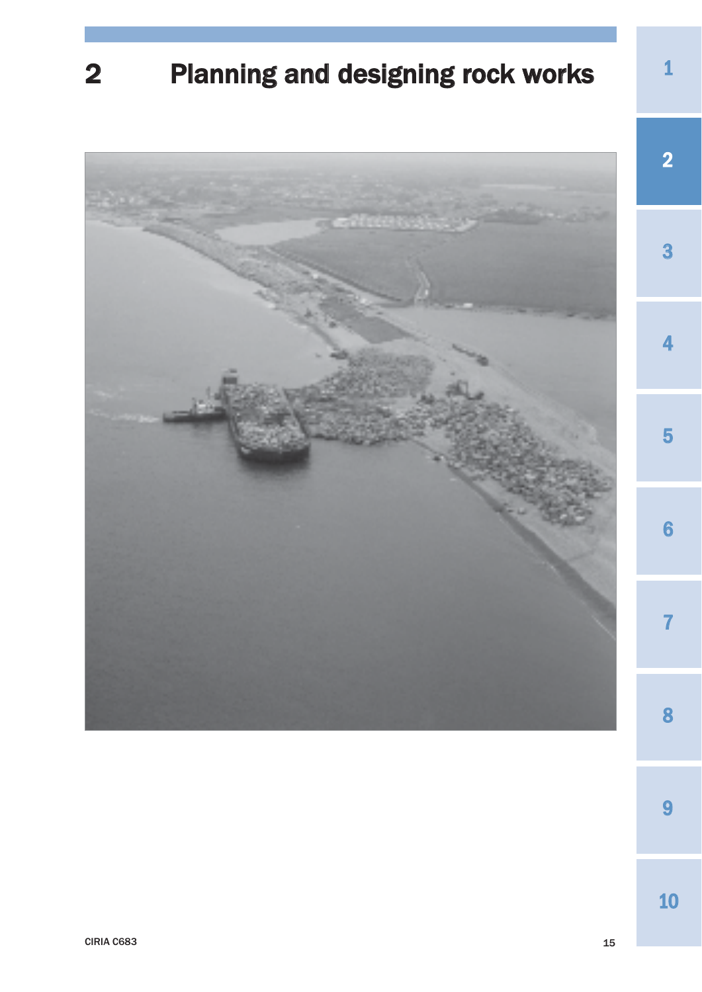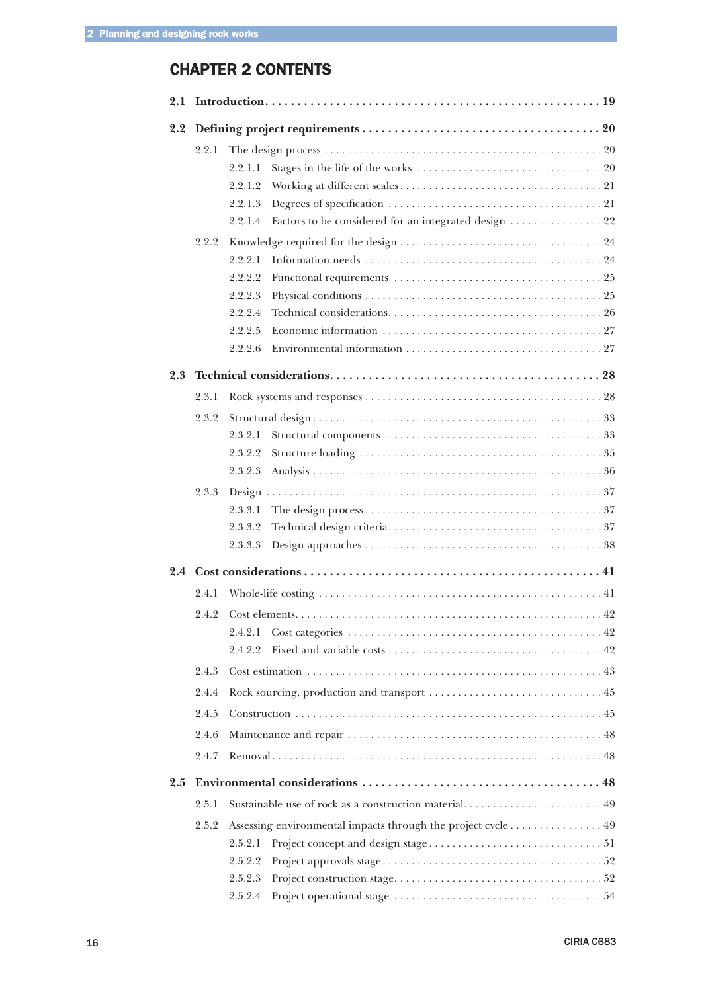# CHAPTER 2 CONTENTS

| 2.2 |       |                                                                  |  |  |  |  |
|-----|-------|------------------------------------------------------------------|--|--|--|--|
|     | 2.2.1 |                                                                  |  |  |  |  |
|     |       | 2.2.1.1                                                          |  |  |  |  |
|     |       | 2.2.1.2                                                          |  |  |  |  |
|     |       | 2.2.1.3                                                          |  |  |  |  |
|     |       | Factors to be considered for an integrated design  22<br>2.2.1.4 |  |  |  |  |
|     | 2.2.2 |                                                                  |  |  |  |  |
|     |       | 2.2.2.1                                                          |  |  |  |  |
|     |       | 2.2.2.2                                                          |  |  |  |  |
|     |       | 2.2.2.3                                                          |  |  |  |  |
|     |       | 2.2.2.4                                                          |  |  |  |  |
|     |       | 2.2.2.5                                                          |  |  |  |  |
|     |       | 2.2.2.6                                                          |  |  |  |  |
| 2.3 |       |                                                                  |  |  |  |  |
|     | 2.3.1 |                                                                  |  |  |  |  |
|     | 2.3.2 |                                                                  |  |  |  |  |
|     |       | 2.3.2.1                                                          |  |  |  |  |
|     |       | 2.3.2.2                                                          |  |  |  |  |
|     |       | 2.3.2.3                                                          |  |  |  |  |
|     | 2.3.3 |                                                                  |  |  |  |  |
|     |       | 2.3.3.1                                                          |  |  |  |  |
|     |       | 2.3.3.2                                                          |  |  |  |  |
|     |       | 2.3.3.3                                                          |  |  |  |  |
|     |       |                                                                  |  |  |  |  |
|     | 2.4.1 |                                                                  |  |  |  |  |
|     | 2.4.2 |                                                                  |  |  |  |  |
|     |       | 2.4.2.1                                                          |  |  |  |  |
|     |       | 2.4.2.2                                                          |  |  |  |  |
|     | 2.4.3 |                                                                  |  |  |  |  |
|     | 2.4.4 |                                                                  |  |  |  |  |
|     | 2.4.5 |                                                                  |  |  |  |  |
|     | 2.4.6 |                                                                  |  |  |  |  |
|     | 2.4.7 |                                                                  |  |  |  |  |
| 2.5 |       |                                                                  |  |  |  |  |
|     | 2.5.1 | Sustainable use of rock as a construction material 49            |  |  |  |  |
|     | 2.5.2 | Assessing environmental impacts through the project cycle 49     |  |  |  |  |
|     |       | 2.5.2.1                                                          |  |  |  |  |
|     |       | 2.5.2.2                                                          |  |  |  |  |
|     |       | 2.5.2.3                                                          |  |  |  |  |
|     |       | 2.5.2.4                                                          |  |  |  |  |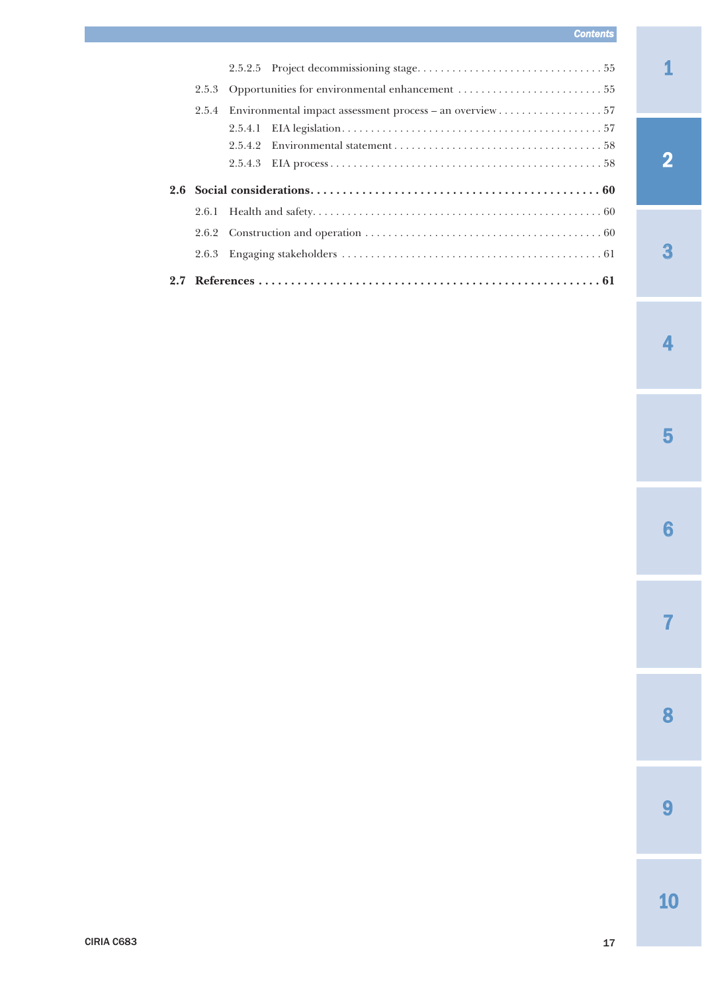# *Contents*

|     | 2.5.3 |         |  |  |  |  |
|-----|-------|---------|--|--|--|--|
|     | 2.5.4 |         |  |  |  |  |
|     |       | 2.5.4.1 |  |  |  |  |
|     |       | 2.5.4.2 |  |  |  |  |
|     |       | 2.5.4.3 |  |  |  |  |
| 2.6 |       |         |  |  |  |  |
|     |       |         |  |  |  |  |
|     |       |         |  |  |  |  |
|     | 2.6.3 |         |  |  |  |  |
|     |       |         |  |  |  |  |

2

3

4

5

6

7

8

9

CIRIA C683 17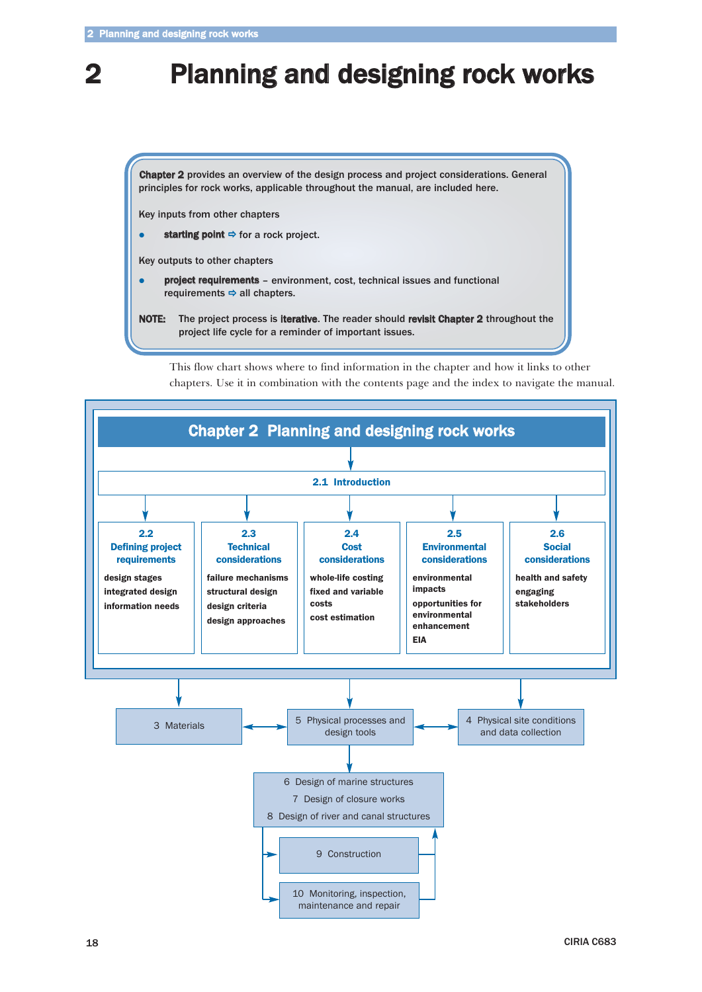# **Planning and designing rock works**

Chapter 2 provides an overview of the design process and project considerations. General principles for rock works, applicable throughout the manual, are included here.

Key inputs from other chapters

- $\bullet$ starting point  $\Rightarrow$  for a rock project.
- Key outputs to other chapters
- $\bullet$  project requirements – environment, cost, technical issues and functional requirements  $\Rightarrow$  all chapters.
- NOTE: The project process is iterative. The reader should revisit Chapter 2 throughout the project life cycle for a reminder of important issues.



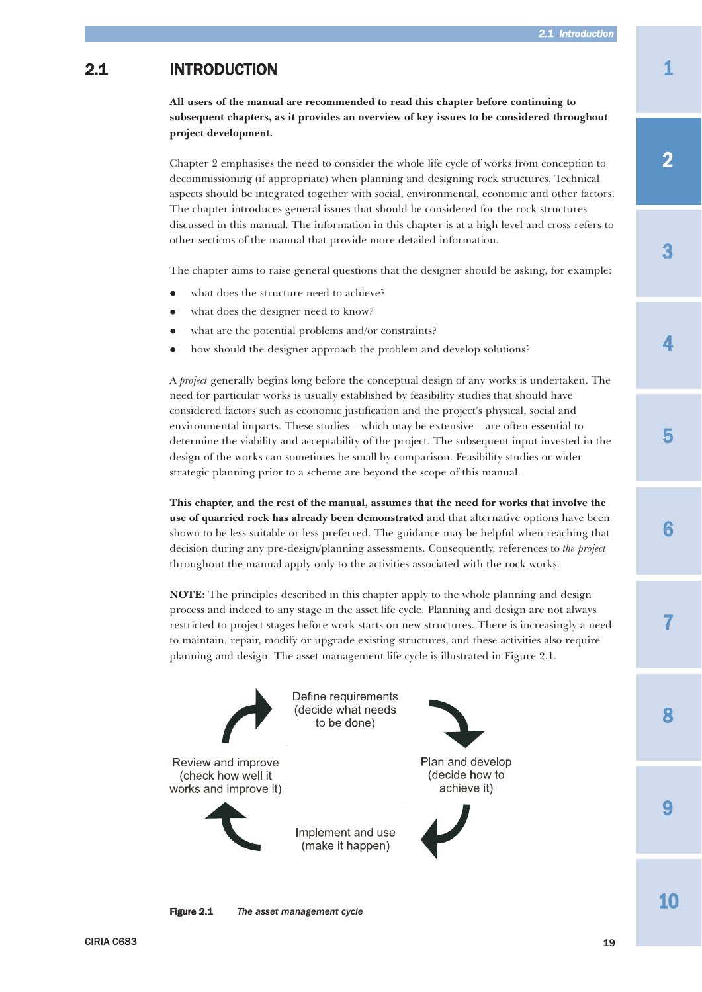# <span id="page-4-0"></span>2.1 INTRODUCTION

**All users of the manual are recommended to read this chapter before continuing to subsequent chapters, as it provides an overview of key issues to be considered throughout project development.**

Chapter 2 emphasises the need to consider the whole life cycle of works from conception to decommissioning (if appropriate) when planning and designing rock structures. Technical aspects should be integrated together with social, environmental, economic and other factors. The chapter introduces general issues that should be considered for the rock structures discussed in this manual. The information in this chapter is at a high level and cross-refers to other sections of the manual that provide more detailed information.

The chapter aims to raise general questions that the designer should be asking, for example:

- $\bullet$ what does the structure need to achieve?
- $\bullet$ what does the designer need to know?
- $\bullet$ what are the potential problems and/or constraints?
- $\bullet$ how should the designer approach the problem and develop solutions?

A *project* generally begins long before the conceptual design of any works is undertaken. The need for particular works is usually established by feasibility studies that should have considered factors such as economic justification and the project's physical, social and environmental impacts. These studies – which may be extensive – are often essential to determine the viability and acceptability of the project. The subsequent input invested in the design of the works can sometimes be small by comparison. Feasibility studies or wider strategic planning prior to a scheme are beyond the scope of this manual.

**This chapter, and the rest of the manual, assumes that the need for works that involve the use of quarried rock has already been demonstrated** and that alternative options have been shown to be less suitable or less preferred. The guidance may be helpful when reaching that decision during any pre-design/planning assessments. Consequently, references to *the project* throughout the manual apply only to the activities associated with the rock works.

**NOTE:** The principles described in this chapter apply to the whole planning and design process and indeed to any stage in the asset life cycle. Planning and design are not always restricted to project stages before work starts on new structures. There is increasingly a need to maintain, repair, modify or upgrade existing structures, and these activities also require planning and design. The asset management life cycle is illustrated in Figure 2.1.



Figure 2.1 *The asset management cycle*

1

3

8

 $\mathbf Q$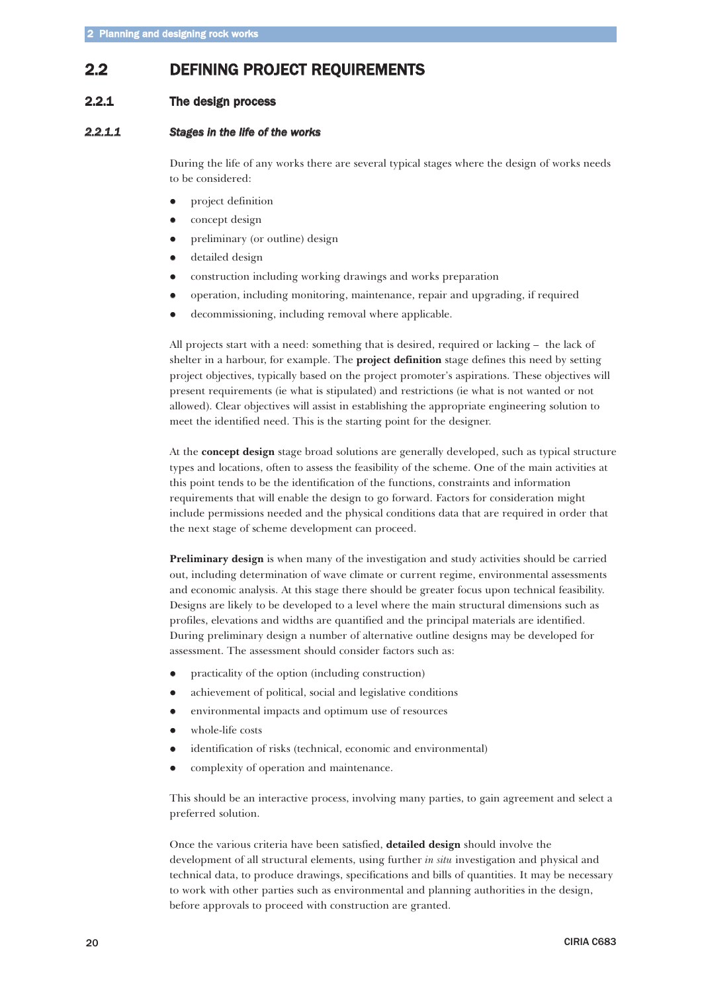# <span id="page-5-0"></span>2.2 DEFINING PROJECT REQUIREMENTS

# 2.2.1 The design process

# *2.2.1.1 Stages in the life of the works*

During the life of any works there are several typical stages where the design of works needs to be considered:

- $\bullet$ project definition
- $\bullet$ concept design
- $\bullet$ preliminary (or outline) design
- $\bullet$ detailed design
- $\bullet$ construction including working drawings and works preparation
- $\bullet$ operation, including monitoring, maintenance, repair and upgrading, if required
- $\bullet$ decommissioning, including removal where applicable.

All projects start with a need: something that is desired, required or lacking – the lack of shelter in a harbour, for example. The **project definition** stage defines this need by setting project objectives, typically based on the project promoter's aspirations. These objectives will present requirements (ie what is stipulated) and restrictions (ie what is not wanted or not allowed). Clear objectives will assist in establishing the appropriate engineering solution to meet the identified need. This is the starting point for the designer.

At the **concept design** stage broad solutions are generally developed, such as typical structure types and locations, often to assess the feasibility of the scheme. One of the main activities at this point tends to be the identification of the functions, constraints and information requirements that will enable the design to go forward. Factors for consideration might include permissions needed and the physical conditions data that are required in order that the next stage of scheme development can proceed.

**Preliminary design** is when many of the investigation and study activities should be carried out, including determination of wave climate or current regime, environmental assessments and economic analysis. At this stage there should be greater focus upon technical feasibility. Designs are likely to be developed to a level where the main structural dimensions such as profiles, elevations and widths are quantified and the principal materials are identified. During preliminary design a number of alternative outline designs may be developed for assessment. The assessment should consider factors such as:

- $\bullet$ practicality of the option (including construction)
- $\bullet$ achievement of political, social and legislative conditions
- $\bullet$ environmental impacts and optimum use of resources
- $\bullet$ whole-life costs
- $\bullet$ identification of risks (technical, economic and environmental)
- $\bullet$ complexity of operation and maintenance.

This should be an interactive process, involving many parties, to gain agreement and select a preferred solution.

Once the various criteria have been satisfied, **detailed design** should involve the development of all structural elements, using further *in situ* investigation and physical and technical data, to produce drawings, specifications and bills of quantities. It may be necessary to work with other parties such as environmental and planning authorities in the design, before approvals to proceed with construction are granted.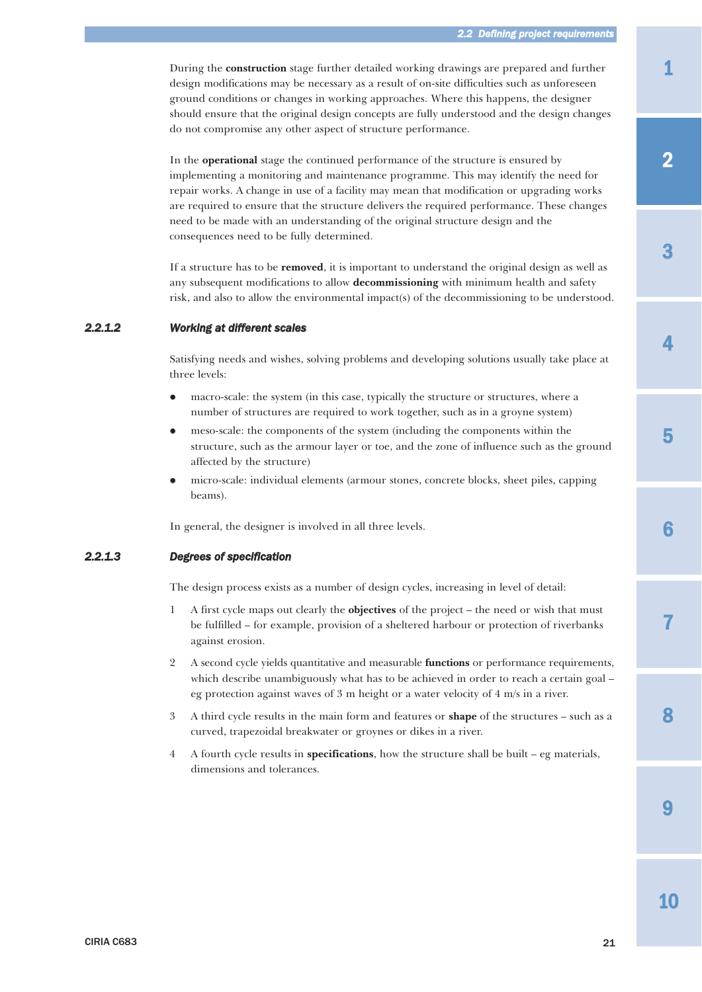<span id="page-6-0"></span>During the **construction** stage further detailed working drawings are prepared and further design modifications may be necessary as a result of on-site difficulties such as unforeseen ground conditions or changes in working approaches. Where this happens, the designer should ensure that the original design concepts are fully understood and the design changes do not compromise any other aspect of structure performance.

In the **operational** stage the continued performance of the structure is ensured by implementing a monitoring and maintenance programme. This may identify the need for repair works. A change in use of a facility may mean that modification or upgrading works are required to ensure that the structure delivers the required performance. These changes need to be made with an understanding of the original structure design and the consequences need to be fully determined.

If a structure has to be **removed**, it is important to understand the original design as well as any subsequent modifications to allow **decommissioning** with minimum health and safety risk, and also to allow the environmental impact(s) of the decommissioning to be understood.

### *2.2.1.2 Working at different scales*

Satisfying needs and wishes, solving problems and developing solutions usually take place at three levels:

- $\bullet$  macro-scale: the system (in this case, typically the structure or structures, where a number of structures are required to work together, such as in a groyne system)
- $\bullet$  meso-scale: the components of the system (including the components within the structure, such as the armour layer or toe, and the zone of influence such as the ground affected by the structure)
- $\bullet$  micro-scale: individual elements (armour stones, concrete blocks, sheet piles, capping beams).

In general, the designer is involved in all three levels.

### *2.2.1.3 Degrees of specification*

The design process exists as a number of design cycles, increasing in level of detail:

- 1 A first cycle maps out clearly the **objectives** of the project the need or wish that must be fulfilled – for example, provision of a sheltered harbour or protection of riverbanks against erosion.
- 2 A second cycle yields quantitative and measurable **functions** or performance requirements, which describe unambiguously what has to be achieved in order to reach a certain goal – eg protection against waves of 3 m height or a water velocity of 4 m/s in a river.
- 3 A third cycle results in the main form and features or **shape** of the structures such as a curved, trapezoidal breakwater or groynes or dikes in a river.
- 4 A fourth cycle results in **specifications**, how the structure shall be built eg materials, dimensions and tolerances.

3

4

6

7

 $\mathbf Q$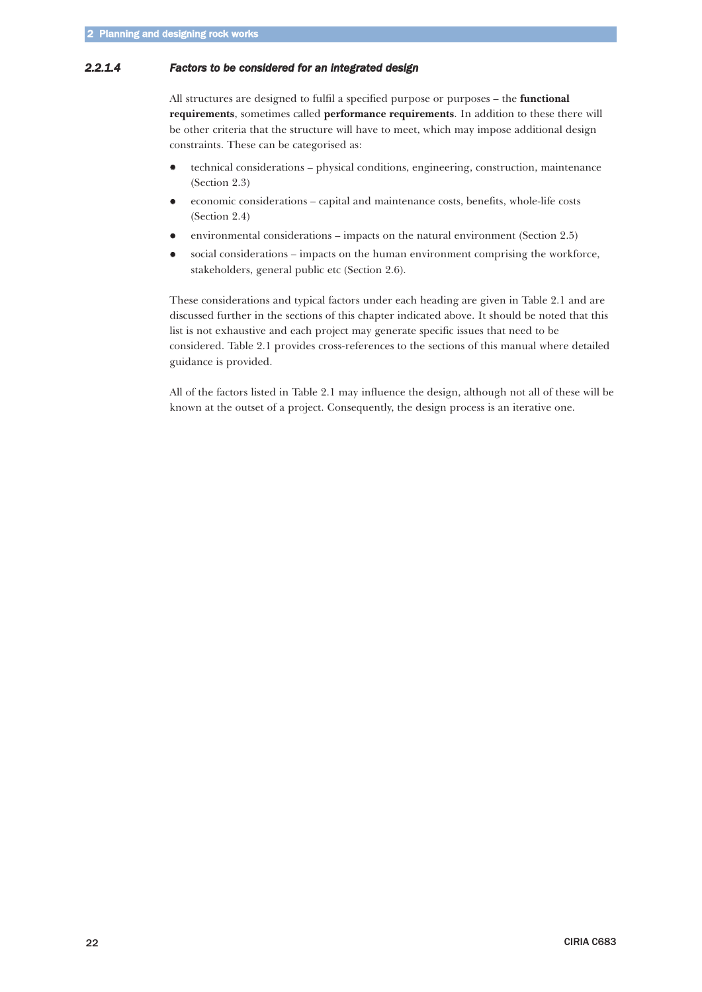# <span id="page-7-0"></span>*2.2.1.4 Factors to be considered for an integrated design*

All structures are designed to fulfil a specified purpose or purposes – the **functional requirements**, sometimes called **performance requirements**. In addition to these there will be other criteria that the structure will have to meet, which may impose additional design constraints. These can be categorised as:

- $\bullet$  technical considerations – physical conditions, engineering, construction, maintenance (Section 2.3)
- $\bullet$  economic considerations – capital and maintenance costs, benefits, whole-life costs (Section 2.4)
- $\bullet$ environmental considerations – impacts on the natural environment (Section 2.5)
- $\bullet$  social considerations – impacts on the human environment comprising the workforce, stakeholders, general public etc (Section 2.6).

These considerations and typical factors under each heading are given in Table 2.1 and are discussed further in the sections of this chapter indicated above. It should be noted that this list is not exhaustive and each project may generate specific issues that need to be considered. Table 2.1 provides cross-references to the sections of this manual where detailed guidance is provided.

All of the factors listed in Table 2.1 may influence the design, although not all of these will be known at the outset of a project. Consequently, the design process is an iterative one.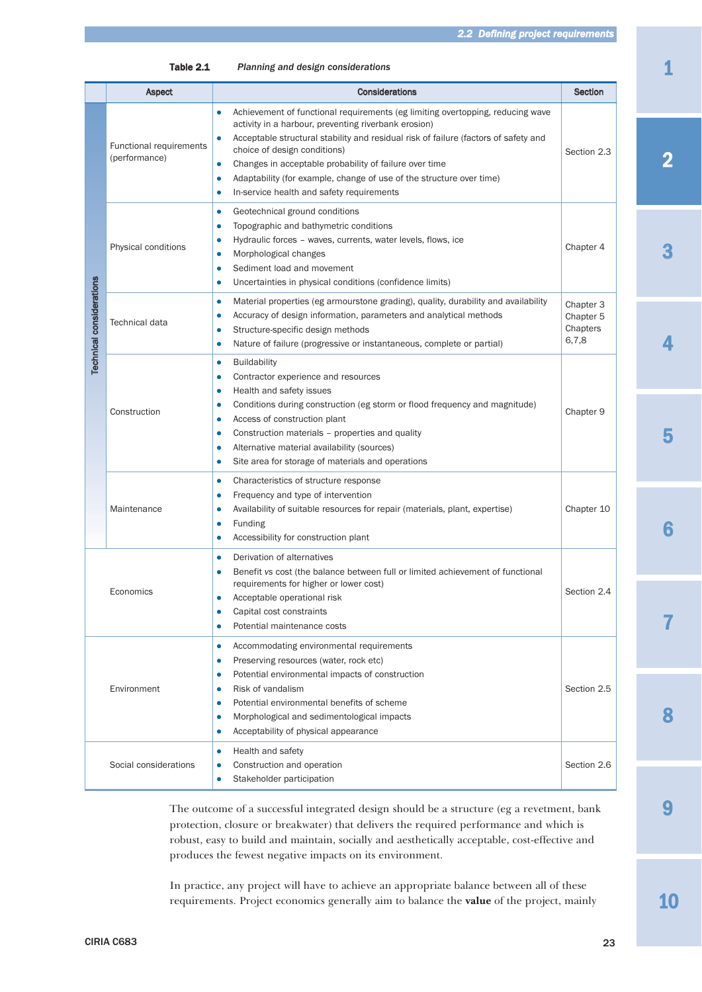Table 2.1 *Planning and design considerations*

|                                 | <b>Aspect</b>                                   | <b>Considerations</b>                                                                                                                                                                                                                                                                                                                                                                                                                                                                                         | Section                                     |
|---------------------------------|-------------------------------------------------|---------------------------------------------------------------------------------------------------------------------------------------------------------------------------------------------------------------------------------------------------------------------------------------------------------------------------------------------------------------------------------------------------------------------------------------------------------------------------------------------------------------|---------------------------------------------|
| <b>Technical considerations</b> | <b>Functional requirements</b><br>(performance) | Achievement of functional requirements (eg limiting overtopping, reducing wave<br>$\bullet$<br>activity in a harbour, preventing riverbank erosion)<br>Acceptable structural stability and residual risk of failure (factors of safety and<br>$\bullet$<br>choice of design conditions)<br>Changes in acceptable probability of failure over time<br>$\bullet$<br>Adaptability (for example, change of use of the structure over time)<br>$\bullet$<br>In-service health and safety requirements<br>$\bullet$ | Section 2.3                                 |
|                                 | Physical conditions                             | Geotechnical ground conditions<br>$\bullet$<br>Topographic and bathymetric conditions<br>$\bullet$<br>Hydraulic forces - waves, currents, water levels, flows, ice<br>٠<br>Morphological changes<br>$\bullet$<br>Sediment load and movement<br>٠<br>Uncertainties in physical conditions (confidence limits)<br>$\bullet$                                                                                                                                                                                     | Chapter 4                                   |
|                                 | Technical data                                  | Material properties (eg armourstone grading), quality, durability and availability<br>$\bullet$<br>Accuracy of design information, parameters and analytical methods<br>$\bullet$<br>Structure-specific design methods<br>$\bullet$<br>Nature of failure (progressive or instantaneous, complete or partial)<br>$\bullet$                                                                                                                                                                                     | Chapter 3<br>Chapter 5<br>Chapters<br>6,7,8 |
|                                 | Construction                                    | <b>Buildability</b><br>$\bullet$<br>Contractor experience and resources<br>$\bullet$<br>Health and safety issues<br>$\bullet$<br>Conditions during construction (eg storm or flood frequency and magnitude)<br>$\bullet$<br>Access of construction plant<br>$\bullet$<br>Construction materials - properties and quality<br>$\bullet$<br>Alternative material availability (sources)<br>$\bullet$<br>Site area for storage of materials and operations<br>$\bullet$                                           | Chapter 9                                   |
|                                 | Maintenance                                     | Characteristics of structure response<br>$\bullet$<br>Frequency and type of intervention<br>٠<br>Availability of suitable resources for repair (materials, plant, expertise)<br>٠<br>Funding<br>$\bullet$<br>Accessibility for construction plant<br>$\bullet$                                                                                                                                                                                                                                                | Chapter 10                                  |
|                                 | Economics                                       | Derivation of alternatives<br>$\bullet$<br>Benefit vs cost (the balance between full or limited achievement of functional<br>requirements for higher or lower cost)<br>Acceptable operational risk<br>٠<br>Capital cost constraints<br>$\bullet$<br>Potential maintenance costs                                                                                                                                                                                                                               | Section 2.4                                 |
|                                 | Environment                                     | Accommodating environmental requirements<br>$\bullet$<br>Preserving resources (water, rock etc)<br>$\bullet$<br>Potential environmental impacts of construction<br>$\bullet$<br>Risk of vandalism<br>$\bullet$<br>Potential environmental benefits of scheme<br>$\bullet$<br>Morphological and sedimentological impacts<br>$\bullet$<br>Acceptability of physical appearance<br>$\bullet$                                                                                                                     | Section 2.5                                 |
|                                 | Social considerations                           | Health and safety<br>$\bullet$<br>Construction and operation<br>$\bullet$<br>Stakeholder participation<br>$\bullet$                                                                                                                                                                                                                                                                                                                                                                                           | Section 2.6                                 |

The outcome of a successful integrated design should be a structure (eg a revetment, bank protection, closure or breakwater) that delivers the required performance and which is robust, easy to build and maintain, socially and aesthetically acceptable, cost-effective and produces the fewest negative impacts on its environment.

In practice, any project will have to achieve an appropriate balance between all of these requirements. Project economics generally aim to balance the **value** of the project, mainly 1

2

3

4

5

10

9

8

7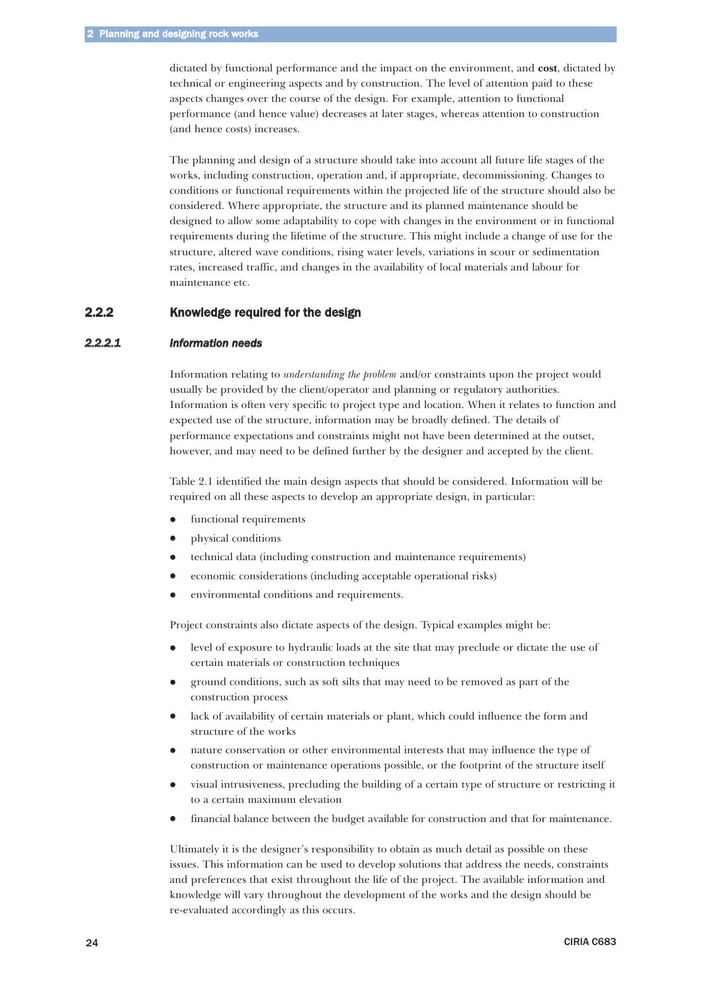<span id="page-9-0"></span>dictated by functional performance and the impact on the environment, and **cost**, dictated by technical or engineering aspects and by construction. The level of attention paid to these aspects changes over the course of the design. For example, attention to functional performance (and hence value) decreases at later stages, whereas attention to construction (and hence costs) increases.

The planning and design of a structure should take into account all future life stages of the works, including construction, operation and, if appropriate, decommissioning. Changes to conditions or functional requirements within the projected life of the structure should also be considered. Where appropriate, the structure and its planned maintenance should be designed to allow some adaptability to cope with changes in the environment or in functional requirements during the lifetime of the structure. This might include a change of use for the structure, altered wave conditions, rising water levels, variations in scour or sedimentation rates, increased traffic, and changes in the availability of local materials and labour for maintenance etc.

# 2.2.2 Knowledge required for the design

# *2.2.2.1 Information needs*

Information relating to *understanding the problem* and/or constraints upon the project would usually be provided by the client/operator and planning or regulatory authorities. Information is often very specific to project type and location. When it relates to function and expected use of the structure, information may be broadly defined. The details of performance expectations and constraints might not have been determined at the outset, however, and may need to be defined further by the designer and accepted by the client.

Table 2.1 identified the main design aspects that should be considered. Information will be required on all these aspects to develop an appropriate design, in particular:

- $\bullet$ functional requirements
- $\bullet$ physical conditions
- $\bullet$ technical data (including construction and maintenance requirements)
- $\bullet$ economic considerations (including acceptable operational risks)
- $\bullet$ environmental conditions and requirements.

Project constraints also dictate aspects of the design. Typical examples might be:

- $\bullet$  level of exposure to hydraulic loads at the site that may preclude or dictate the use of certain materials or construction techniques
- $\bullet$  ground conditions, such as soft silts that may need to be removed as part of the construction process
- $\bullet$  lack of availability of certain materials or plant, which could influence the form and structure of the works
- $\bullet$  nature conservation or other environmental interests that may influence the type of construction or maintenance operations possible, or the footprint of the structure itself
- $\bullet$  visual intrusiveness, precluding the building of a certain type of structure or restricting it to a certain maximum elevation
- $\bullet$ financial balance between the budget available for construction and that for maintenance.

Ultimately it is the designer's responsibility to obtain as much detail as possible on these issues. This information can be used to develop solutions that address the needs, constraints and preferences that exist throughout the life of the project. The available information and knowledge will vary throughout the development of the works and the design should be re-evaluated accordingly as this occurs.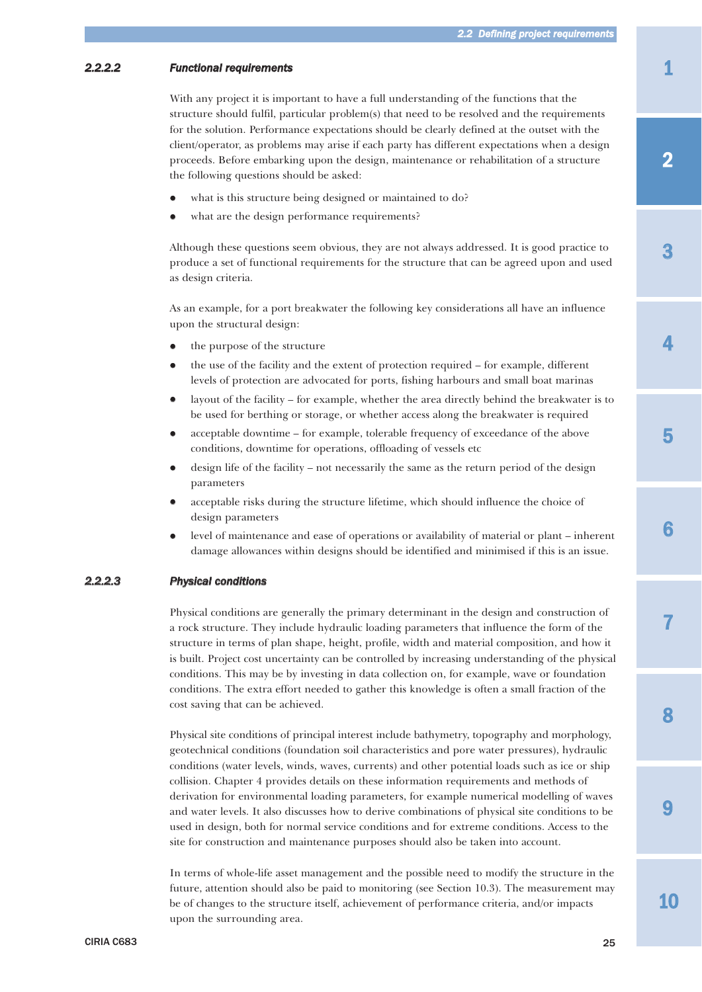# <span id="page-10-0"></span>*2.2.2.2 Functional requirements*

With any project it is important to have a full understanding of the functions that the structure should fulfil, particular problem(s) that need to be resolved and the requirements for the solution. Performance expectations should be clearly defined at the outset with the client/operator, as problems may arise if each party has different expectations when a design proceeds. Before embarking upon the design, maintenance or rehabilitation of a structure the following questions should be asked:

- $\bullet$ what is this structure being designed or maintained to do?
- $\bullet$ what are the design performance requirements?

Although these questions seem obvious, they are not always addressed. It is good practice to produce a set of functional requirements for the structure that can be agreed upon and used as design criteria.

As an example, for a port breakwater the following key considerations all have an influence upon the structural design:

- $\bullet$ the purpose of the structure
- $\bullet$  the use of the facility and the extent of protection required – for example, different levels of protection are advocated for ports, fishing harbours and small boat marinas
- $\bullet$  layout of the facility – for example, whether the area directly behind the breakwater is to be used for berthing or storage, or whether access along the breakwater is required
- $\bullet$  acceptable downtime – for example, tolerable frequency of exceedance of the above conditions, downtime for operations, offloading of vessels etc
- $\bullet$  design life of the facility – not necessarily the same as the return period of the design parameters
- $\bullet$  acceptable risks during the structure lifetime, which should influence the choice of design parameters
- $\bullet$  level of maintenance and ease of operations or availability of material or plant – inherent damage allowances within designs should be identified and minimised if this is an issue.

# *2.2.2.3 Physical conditions*

Physical conditions are generally the primary determinant in the design and construction of a rock structure. They include hydraulic loading parameters that influence the form of the structure in terms of plan shape, height, profile, width and material composition, and how it is built. Project cost uncertainty can be controlled by increasing understanding of the physical conditions. This may be by investing in data collection on, for example, wave or foundation conditions. The extra effort needed to gather this knowledge is often a small fraction of the cost saving that can be achieved.

Physical site conditions of principal interest include bathymetry, topography and morphology, geotechnical conditions (foundation soil characteristics and pore water pressures), hydraulic conditions (water levels, winds, waves, currents) and other potential loads such as ice or ship collision. Chapter 4 provides details on these information requirements and methods of derivation for environmental loading parameters, for example numerical modelling of waves and water levels. It also discusses how to derive combinations of physical site conditions to be used in design, both for normal service conditions and for extreme conditions. Access to the site for construction and maintenance purposes should also be taken into account.

In terms of whole-life asset management and the possible need to modify the structure in the future, attention should also be paid to monitoring (see Section 10.3). The measurement may be of changes to the structure itself, achievement of performance criteria, and/or impacts upon the surrounding area.

3

7

8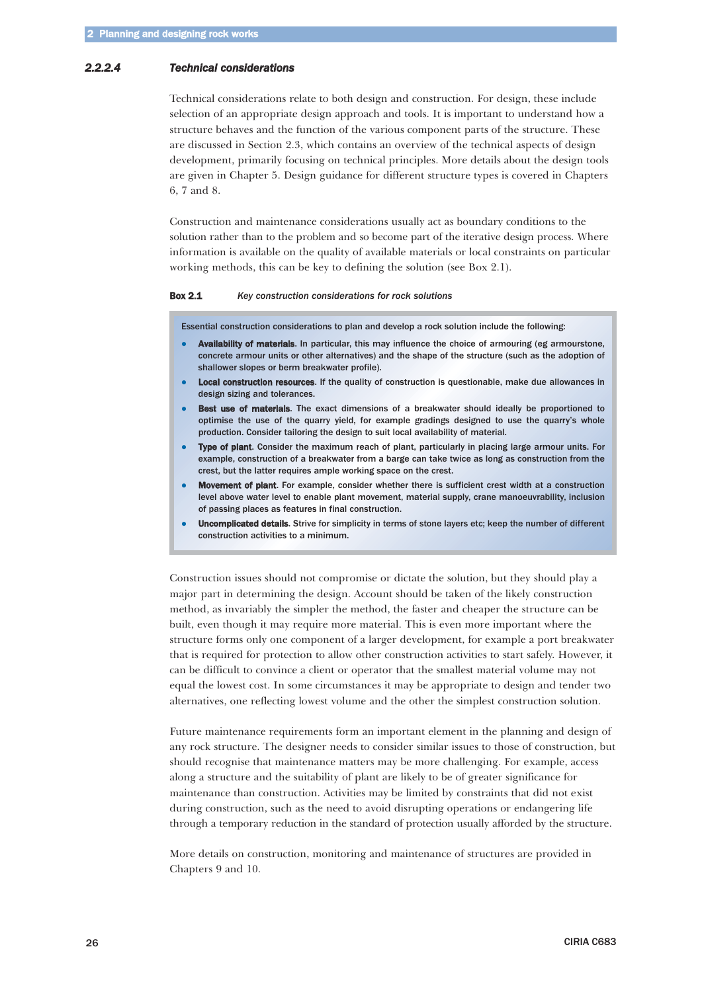### <span id="page-11-0"></span>*2.2.2.4 Technical considerations*

Technical considerations relate to both design and construction. For design, these include selection of an appropriate design approach and tools. It is important to understand how a structure behaves and the function of the various component parts of the structure. These are discussed in Section 2.3, which contains an overview of the technical aspects of design development, primarily focusing on technical principles. More details about the design tools are given in Chapter 5. Design guidance for different structure types is covered in Chapters 6, 7 and 8.

Construction and maintenance considerations usually act as boundary conditions to the solution rather than to the problem and so become part of the iterative design process. Where information is available on the quality of available materials or local constraints on particular working methods, this can be key to defining the solution (see Box 2.1).

#### Box 2.1 *Key construction considerations for rock solutions*

Essential construction considerations to plan and develop a rock solution include the following:

- - Availability of materials. In particular, this may influence the choice of armouring (eg armourstone, concrete armour units or other alternatives) and the shape of the structure (such as the adoption of shallower slopes or berm breakwater profile).
- $\bullet$ Local construction resources. If the quality of construction is questionable, make due allowances in design sizing and tolerances.
- $\bullet$ Best use of materials. The exact dimensions of a breakwater should ideally be proportioned to optimise the use of the quarry yield, for example gradings designed to use the quarry's whole production. Consider tailoring the design to suit local availability of material.
- $\bullet$ Type of plant. Consider the maximum reach of plant, particularly in placing large armour units. For example, construction of a breakwater from a barge can take twice as long as construction from the crest, but the latter requires ample working space on the crest.
- $\bullet$  Movement of plant. For example, consider whether there is sufficient crest width at a construction level above water level to enable plant movement, material supply, crane manoeuvrability, inclusion of passing places as features in final construction.
- $\bullet$  Uncomplicated details. Strive for simplicity in terms of stone layers etc; keep the number of different construction activities to a minimum.

Construction issues should not compromise or dictate the solution, but they should play a major part in determining the design. Account should be taken of the likely construction method, as invariably the simpler the method, the faster and cheaper the structure can be built, even though it may require more material. This is even more important where the structure forms only one component of a larger development, for example a port breakwater that is required for protection to allow other construction activities to start safely. However, it can be difficult to convince a client or operator that the smallest material volume may not equal the lowest cost. In some circumstances it may be appropriate to design and tender two alternatives, one reflecting lowest volume and the other the simplest construction solution.

Future maintenance requirements form an important element in the planning and design of any rock structure. The designer needs to consider similar issues to those of construction, but should recognise that maintenance matters may be more challenging. For example, access along a structure and the suitability of plant are likely to be of greater significance for maintenance than construction. Activities may be limited by constraints that did not exist during construction, such as the need to avoid disrupting operations or endangering life through a temporary reduction in the standard of protection usually afforded by the structure.

More details on construction, monitoring and maintenance of structures are provided in Chapters 9 and 10.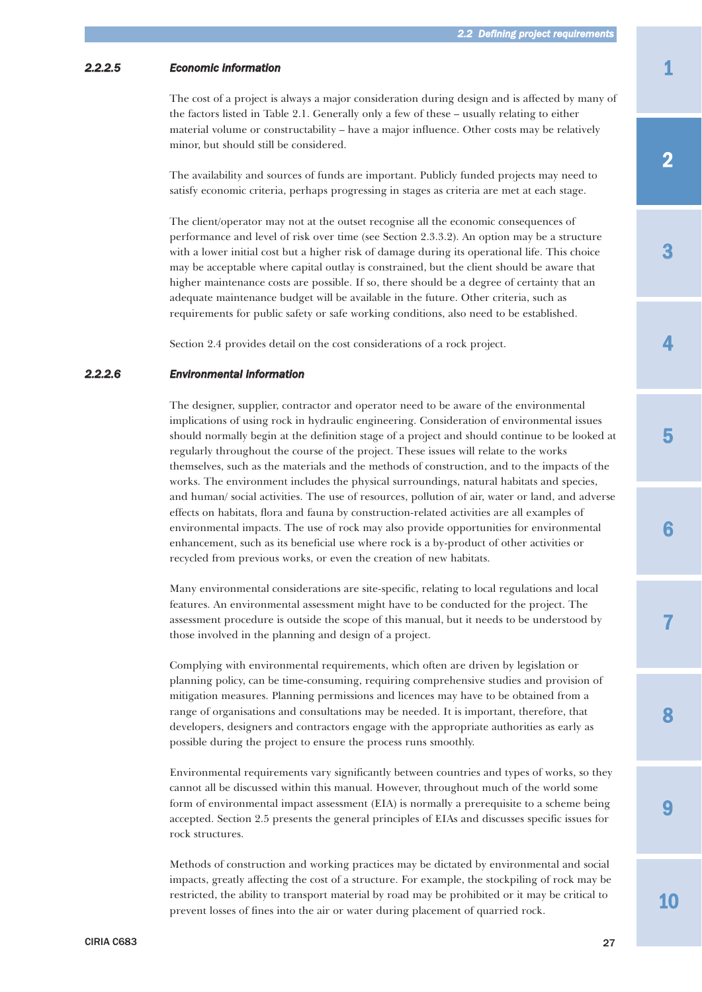# <span id="page-12-0"></span>*2.2.2.5 Economic information*

The cost of a project is always a major consideration during design and is affected by many of the factors listed in Table 2.1. Generally only a few of these – usually relating to either material volume or constructability – have a major influence. Other costs may be relatively minor, but should still be considered.

The availability and sources of funds are important. Publicly funded projects may need to satisfy economic criteria, perhaps progressing in stages as criteria are met at each stage.

The client/operator may not at the outset recognise all the economic consequences of performance and level of risk over time (see Section 2.3.3.2). An option may be a structure with a lower initial cost but a higher risk of damage during its operational life. This choice may be acceptable where capital outlay is constrained, but the client should be aware that higher maintenance costs are possible. If so, there should be a degree of certainty that an adequate maintenance budget will be available in the future. Other criteria, such as requirements for public safety or safe working conditions, also need to be established.

Section 2.4 provides detail on the cost considerations of a rock project.

### *2.2.2.6 Environmental information*

The designer, supplier, contractor and operator need to be aware of the environmental implications of using rock in hydraulic engineering. Consideration of environmental issues should normally begin at the definition stage of a project and should continue to be looked at regularly throughout the course of the project. These issues will relate to the works themselves, such as the materials and the methods of construction, and to the impacts of the works. The environment includes the physical surroundings, natural habitats and species, and human/ social activities. The use of resources, pollution of air, water or land, and adverse effects on habitats, flora and fauna by construction-related activities are all examples of environmental impacts. The use of rock may also provide opportunities for environmental enhancement, such as its beneficial use where rock is a by-product of other activities or recycled from previous works, or even the creation of new habitats.

Many environmental considerations are site-specific, relating to local regulations and local features. An environmental assessment might have to be conducted for the project. The assessment procedure is outside the scope of this manual, but it needs to be understood by those involved in the planning and design of a project.

Complying with environmental requirements, which often are driven by legislation or planning policy, can be time-consuming, requiring comprehensive studies and provision of mitigation measures. Planning permissions and licences may have to be obtained from a range of organisations and consultations may be needed. It is important, therefore, that developers, designers and contractors engage with the appropriate authorities as early as possible during the project to ensure the process runs smoothly.

Environmental requirements vary significantly between countries and types of works, so they cannot all be discussed within this manual. However, throughout much of the world some form of environmental impact assessment (EIA) is normally a prerequisite to a scheme being accepted. Section 2.5 presents the general principles of EIAs and discusses specific issues for rock structures.

Methods of construction and working practices may be dictated by environmental and social impacts, greatly affecting the cost of a structure. For example, the stockpiling of rock may be restricted, the ability to transport material by road may be prohibited or it may be critical to prevent losses of fines into the air or water during placement of quarried rock.

3

4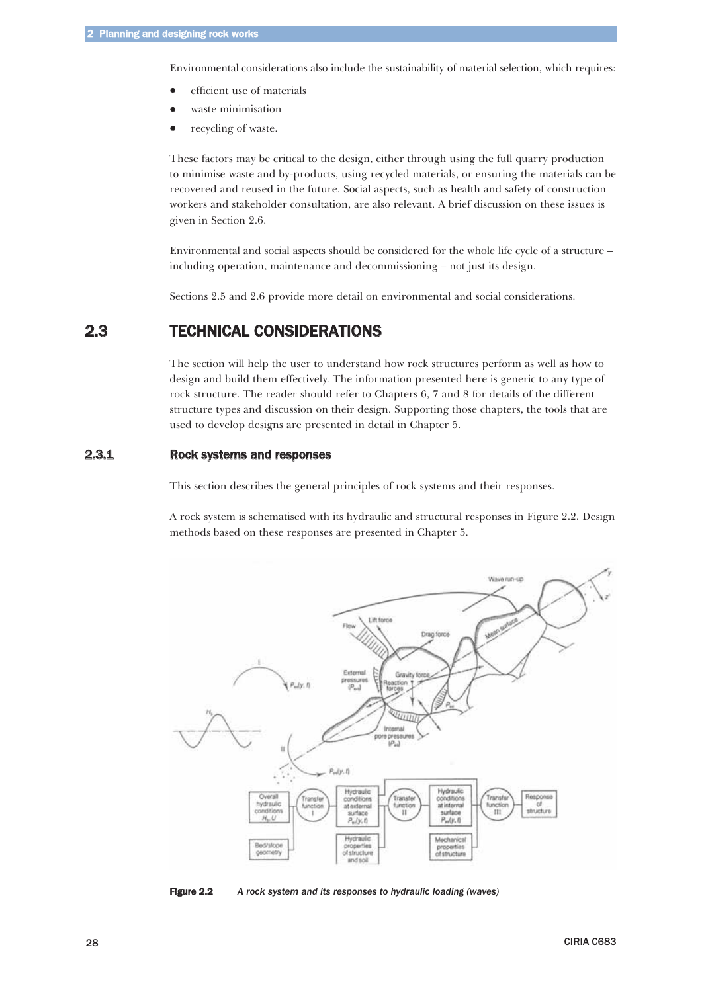<span id="page-13-0"></span>Environmental considerations also include the sustainability of material selection, which requires:

- $\bullet$ efficient use of materials
- $\bullet$ waste minimisation
- $\bullet$ recycling of waste.

These factors may be critical to the design, either through using the full quarry production to minimise waste and by-products, using recycled materials, or ensuring the materials can be recovered and reused in the future. Social aspects, such as health and safety of construction workers and stakeholder consultation, are also relevant. A brief discussion on these issues is given in Section 2.6.

Environmental and social aspects should be considered for the whole life cycle of a structure – including operation, maintenance and decommissioning – not just its design.

Sections 2.5 and 2.6 provide more detail on environmental and social considerations.

# 2.3 TECHNICAL CONSIDERATIONS

The section will help the user to understand how rock structures perform as well as how to design and build them effectively. The information presented here is generic to any type of rock structure. The reader should refer to Chapters 6, 7 and 8 for details of the different structure types and discussion on their design. Supporting those chapters, the tools that are used to develop designs are presented in detail in Chapter 5.

# 2.3.1 Rock systems and responses

This section describes the general principles of rock systems and their responses.

A rock system is schematised with its hydraulic and structural responses in Figure 2.2. Design methods based on these responses are presented in Chapter 5.



Figure 2.2 *A rock system and its responses to hydraulic loading (waves)*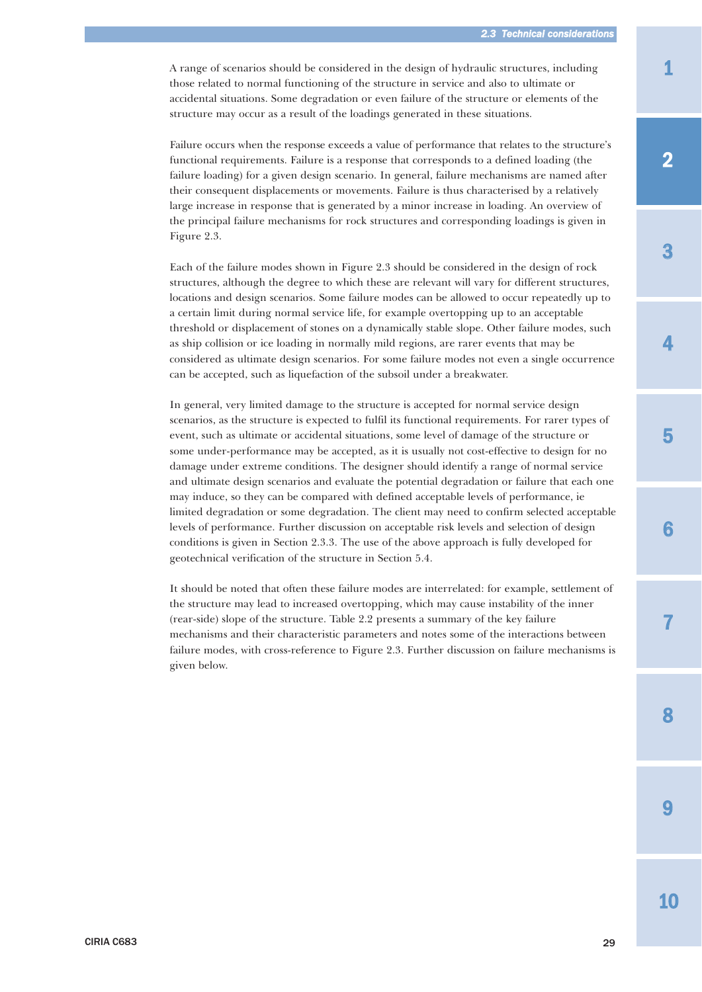A range of scenarios should be considered in the design of hydraulic structures, including those related to normal functioning of the structure in service and also to ultimate or accidental situations. Some degradation or even failure of the structure or elements of the structure may occur as a result of the loadings generated in these situations.

Failure occurs when the response exceeds a value of performance that relates to the structure's functional requirements. Failure is a response that corresponds to a defined loading (the failure loading) for a given design scenario. In general, failure mechanisms are named after their consequent displacements or movements. Failure is thus characterised by a relatively large increase in response that is generated by a minor increase in loading. An overview of the principal failure mechanisms for rock structures and corresponding loadings is given in Figure 2.3.

Each of the failure modes shown in Figure 2.3 should be considered in the design of rock structures, although the degree to which these are relevant will vary for different structures, locations and design scenarios. Some failure modes can be allowed to occur repeatedly up to a certain limit during normal service life, for example overtopping up to an acceptable threshold or displacement of stones on a dynamically stable slope. Other failure modes, such as ship collision or ice loading in normally mild regions, are rarer events that may be considered as ultimate design scenarios. For some failure modes not even a single occurrence can be accepted, such as liquefaction of the subsoil under a breakwater.

In general, very limited damage to the structure is accepted for normal service design scenarios, as the structure is expected to fulfil its functional requirements. For rarer types of event, such as ultimate or accidental situations, some level of damage of the structure or some under-performance may be accepted, as it is usually not cost-effective to design for no damage under extreme conditions. The designer should identify a range of normal service and ultimate design scenarios and evaluate the potential degradation or failure that each one may induce, so they can be compared with defined acceptable levels of performance, ie limited degradation or some degradation. The client may need to confirm selected acceptable levels of performance. Further discussion on acceptable risk levels and selection of design conditions is given in Section 2.3.3. The use of the above approach is fully developed for geotechnical verification of the structure in Section 5.4.

It should be noted that often these failure modes are interrelated: for example, settlement of the structure may lead to increased overtopping, which may cause instability of the inner (rear-side) slope of the structure. Table 2.2 presents a summary of the key failure mechanisms and their characteristic parameters and notes some of the interactions between failure modes, with cross-reference to Figure 2.3. Further discussion on failure mechanisms is given below.

4

3

5

7

9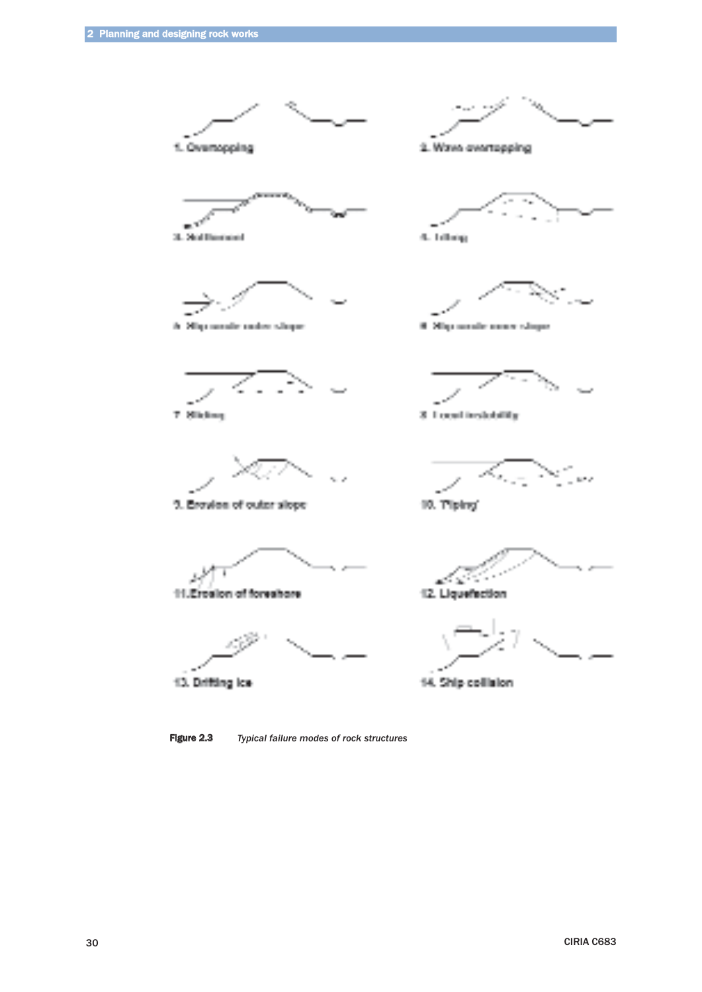

Figure 2.3 *Typical failure modes of rock structures*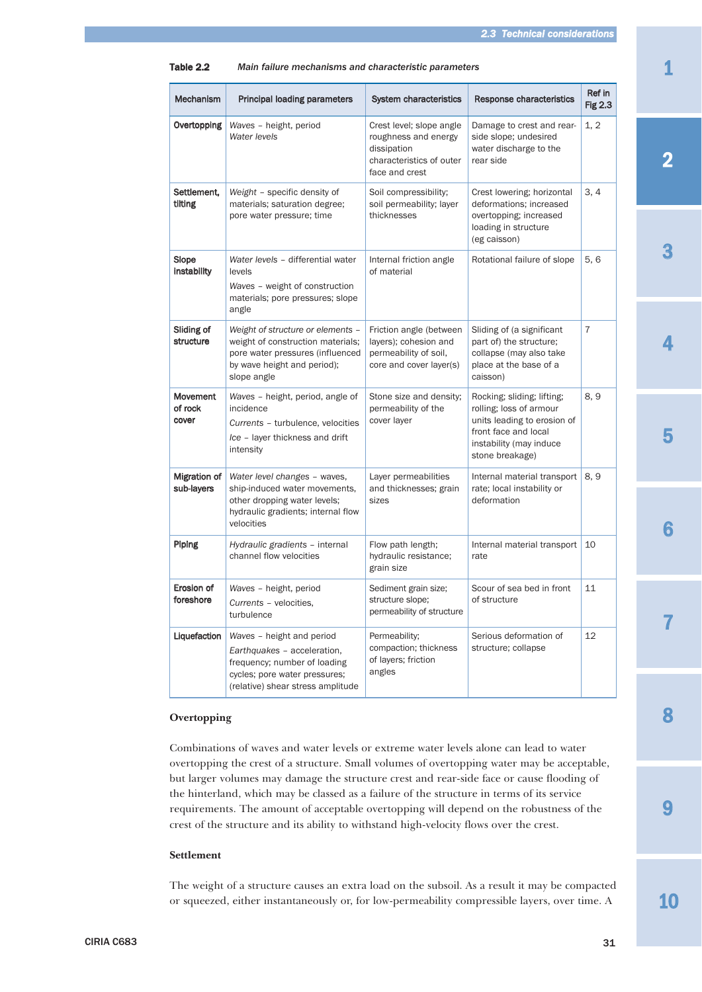| <b>Principal loading parameters</b>                                                                                                                            | System characteristics                                                                                        | Response characteristics                                                                                                                                   | Ref in<br><b>Fig 2.3</b> |
|----------------------------------------------------------------------------------------------------------------------------------------------------------------|---------------------------------------------------------------------------------------------------------------|------------------------------------------------------------------------------------------------------------------------------------------------------------|--------------------------|
| Waves - height, period<br>Water levels                                                                                                                         | Crest level; slope angle<br>roughness and energy<br>dissipation<br>characteristics of outer<br>face and crest | Damage to crest and rear-<br>side slope; undesired<br>water discharge to the<br>rear side                                                                  | 1, 2                     |
| Weight - specific density of<br>materials; saturation degree;<br>pore water pressure; time                                                                     | Soil compressibility;<br>soil permeability; layer<br>thicknesses                                              | Crest lowering; horizontal<br>deformations: increased<br>overtopping; increased<br>loading in structure<br>(eg caisson)                                    | 3, 4                     |
| Water levels - differential water<br>levels<br>Waves - weight of construction<br>materials; pore pressures; slope<br>angle                                     | Internal friction angle<br>of material                                                                        | Rotational failure of slope                                                                                                                                | 5, 6                     |
| Weight of structure or elements -<br>weight of construction materials;<br>pore water pressures (influenced<br>by wave height and period);<br>slope angle       | Friction angle (between<br>layers); cohesion and<br>permeability of soil,<br>core and cover layer(s)          | Sliding of (a significant<br>part of) the structure;<br>collapse (may also take<br>place at the base of a<br>caisson)                                      | $\overline{7}$           |
| Waves - height, period, angle of<br>incidence<br>Currents - turbulence, velocities<br>Ice - layer thickness and drift<br>intensity                             | Stone size and density;<br>permeability of the<br>cover layer                                                 | Rocking; sliding; lifting;<br>rolling; loss of armour<br>units leading to erosion of<br>front face and local<br>instability (may induce<br>stone breakage) | 8, 9                     |
| Water level changes - waves,<br>ship-induced water movements,<br>other dropping water levels;<br>hydraulic gradients; internal flow<br>velocities              | Layer permeabilities<br>and thicknesses; grain<br>sizes                                                       | Internal material transport<br>rate; local instability or<br>deformation                                                                                   | 8, 9                     |
| Hydraulic gradients - internal<br>channel flow velocities                                                                                                      | Flow path length;<br>hydraulic resistance;<br>grain size                                                      | Internal material transport<br>rate                                                                                                                        | 10                       |
| Waves - height, period<br>Currents - velocities,<br>turbulence                                                                                                 | Sediment grain size;<br>structure slope;<br>permeability of structure                                         | Scour of sea bed in front<br>of structure                                                                                                                  | 11                       |
| Waves - height and period<br>Earthquakes - acceleration,<br>frequency; number of loading<br>cycles; pore water pressures;<br>(relative) shear stress amplitude | Permeability;<br>compaction; thickness<br>of layers; friction<br>angles                                       | Serious deformation of<br>structure; collapse                                                                                                              | 12                       |
|                                                                                                                                                                |                                                                                                               |                                                                                                                                                            |                          |

#### Table 2.2 *Main failure mechanisms and characteristic parameters*

#### **Overtopping**

Combinations of waves and water levels or extreme water levels alone can lead to water overtopping the crest of a structure. Small volumes of overtopping water may be acceptable, but larger volumes may damage the structure crest and rear-side face or cause flooding of the hinterland, which may be classed as a failure of the structure in terms of its service requirements. The amount of acceptable overtopping will depend on the robustness of the crest of the structure and its ability to withstand high-velocity flows over the crest.

### **Settlement**

The weight of a structure causes an extra load on the subsoil. As a result it may be compacted or squeezed, either instantaneously or, for low-permeability compressible layers, over time. A

3

4

6

7

9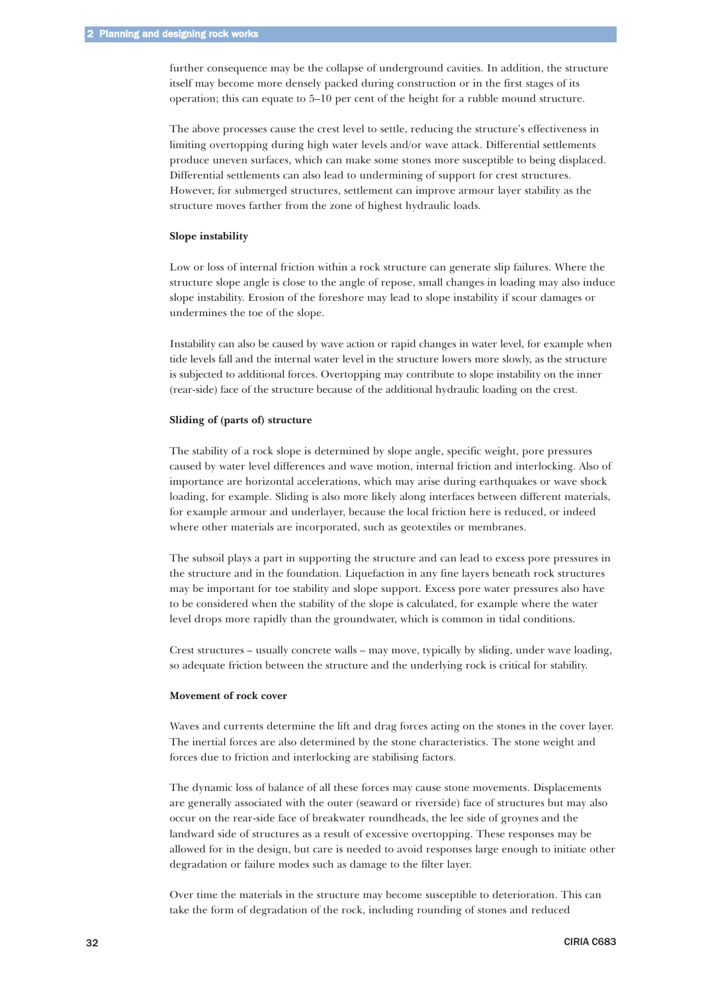further consequence may be the collapse of underground cavities. In addition, the structure itself may become more densely packed during construction or in the first stages of its operation; this can equate to 5–10 per cent of the height for a rubble mound structure.

The above processes cause the crest level to settle, reducing the structure's effectiveness in limiting overtopping during high water levels and/or wave attack. Differential settlements produce uneven surfaces, which can make some stones more susceptible to being displaced. Differential settlements can also lead to undermining of support for crest structures. However, for submerged structures, settlement can improve armour layer stability as the structure moves farther from the zone of highest hydraulic loads.

#### **Slope instability**

Low or loss of internal friction within a rock structure can generate slip failures. Where the structure slope angle is close to the angle of repose, small changes in loading may also induce slope instability. Erosion of the foreshore may lead to slope instability if scour damages or undermines the toe of the slope.

Instability can also be caused by wave action or rapid changes in water level, for example when tide levels fall and the internal water level in the structure lowers more slowly, as the structure is subjected to additional forces. Overtopping may contribute to slope instability on the inner (rear-side) face of the structure because of the additional hydraulic loading on the crest.

#### **Sliding of (parts of) structure**

The stability of a rock slope is determined by slope angle, specific weight, pore pressures caused by water level differences and wave motion, internal friction and interlocking. Also of importance are horizontal accelerations, which may arise during earthquakes or wave shock loading, for example. Sliding is also more likely along interfaces between different materials, for example armour and underlayer, because the local friction here is reduced, or indeed where other materials are incorporated, such as geotextiles or membranes.

The subsoil plays a part in supporting the structure and can lead to excess pore pressures in the structure and in the foundation. Liquefaction in any fine layers beneath rock structures may be important for toe stability and slope support. Excess pore water pressures also have to be considered when the stability of the slope is calculated, for example where the water level drops more rapidly than the groundwater, which is common in tidal conditions.

Crest structures – usually concrete walls – may move, typically by sliding, under wave loading, so adequate friction between the structure and the underlying rock is critical for stability.

#### **Movement of rock cover**

Waves and currents determine the lift and drag forces acting on the stones in the cover layer. The inertial forces are also determined by the stone characteristics. The stone weight and forces due to friction and interlocking are stabilising factors.

The dynamic loss of balance of all these forces may cause stone movements. Displacements are generally associated with the outer (seaward or riverside) face of structures but may also occur on the rear-side face of breakwater roundheads, the lee side of groynes and the landward side of structures as a result of excessive overtopping. These responses may be allowed for in the design, but care is needed to avoid responses large enough to initiate other degradation or failure modes such as damage to the filter layer.

Over time the materials in the structure may become susceptible to deterioration. This can take the form of degradation of the rock, including rounding of stones and reduced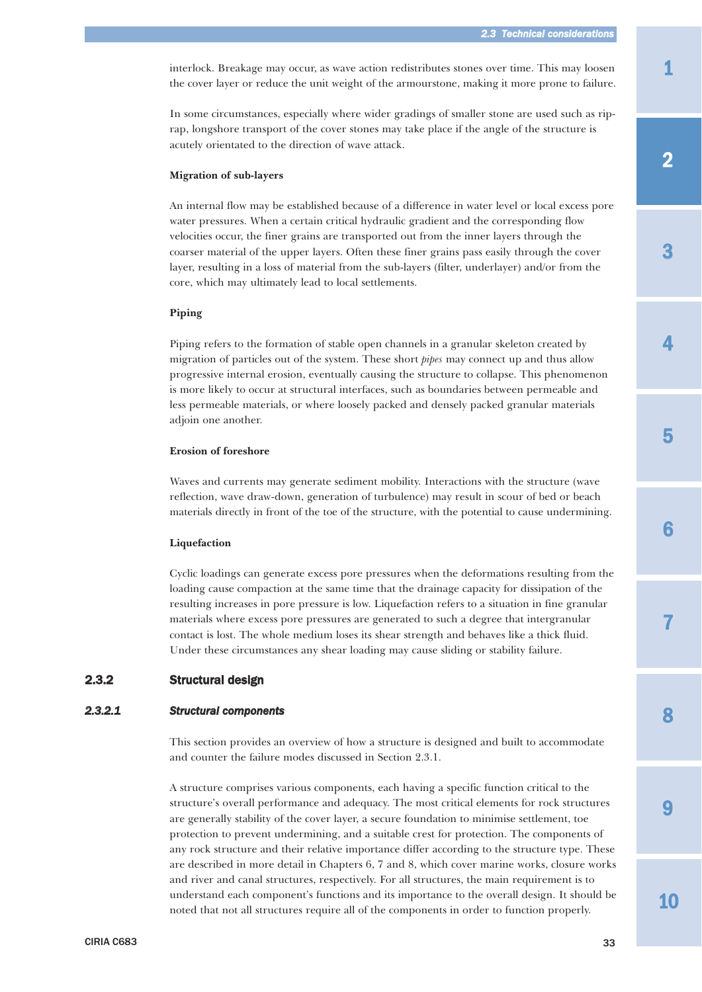<span id="page-18-0"></span>interlock. Breakage may occur, as wave action redistributes stones over time. This may loosen the cover layer or reduce the unit weight of the armourstone, making it more prone to failure.

In some circumstances, especially where wider gradings of smaller stone are used such as riprap, longshore transport of the cover stones may take place if the angle of the structure is acutely orientated to the direction of wave attack.

#### **Migration of sub-layers**

An internal flow may be established because of a difference in water level or local excess pore water pressures. When a certain critical hydraulic gradient and the corresponding flow velocities occur, the finer grains are transported out from the inner layers through the coarser material of the upper layers. Often these finer grains pass easily through the cover layer, resulting in a loss of material from the sub-layers (filter, underlayer) and/or from the core, which may ultimately lead to local settlements.

#### **Piping**

Piping refers to the formation of stable open channels in a granular skeleton created by migration of particles out of the system. These short *pipes* may connect up and thus allow progressive internal erosion, eventually causing the structure to collapse. This phenomenon is more likely to occur at structural interfaces, such as boundaries between permeable and less permeable materials, or where loosely packed and densely packed granular materials adjoin one another.

#### **Erosion of foreshore**

Waves and currents may generate sediment mobility. Interactions with the structure (wave reflection, wave draw-down, generation of turbulence) may result in scour of bed or beach materials directly in front of the toe of the structure, with the potential to cause undermining.

#### **Liquefaction**

Cyclic loadings can generate excess pore pressures when the deformations resulting from the loading cause compaction at the same time that the drainage capacity for dissipation of the resulting increases in pore pressure is low. Liquefaction refers to a situation in fine granular materials where excess pore pressures are generated to such a degree that intergranular contact is lost. The whole medium loses its shear strength and behaves like a thick fluid. Under these circumstances any shear loading may cause sliding or stability failure.

# 2.3.2 Structural design

### *2.3.2.1 Structural components*

This section provides an overview of how a structure is designed and built to accommodate and counter the failure modes discussed in Section 2.3.1.

A structure comprises various components, each having a specific function critical to the structure's overall performance and adequacy. The most critical elements for rock structures are generally stability of the cover layer, a secure foundation to minimise settlement, toe protection to prevent undermining, and a suitable crest for protection. The components of any rock structure and their relative importance differ according to the structure type. These are described in more detail in Chapters 6, 7 and 8, which cover marine works, closure works and river and canal structures, respectively. For all structures, the main requirement is to understand each component's functions and its importance to the overall design. It should be noted that not all structures require all of the components in order to function properly.

3

7

9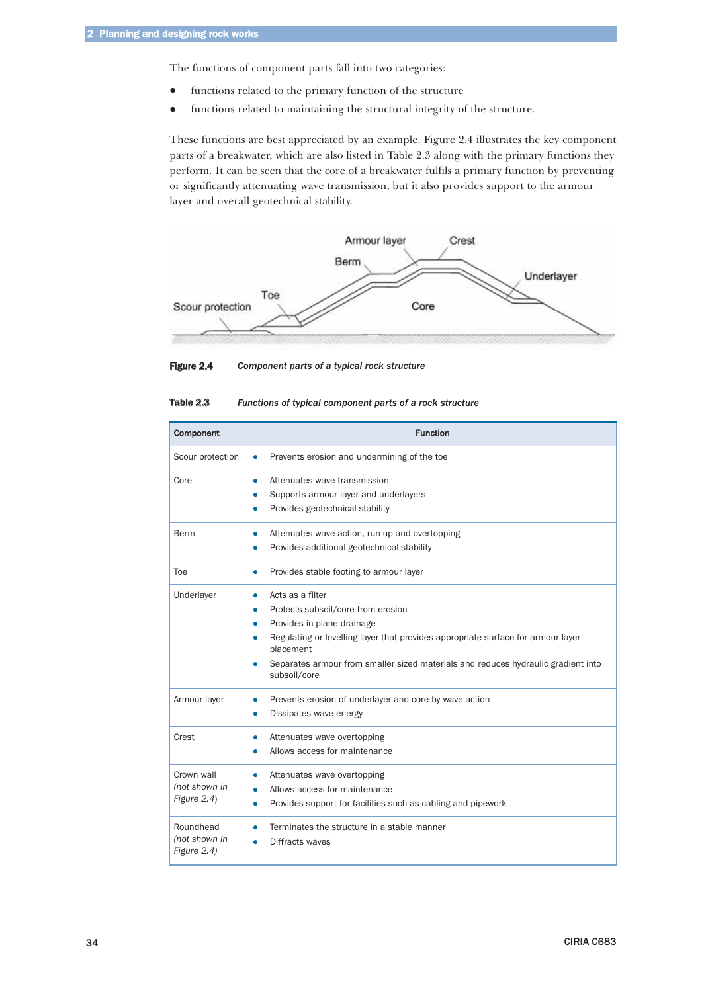The functions of component parts fall into two categories:

- functions related to the primary function of the structure
- $\bullet$ functions related to maintaining the structural integrity of the structure.

These functions are best appreciated by an example. Figure 2.4 illustrates the key component parts of a breakwater, which are also listed in Table 2.3 along with the primary functions they perform. It can be seen that the core of a breakwater fulfils a primary function by preventing or significantly attenuating wave transmission, but it also provides support to the armour layer and overall geotechnical stability.





| Table 2.3<br>Functions of typical component parts of a rock structure |  |
|-----------------------------------------------------------------------|--|
|-----------------------------------------------------------------------|--|

| Component                                  | <b>Function</b>                                                                                                                                                                                                                                                                                                                   |
|--------------------------------------------|-----------------------------------------------------------------------------------------------------------------------------------------------------------------------------------------------------------------------------------------------------------------------------------------------------------------------------------|
| Scour protection                           | Prevents erosion and undermining of the toe<br>$\bullet$                                                                                                                                                                                                                                                                          |
| Core                                       | Attenuates wave transmission<br>$\bullet$<br>Supports armour layer and underlayers<br>$\bullet$<br>Provides geotechnical stability<br>$\bullet$                                                                                                                                                                                   |
| Berm                                       | Attenuates wave action, run-up and overtopping<br>$\bullet$<br>Provides additional geotechnical stability<br>$\bullet$                                                                                                                                                                                                            |
| Toe                                        | Provides stable footing to armour layer<br>$\bullet$                                                                                                                                                                                                                                                                              |
| Underlayer                                 | Acts as a filter<br>$\bullet$<br>Protects subsoil/core from erosion<br>$\bullet$<br>Provides in-plane drainage<br>$\bullet$<br>Regulating or levelling layer that provides appropriate surface for armour layer<br>placement<br>Separates armour from smaller sized materials and reduces hydraulic gradient into<br>subsoil/core |
| Armour layer                               | Prevents erosion of underlayer and core by wave action<br>$\bullet$<br>Dissipates wave energy<br>$\bullet$                                                                                                                                                                                                                        |
| Crest                                      | Attenuates wave overtopping<br>0<br>Allows access for maintenance                                                                                                                                                                                                                                                                 |
| Crown wall<br>(not shown in<br>Figure 2.4) | Attenuates wave overtopping<br>$\bullet$<br>Allows access for maintenance<br>$\bullet$<br>Provides support for facilities such as cabling and pipework<br>$\bullet$                                                                                                                                                               |
| Roundhead<br>(not shown in<br>Figure 2.4)  | Terminates the structure in a stable manner<br>$\bullet$<br>Diffracts waves<br>$\bullet$                                                                                                                                                                                                                                          |

34 CIRIA C683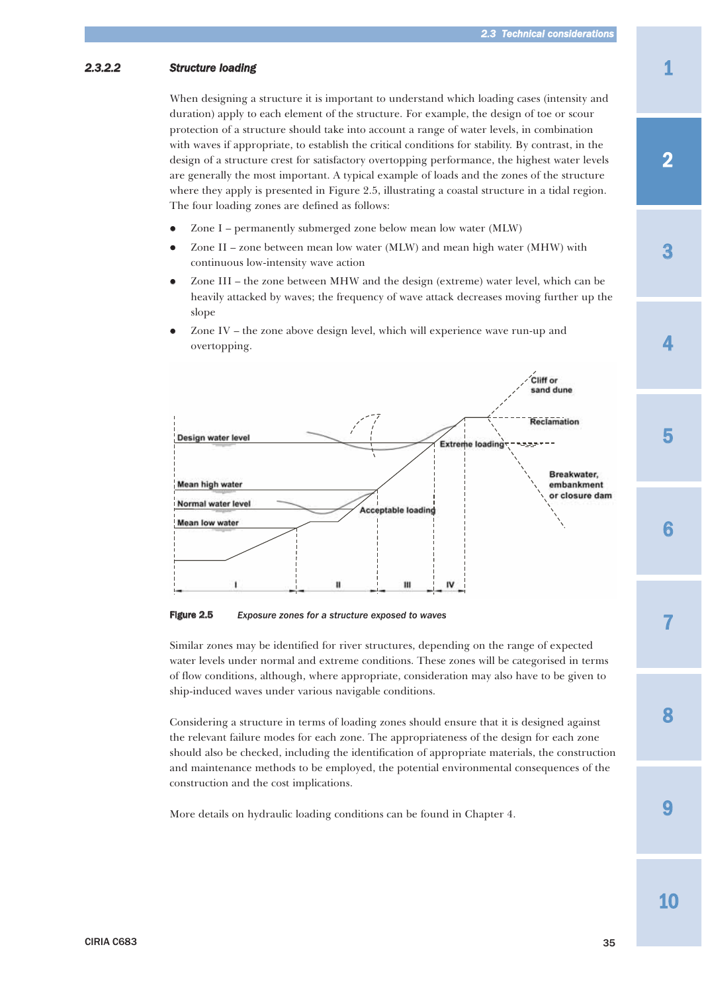# <span id="page-20-0"></span>*2.3.2.2 Structure loading*

When designing a structure it is important to understand which loading cases (intensity and duration) apply to each element of the structure. For example, the design of toe or scour protection of a structure should take into account a range of water levels, in combination with waves if appropriate, to establish the critical conditions for stability. By contrast, in the design of a structure crest for satisfactory overtopping performance, the highest water levels are generally the most important. A typical example of loads and the zones of the structure where they apply is presented in Figure 2.5, illustrating a coastal structure in a tidal region. The four loading zones are defined as follows:

- $\bullet$ Zone I – permanently submerged zone below mean low water (MLW)
- $\bullet$  Zone II – zone between mean low water (MLW) and mean high water (MHW) with continuous low-intensity wave action
- $\bullet$  Zone III – the zone between MHW and the design (extreme) water level, which can be heavily attacked by waves; the frequency of wave attack decreases moving further up the slope
- $\bullet$  Zone IV – the zone above design level, which will experience wave run-up and overtopping.



Figure 2.5 *Exposure zones for a structure exposed to waves*

Similar zones may be identified for river structures, depending on the range of expected water levels under normal and extreme conditions. These zones will be categorised in terms of flow conditions, although, where appropriate, consideration may also have to be given to ship-induced waves under various navigable conditions.

Considering a structure in terms of loading zones should ensure that it is designed against the relevant failure modes for each zone. The appropriateness of the design for each zone should also be checked, including the identification of appropriate materials, the construction and maintenance methods to be employed, the potential environmental consequences of the construction and the cost implications.

More details on hydraulic loading conditions can be found in Chapter 4.

1

3

7

9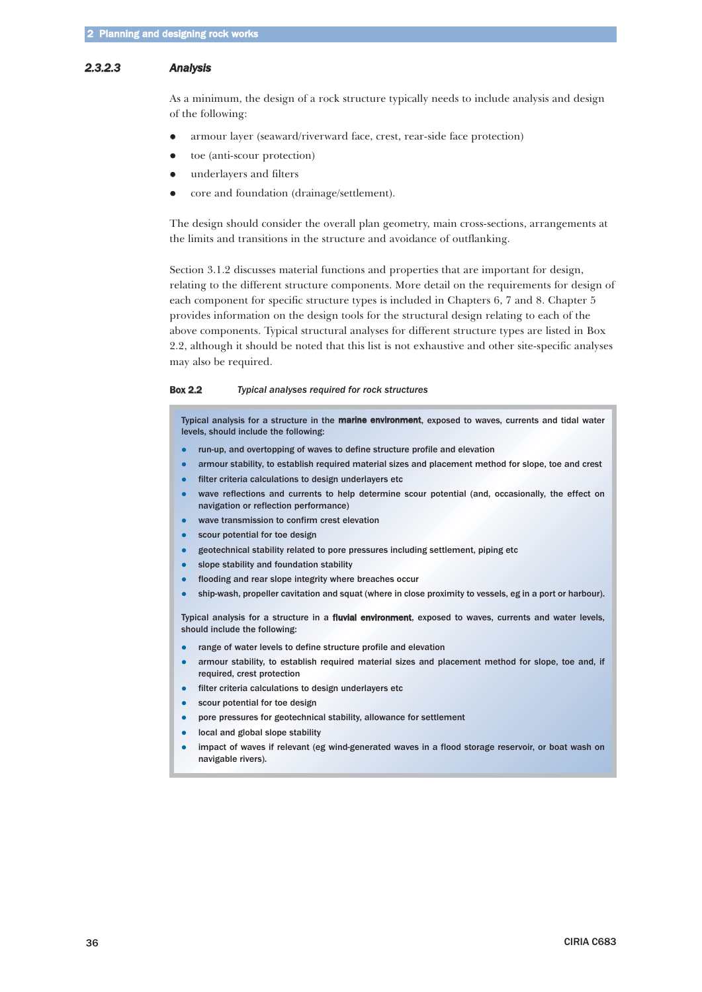#### <span id="page-21-0"></span>*2.3.2.3 Analysis*

As a minimum, the design of a rock structure typically needs to include analysis and design of the following:

- $\bullet$ armour layer (seaward/riverward face, crest, rear-side face protection)
- $\bullet$ toe (anti-scour protection)
- $\bullet$ underlayers and filters
- $\bullet$ core and foundation (drainage/settlement).

The design should consider the overall plan geometry, main cross-sections, arrangements at the limits and transitions in the structure and avoidance of outflanking.

Section 3.1.2 discusses material functions and properties that are important for design, relating to the different structure components. More detail on the requirements for design of each component for specific structure types is included in Chapters 6, 7 and 8. Chapter 5 provides information on the design tools for the structural design relating to each of the above components. Typical structural analyses for different structure types are listed in Box 2.2, although it should be noted that this list is not exhaustive and other site-specific analyses may also be required.

#### Box 2.2 *Typical analyses required for rock structures*

Typical analysis for a structure in the marine environment, exposed to waves, currents and tidal water levels, should include the following:

- run-up, and overtopping of waves to define structure profile and elevation
- $\bullet$ armour stability, to establish required material sizes and placement method for slope, toe and crest
- $\bullet$ filter criteria calculations to design underlayers etc
- $\bullet$  wave reflections and currents to help determine scour potential (and, occasionally, the effect on navigation or reflection performance)
- wave transmission to confirm crest elevation
- $\bullet$ scour potential for toe design
- geotechnical stability related to pore pressures including settlement, piping etc
- $\bullet$ slope stability and foundation stability
- $\bullet$ flooding and rear slope integrity where breaches occur
- $\bullet$ ship-wash, propeller cavitation and squat (where in close proximity to vessels, eg in a port or harbour).

Typical analysis for a structure in a fluvial environment, exposed to waves, currents and water levels, should include the following:

- $\bullet$ range of water levels to define structure profile and elevation
- armour stability, to establish required material sizes and placement method for slope, toe and, if required, crest protection
- filter criteria calculations to design underlayers etc
- $\bullet$ scour potential for toe design
- $\bullet$ pore pressures for geotechnical stability, allowance for settlement
- $\bullet$ local and global slope stability
- $\bullet$  impact of waves if relevant (eg wind-generated waves in a flood storage reservoir, or boat wash on navigable rivers).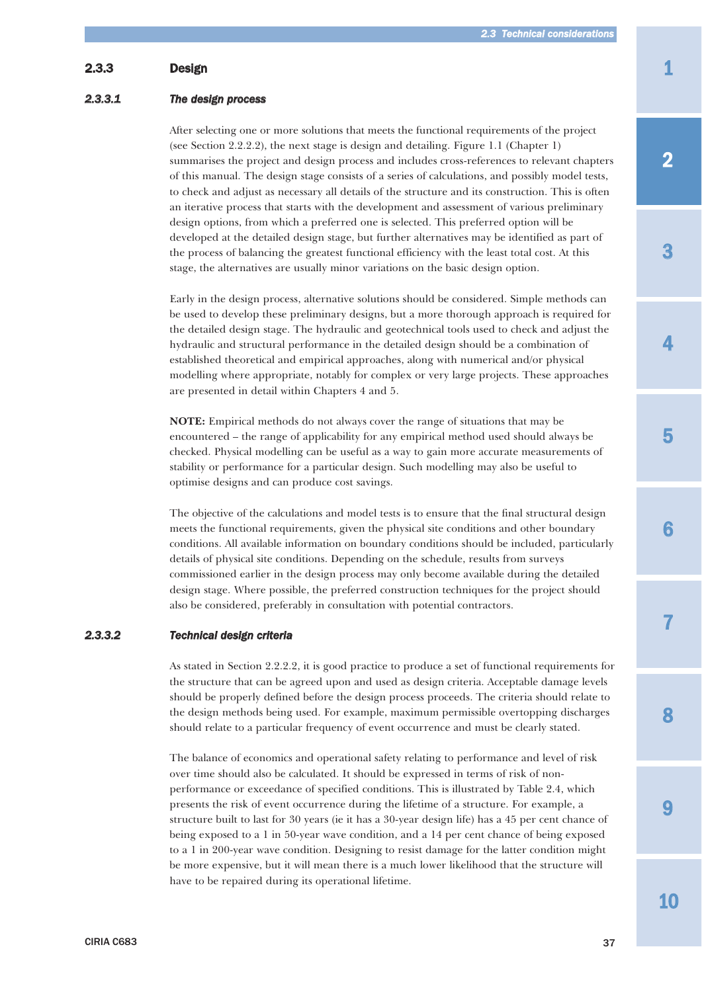# 1

# 2

3

4

5

6

7

8

9

# 10

<span id="page-22-0"></span>2.3.3 Design

# *2.3.3.1 The design process*

After selecting one or more solutions that meets the functional requirements of the project (see Section 2.2.2.2), the next stage is design and detailing. Figure 1.1 (Chapter 1) summarises the project and design process and includes cross-references to relevant chapters of this manual. The design stage consists of a series of calculations, and possibly model tests, to check and adjust as necessary all details of the structure and its construction. This is often an iterative process that starts with the development and assessment of various preliminary design options, from which a preferred one is selected. This preferred option will be developed at the detailed design stage, but further alternatives may be identified as part of the process of balancing the greatest functional efficiency with the least total cost. At this stage, the alternatives are usually minor variations on the basic design option.

Early in the design process, alternative solutions should be considered. Simple methods can be used to develop these preliminary designs, but a more thorough approach is required for the detailed design stage. The hydraulic and geotechnical tools used to check and adjust the hydraulic and structural performance in the detailed design should be a combination of established theoretical and empirical approaches, along with numerical and/or physical modelling where appropriate, notably for complex or very large projects. These approaches are presented in detail within Chapters 4 and 5.

**NOTE:** Empirical methods do not always cover the range of situations that may be encountered – the range of applicability for any empirical method used should always be checked. Physical modelling can be useful as a way to gain more accurate measurements of stability or performance for a particular design. Such modelling may also be useful to optimise designs and can produce cost savings.

The objective of the calculations and model tests is to ensure that the final structural design meets the functional requirements, given the physical site conditions and other boundary conditions. All available information on boundary conditions should be included, particularly details of physical site conditions. Depending on the schedule, results from surveys commissioned earlier in the design process may only become available during the detailed design stage. Where possible, the preferred construction techniques for the project should also be considered, preferably in consultation with potential contractors.

# *2.3.3.2 Technical design criteria*

As stated in Section 2.2.2.2, it is good practice to produce a set of functional requirements for the structure that can be agreed upon and used as design criteria. Acceptable damage levels should be properly defined before the design process proceeds. The criteria should relate to the design methods being used. For example, maximum permissible overtopping discharges should relate to a particular frequency of event occurrence and must be clearly stated.

The balance of economics and operational safety relating to performance and level of risk over time should also be calculated. It should be expressed in terms of risk of nonperformance or exceedance of specified conditions. This is illustrated by Table 2.4, which presents the risk of event occurrence during the lifetime of a structure. For example, a structure built to last for 30 years (ie it has a 30-year design life) has a 45 per cent chance of being exposed to a 1 in 50-year wave condition, and a 14 per cent chance of being exposed to a 1 in 200-year wave condition. Designing to resist damage for the latter condition might be more expensive, but it will mean there is a much lower likelihood that the structure will have to be repaired during its operational lifetime.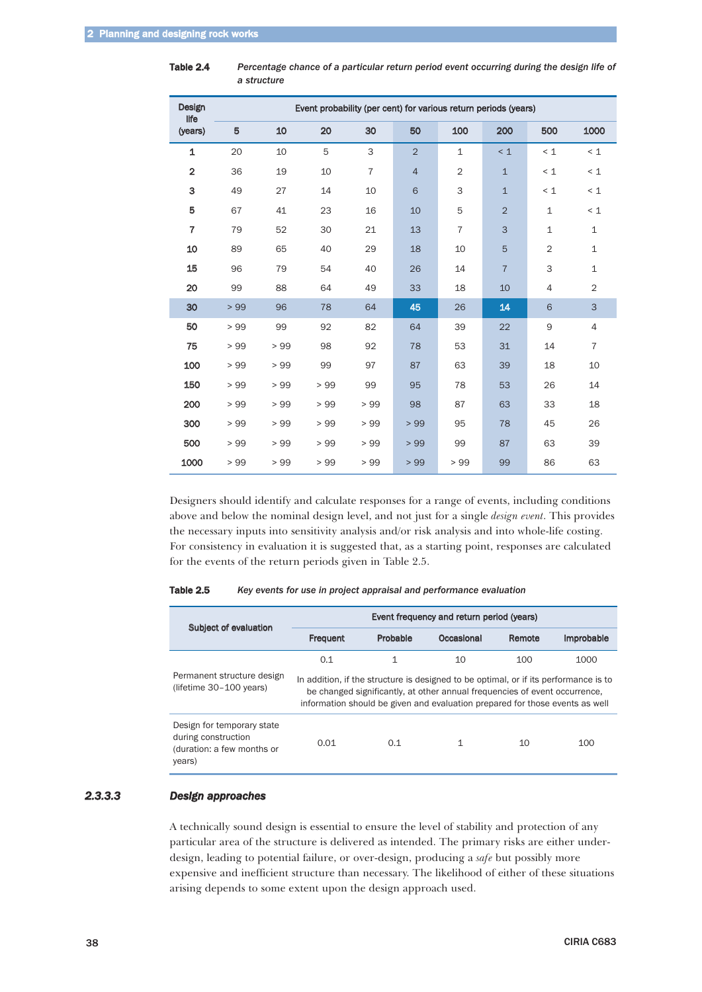| Design<br>life          | Event probability (per cent) for various return periods (years) |     |     |                |                |                |                |                |                |
|-------------------------|-----------------------------------------------------------------|-----|-----|----------------|----------------|----------------|----------------|----------------|----------------|
| (years)                 | 5                                                               | 10  | 20  | 30             | 50             | 100            | 200            | 500            | 1000           |
| 1                       | 20                                                              | 10  | 5   | 3              | $\overline{2}$ | $\mathbf{1}$   | $\leq 1$       | < 1            | < 1            |
| $\overline{\mathbf{2}}$ | 36                                                              | 19  | 10  | $\overline{7}$ | $\overline{4}$ | $\overline{2}$ | $\mathbf{1}$   | < 1            | < 1            |
| 3                       | 49                                                              | 27  | 14  | 10             | 6              | 3              | $\mathbf{1}$   | < 1            | $\leq 1$       |
| 5                       | 67                                                              | 41  | 23  | 16             | 10             | 5              | $\overline{2}$ | $\mathbf{1}$   | < 1            |
| $\overline{7}$          | 79                                                              | 52  | 30  | 21             | 13             | $\overline{7}$ | 3              | $\mathbf{1}$   | $\mathbf{1}$   |
| 10                      | 89                                                              | 65  | 40  | 29             | 18             | 10             | 5              | $\overline{2}$ | $\mathbf{1}$   |
| 15                      | 96                                                              | 79  | 54  | 40             | 26             | 14             | $\overline{7}$ | 3              | $\mathbf{1}$   |
| 20                      | 99                                                              | 88  | 64  | 49             | 33             | 18             | 10             | $\overline{4}$ | $\overline{2}$ |
| 30                      | >99                                                             | 96  | 78  | 64             | 45             | 26             | 14             | 6              | 3              |
| 50                      | > 99                                                            | 99  | 92  | 82             | 64             | 39             | 22             | 9              | $\overline{4}$ |
| 75                      | >99                                                             | >99 | 98  | 92             | 78             | 53             | 31             | 14             | $\overline{7}$ |
| 100                     | >99                                                             | >99 | 99  | 97             | 87             | 63             | 39             | 18             | 10             |
| 150                     | >99                                                             | >99 | >99 | 99             | 95             | 78             | 53             | 26             | 14             |
| 200                     | > 99                                                            | >99 | >99 | >99            | 98             | 87             | 63             | 33             | 18             |
| 300                     | >99                                                             | >99 | >99 | >99            | >99            | 95             | 78             | 45             | 26             |
| 500                     | >99                                                             | >99 | >99 | >99            | >99            | 99             | 87             | 63             | 39             |
| 1000                    | > 99                                                            | >99 | >99 | >99            | >99            | >99            | 99             | 86             | 63             |

<span id="page-23-0"></span>Table 2.4 *Percentage chance of a particular return period event occurring during the design life of a structure*

Designers should identify and calculate responses for a range of events, including conditions above and below the nominal design level, and not just for a single *design event*. This provides the necessary inputs into sensitivity analysis and/or risk analysis and into whole-life costing. For consistency in evaluation it is suggested that, as a starting point, responses are calculated for the events of the return periods given in Table 2.5.

| Subject of evaluation                                                                     | Event frequency and return period (years) |          |                                                                                                                                                                                                                                                    |        |                   |  |
|-------------------------------------------------------------------------------------------|-------------------------------------------|----------|----------------------------------------------------------------------------------------------------------------------------------------------------------------------------------------------------------------------------------------------------|--------|-------------------|--|
|                                                                                           | Frequent                                  | Probable | Occasional                                                                                                                                                                                                                                         | Remote | <b>Improbable</b> |  |
|                                                                                           | 0.1                                       | 1        | 10                                                                                                                                                                                                                                                 | 100    | 1000              |  |
| Permanent structure design<br>(lifetime 30-100 years)                                     |                                           |          | In addition, if the structure is designed to be optimal, or if its performance is to<br>be changed significantly, at other annual frequencies of event occurrence,<br>information should be given and evaluation prepared for those events as well |        |                   |  |
| Design for temporary state<br>during construction<br>(duration: a few months or<br>years) | 0.01                                      | 0.1      | 1                                                                                                                                                                                                                                                  | 10     | 100               |  |

Table 2.5 *Key events for use in project appraisal and performance evaluation*

# *2.3.3.3 Design approaches*

A technically sound design is essential to ensure the level of stability and protection of any particular area of the structure is delivered as intended. The primary risks are either underdesign, leading to potential failure, or over-design, producing a *safe* but possibly more expensive and inefficient structure than necessary. The likelihood of either of these situations arising depends to some extent upon the design approach used.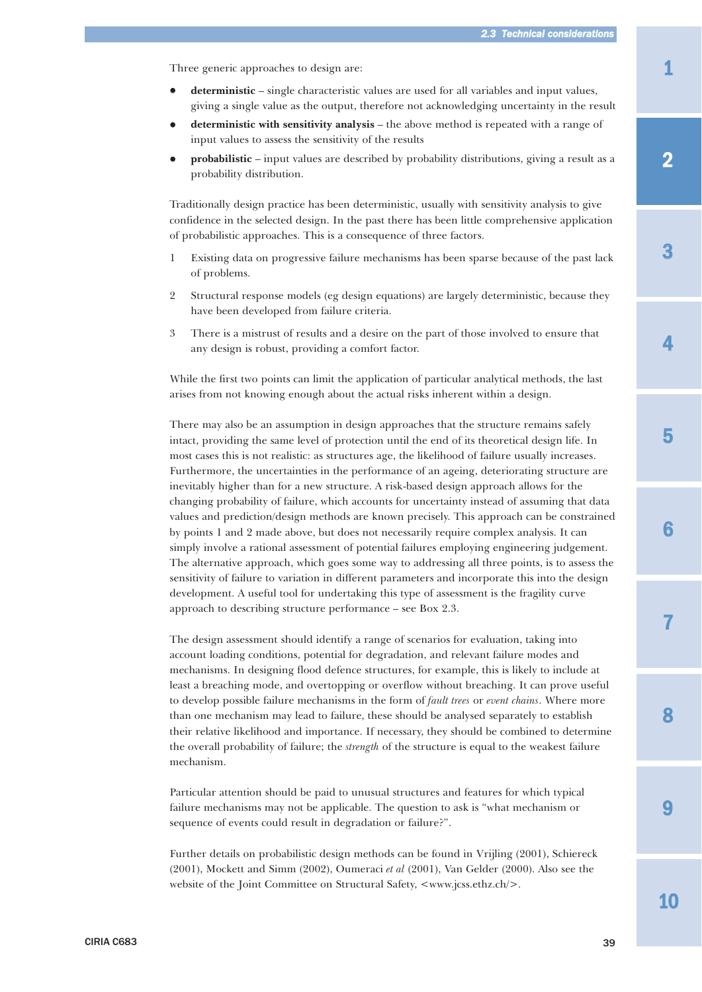Three generic approaches to design are:

- $\bullet$  **deterministic** – single characteristic values are used for all variables and input values, giving a single value as the output, therefore not acknowledging uncertainty in the result
- $\bullet$  **deterministic with sensitivity analysis** – the above method is repeated with a range of input values to assess the sensitivity of the results
- $\bullet$  **probabilistic** – input values are described by probability distributions, giving a result as a probability distribution.

Traditionally design practice has been deterministic, usually with sensitivity analysis to give confidence in the selected design. In the past there has been little comprehensive application of probabilistic approaches. This is a consequence of three factors.

- 1 Existing data on progressive failure mechanisms has been sparse because of the past lack of problems.
- 2 Structural response models (eg design equations) are largely deterministic, because they have been developed from failure criteria.
- 3 There is a mistrust of results and a desire on the part of those involved to ensure that any design is robust, providing a comfort factor.

While the first two points can limit the application of particular analytical methods, the last arises from not knowing enough about the actual risks inherent within a design.

There may also be an assumption in design approaches that the structure remains safely intact, providing the same level of protection until the end of its theoretical design life. In most cases this is not realistic: as structures age, the likelihood of failure usually increases. Furthermore, the uncertainties in the performance of an ageing, deteriorating structure are inevitably higher than for a new structure. A risk-based design approach allows for the changing probability of failure, which accounts for uncertainty instead of assuming that data values and prediction/design methods are known precisely. This approach can be constrained by points 1 and 2 made above, but does not necessarily require complex analysis. It can simply involve a rational assessment of potential failures employing engineering judgement. The alternative approach, which goes some way to addressing all three points, is to assess the sensitivity of failure to variation in different parameters and incorporate this into the design development. A useful tool for undertaking this type of assessment is the fragility curve approach to describing structure performance – see Box 2.3.

The design assessment should identify a range of scenarios for evaluation, taking into account loading conditions, potential for degradation, and relevant failure modes and mechanisms. In designing flood defence structures, for example, this is likely to include at least a breaching mode, and overtopping or overflow without breaching. It can prove useful to develop possible failure mechanisms in the form of *fault trees* or *event chains*. Where more than one mechanism may lead to failure, these should be analysed separately to establish their relative likelihood and importance. If necessary, they should be combined to determine the overall probability of failure; the *strength* of the structure is equal to the weakest failure mechanism.

Particular attention should be paid to unusual structures and features for which typical failure mechanisms may not be applicable. The question to ask is "what mechanism or sequence of events could result in degradation or failure?".

Further details on probabilistic design methods can be found in Vrijling (2001), Schiereck (2001), Mockett and Simm (2002), Oumeraci *et al* (2001), Van Gelder (2000). Also see the website of the Joint Committee on Structural Safety, <www.jcss.ethz.ch/>.

2

3

7

8

9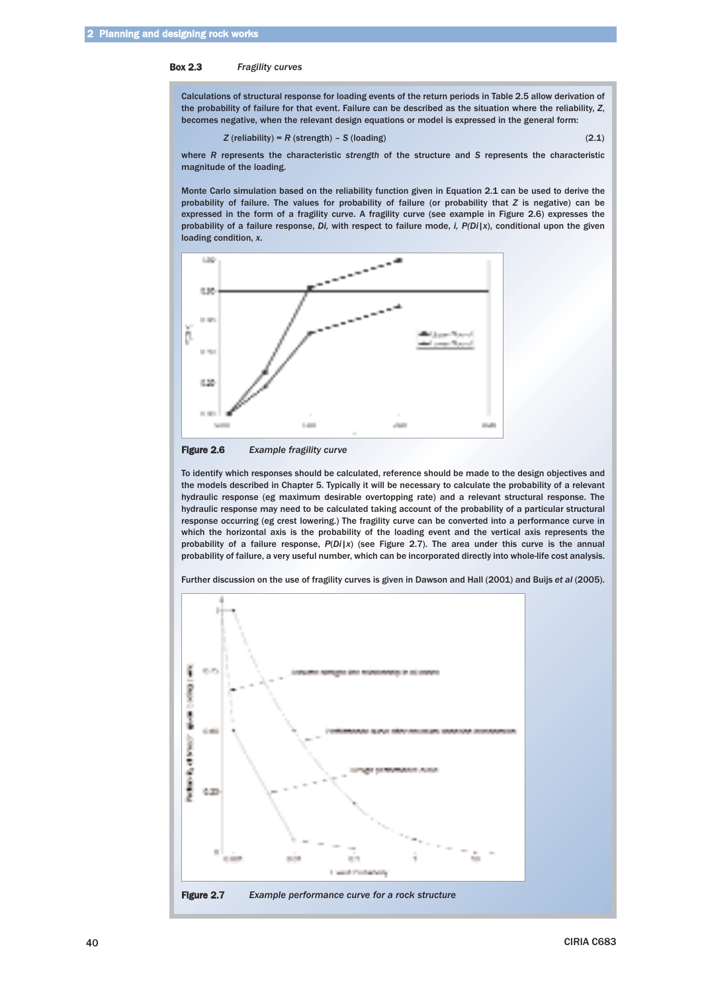#### Box 2.3 *Fragility curves*

Calculations of structural response for loading events of the return periods in Table 2.5 allow derivation of the probability of failure for that event. Failure can be described as the situation where the reliability, *Z*, becomes negative, when the relevant design equations or model is expressed in the general form:

$$
Z \text{ (reliability)} = R \text{ (strength)} - S \text{ (loading)}
$$
 (2.1)

where *R* represents the characteristic *strength* of the structure and *S* represents the characteristic magnitude of the loading.

Monte Carlo simulation based on the reliability function given in Equation 2.1 can be used to derive the probability of failure. The values for probability of failure (or probability that *Z* is negative) can be expressed in the form of a fragility curve. A fragility curve (see example in Figure 2.6) expresses the probability of a failure response, *Di,* with respect to failure mode, *i, P(Di*|*x*), conditional upon the given loading condition, *x*.



Figure 2.6 *Example fragility curve*

To identify which responses should be calculated, reference should be made to the design objectives and the models described in Chapter 5. Typically it will be necessary to calculate the probability of a relevant hydraulic response (eg maximum desirable overtopping rate) and a relevant structural response. The hydraulic response may need to be calculated taking account of the probability of a particular structural response occurring (eg crest lowering.) The fragility curve can be converted into a performance curve in which the horizontal axis is the probability of the loading event and the vertical axis represents the probability of a failure response, *P*(*Di*|*x*) (see Figure 2.7). The area under this curve is the annual probability of failure, a very useful number, which can be incorporated directly into whole-life cost analysis.

Further discussion on the use of fragility curves is given in Dawson and Hall (2001) and Buijs *et al* (2005).

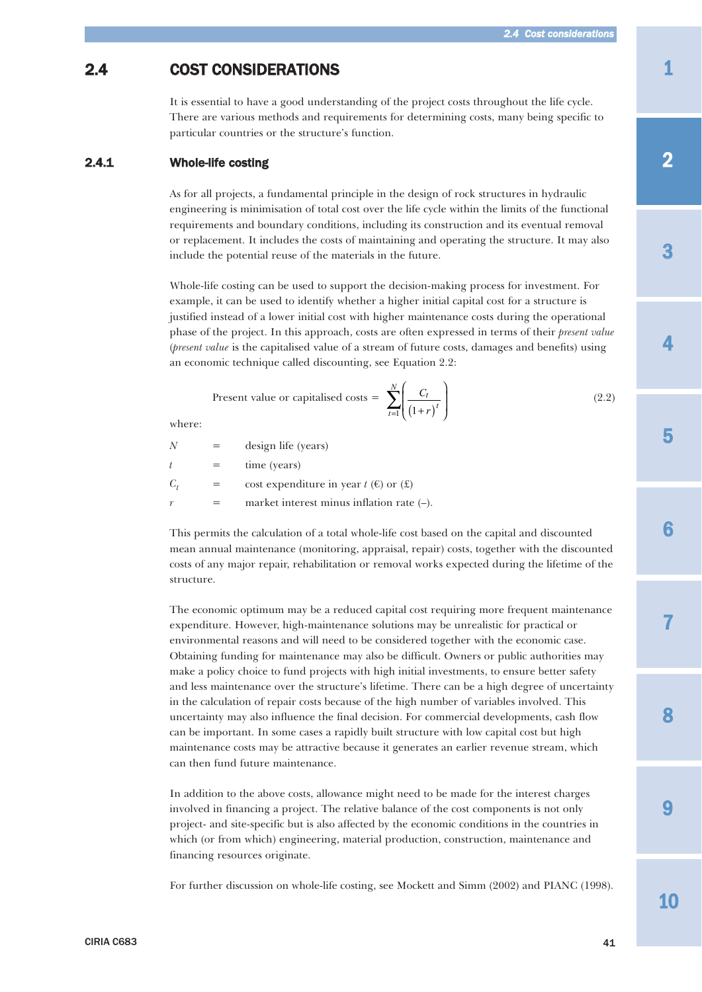# 1

3

4

5

# <span id="page-26-0"></span>2.4 COST CONSIDERATIONS

It is essential to have a good understanding of the project costs throughout the life cycle. There are various methods and requirements for determining costs, many being specific to particular countries or the structure's function.

# 2.4.1 Whole-life costing

As for all projects, a fundamental principle in the design of rock structures in hydraulic engineering is minimisation of total cost over the life cycle within the limits of the functional requirements and boundary conditions, including its construction and its eventual removal or replacement. It includes the costs of maintaining and operating the structure. It may also include the potential reuse of the materials in the future.

Whole-life costing can be used to support the decision-making process for investment. For example, it can be used to identify whether a higher initial capital cost for a structure is justified instead of a lower initial cost with higher maintenance costs during the operational phase of the project. In this approach, costs are often expressed in terms of their *present value* (*present value* is the capitalised value of a stream of future costs, damages and benefits) using an economic technique called discounting, see Equation 2.2:

Present value or capitalised costs = 
$$
\sum_{t=1}^{N} \left( \frac{C_t}{(1+r)^t} \right)
$$
 (2.2)

where:

| N              | design life (years)                                    |
|----------------|--------------------------------------------------------|
| $\overline{t}$ | time (years)                                           |
| $C_{t}$        | cost expenditure in year $t(\epsilon)$ or $(\epsilon)$ |
| $\gamma$       | market interest minus inflation rate $(-)$ .           |

This permits the calculation of a total whole-life cost based on the capital and discounted mean annual maintenance (monitoring, appraisal, repair) costs, together with the discounted costs of any major repair, rehabilitation or removal works expected during the lifetime of the structure.

The economic optimum may be a reduced capital cost requiring more frequent maintenance expenditure. However, high-maintenance solutions may be unrealistic for practical or environmental reasons and will need to be considered together with the economic case. Obtaining funding for maintenance may also be difficult. Owners or public authorities may make a policy choice to fund projects with high initial investments, to ensure better safety and less maintenance over the structure's lifetime. There can be a high degree of uncertainty in the calculation of repair costs because of the high number of variables involved. This uncertainty may also influence the final decision. For commercial developments, cash flow can be important. In some cases a rapidly built structure with low capital cost but high maintenance costs may be attractive because it generates an earlier revenue stream, which can then fund future maintenance.

In addition to the above costs, allowance might need to be made for the interest charges involved in financing a project. The relative balance of the cost components is not only project- and site-specific but is also affected by the economic conditions in the countries in which (or from which) engineering, material production, construction, maintenance and financing resources originate.

For further discussion on whole-life costing, see Mockett and Simm (2002) and PIANC (1998).

10

 $\mathbf Q$ 

8

7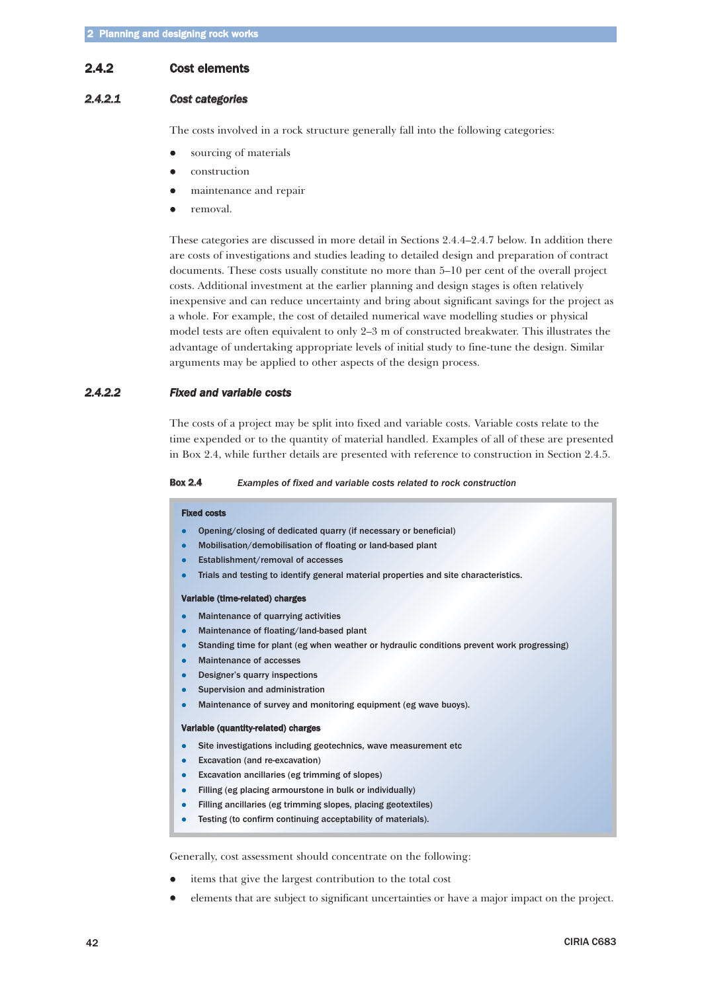# <span id="page-27-0"></span>2.4.2 Cost elements

# *2.4.2.1 Cost categories*

The costs involved in a rock structure generally fall into the following categories:

- $\bullet$ sourcing of materials
- $\bullet$ construction
- $\bullet$ maintenance and repair
- $\bullet$ removal.

These categories are discussed in more detail in Sections 2.4.4–2.4.7 below. In addition there are costs of investigations and studies leading to detailed design and preparation of contract documents. These costs usually constitute no more than 5–10 per cent of the overall project costs. Additional investment at the earlier planning and design stages is often relatively inexpensive and can reduce uncertainty and bring about significant savings for the project as a whole. For example, the cost of detailed numerical wave modelling studies or physical model tests are often equivalent to only 2–3 m of constructed breakwater. This illustrates the advantage of undertaking appropriate levels of initial study to fine-tune the design. Similar arguments may be applied to other aspects of the design process.

# *2.4.2.2 Fixed and variable costs*

The costs of a project may be split into fixed and variable costs. Variable costs relate to the time expended or to the quantity of material handled. Examples of all of these are presented in Box 2.4, while further details are presented with reference to construction in Section 2.4.5.

#### Box 2.4 *Examples of fixed and variable costs related to rock construction*

#### Fixed costs

- -Opening/closing of dedicated quarry (if necessary or beneficial)
- $\bullet$ Mobilisation/demobilisation of floating or land-based plant
- $\bullet$ Establishment/removal of accesses
- $\bullet$ Trials and testing to identify general material properties and site characteristics.

#### Variable (time-related) charges

- -Maintenance of quarrying activities
- $\bullet$ Maintenance of floating/land-based plant
- $\bullet$ Standing time for plant (eg when weather or hydraulic conditions prevent work progressing)
- $\bullet$ Maintenance of accesses
- $\bullet$ Designer's quarry inspections
- -Supervision and administration
- $\bullet$ Maintenance of survey and monitoring equipment (eg wave buoys).

#### Variable (quantity-related) charges

- -Site investigations including geotechnics, wave measurement etc
- $\bullet$ Excavation (and re-excavation)
- -Excavation ancillaries (eg trimming of slopes)
- $\bullet$ Filling (eg placing armourstone in bulk or individually)
- $\bullet$ Filling ancillaries (eg trimming slopes, placing geotextiles)
- $\bullet$ Testing (to confirm continuing acceptability of materials).

Generally, cost assessment should concentrate on the following:

- $\bullet$ items that give the largest contribution to the total cost
- $\bullet$ elements that are subject to significant uncertainties or have a major impact on the project.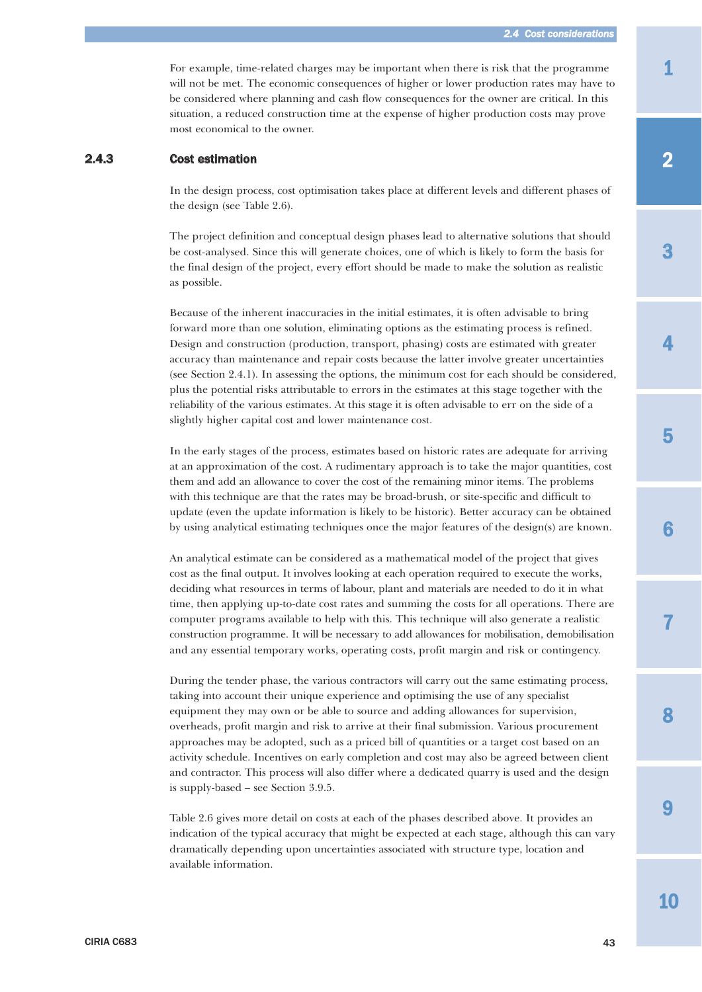For example, time-related charges may be important when there is risk that the programme will not be met. The economic consequences of higher or lower production rates may have to be considered where planning and cash flow consequences for the owner are critical. In this situation, a reduced construction time at the expense of higher production costs may prove most economical to the owner.

### <span id="page-28-0"></span>2.4.3 Cost estimation

In the design process, cost optimisation takes place at different levels and different phases of the design (see Table 2.6).

The project definition and conceptual design phases lead to alternative solutions that should be cost-analysed. Since this will generate choices, one of which is likely to form the basis for the final design of the project, every effort should be made to make the solution as realistic as possible.

Because of the inherent inaccuracies in the initial estimates, it is often advisable to bring forward more than one solution, eliminating options as the estimating process is refined. Design and construction (production, transport, phasing) costs are estimated with greater accuracy than maintenance and repair costs because the latter involve greater uncertainties (see Section 2.4.1). In assessing the options, the minimum cost for each should be considered, plus the potential risks attributable to errors in the estimates at this stage together with the reliability of the various estimates. At this stage it is often advisable to err on the side of a slightly higher capital cost and lower maintenance cost.

In the early stages of the process, estimates based on historic rates are adequate for arriving at an approximation of the cost. A rudimentary approach is to take the major quantities, cost them and add an allowance to cover the cost of the remaining minor items. The problems with this technique are that the rates may be broad-brush, or site-specific and difficult to update (even the update information is likely to be historic). Better accuracy can be obtained by using analytical estimating techniques once the major features of the design(s) are known.

An analytical estimate can be considered as a mathematical model of the project that gives cost as the final output. It involves looking at each operation required to execute the works, deciding what resources in terms of labour, plant and materials are needed to do it in what time, then applying up-to-date cost rates and summing the costs for all operations. There are computer programs available to help with this. This technique will also generate a realistic construction programme. It will be necessary to add allowances for mobilisation, demobilisation and any essential temporary works, operating costs, profit margin and risk or contingency.

During the tender phase, the various contractors will carry out the same estimating process, taking into account their unique experience and optimising the use of any specialist equipment they may own or be able to source and adding allowances for supervision, overheads, profit margin and risk to arrive at their final submission. Various procurement approaches may be adopted, such as a priced bill of quantities or a target cost based on an activity schedule. Incentives on early completion and cost may also be agreed between client and contractor. This process will also differ where a dedicated quarry is used and the design is supply-based – see Section 3.9.5.

Table 2.6 gives more detail on costs at each of the phases described above. It provides an indication of the typical accuracy that might be expected at each stage, although this can vary dramatically depending upon uncertainties associated with structure type, location and available information.

3

7

9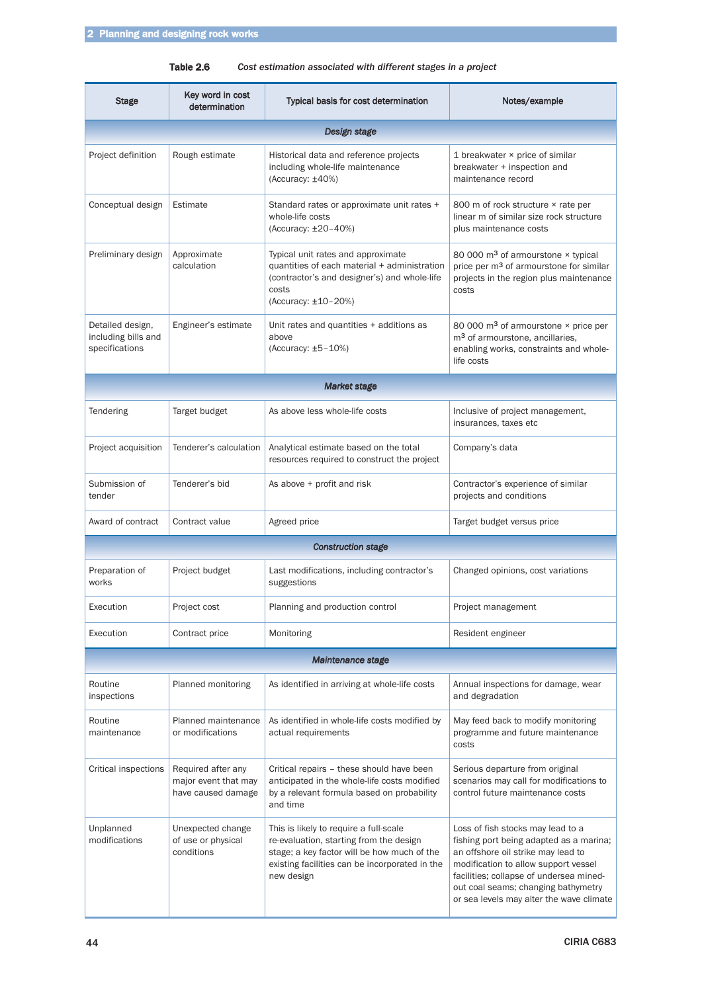Table 2.6 *Cost estimation associated with different stages in a project*

| <b>Stage</b>                                                                     | Key word in cost<br>determination                                | <b>Typical basis for cost determination</b>                                                                                                                                                      | Notes/example                                                                                                                                                                                                                                                                            |  |
|----------------------------------------------------------------------------------|------------------------------------------------------------------|--------------------------------------------------------------------------------------------------------------------------------------------------------------------------------------------------|------------------------------------------------------------------------------------------------------------------------------------------------------------------------------------------------------------------------------------------------------------------------------------------|--|
|                                                                                  |                                                                  | Design stage                                                                                                                                                                                     |                                                                                                                                                                                                                                                                                          |  |
| Project definition                                                               | Rough estimate                                                   | Historical data and reference projects<br>including whole-life maintenance<br>(Accuracy: $\pm 40\%$ )                                                                                            | 1 breakwater × price of similar<br>breakwater + inspection and<br>maintenance record                                                                                                                                                                                                     |  |
| Conceptual design                                                                | Estimate                                                         | Standard rates or approximate unit rates +<br>whole-life costs<br>(Accuracy: ±20-40%)                                                                                                            | 800 m of rock structure × rate per<br>linear m of similar size rock structure<br>plus maintenance costs                                                                                                                                                                                  |  |
| Preliminary design<br>Approximate<br>calculation                                 |                                                                  | Typical unit rates and approximate<br>quantities of each material + administration<br>(contractor's and designer's) and whole-life<br>costs<br>(Accuracy: ±10-20%)                               | 80 000 m <sup>3</sup> of armourstone × typical<br>price per m <sup>3</sup> of armourstone for similar<br>projects in the region plus maintenance<br>costs                                                                                                                                |  |
| Detailed design,<br>Engineer's estimate<br>including bills and<br>specifications |                                                                  | Unit rates and quantities + additions as<br>above<br>(Accuracy: $±5-10%$ )                                                                                                                       | 80 000 m <sup>3</sup> of armourstone × price per<br>m <sup>3</sup> of armourstone, ancillaries,<br>enabling works, constraints and whole-<br>life costs                                                                                                                                  |  |
|                                                                                  |                                                                  | Market stage                                                                                                                                                                                     |                                                                                                                                                                                                                                                                                          |  |
| Tendering                                                                        | Target budget                                                    | As above less whole-life costs                                                                                                                                                                   | Inclusive of project management,<br>insurances, taxes etc                                                                                                                                                                                                                                |  |
| Project acquisition                                                              | Tenderer's calculation                                           | Analytical estimate based on the total<br>resources required to construct the project                                                                                                            | Company's data                                                                                                                                                                                                                                                                           |  |
| Submission of<br>tender                                                          | Tenderer's bid                                                   | As above + profit and risk                                                                                                                                                                       | Contractor's experience of similar<br>projects and conditions                                                                                                                                                                                                                            |  |
| Award of contract                                                                | Contract value                                                   | Agreed price                                                                                                                                                                                     | Target budget versus price                                                                                                                                                                                                                                                               |  |
|                                                                                  |                                                                  | <b>Construction stage</b>                                                                                                                                                                        |                                                                                                                                                                                                                                                                                          |  |
| Preparation of<br>works                                                          | Project budget                                                   | Last modifications, including contractor's<br>suggestions                                                                                                                                        | Changed opinions, cost variations                                                                                                                                                                                                                                                        |  |
| Execution                                                                        | Project cost                                                     | Planning and production control                                                                                                                                                                  | Project management                                                                                                                                                                                                                                                                       |  |
| Execution                                                                        | Contract price                                                   | Monitoring                                                                                                                                                                                       | Resident engineer                                                                                                                                                                                                                                                                        |  |
|                                                                                  |                                                                  | Maintenance stage                                                                                                                                                                                |                                                                                                                                                                                                                                                                                          |  |
| Routine<br>inspections                                                           | Planned monitoring                                               | As identified in arriving at whole-life costs                                                                                                                                                    | Annual inspections for damage, wear<br>and degradation                                                                                                                                                                                                                                   |  |
| Routine<br>maintenance                                                           | Planned maintenance<br>or modifications                          | As identified in whole-life costs modified by<br>actual requirements                                                                                                                             | May feed back to modify monitoring<br>programme and future maintenance<br>costs                                                                                                                                                                                                          |  |
| Critical inspections                                                             | Required after any<br>major event that may<br>have caused damage | Critical repairs - these should have been<br>anticipated in the whole-life costs modified<br>by a relevant formula based on probability<br>and time                                              | Serious departure from original<br>scenarios may call for modifications to<br>control future maintenance costs                                                                                                                                                                           |  |
| Unplanned<br>modifications                                                       | Unexpected change<br>of use or physical<br>conditions            | This is likely to require a full-scale<br>re-evaluation, starting from the design<br>stage; a key factor will be how much of the<br>existing facilities can be incorporated in the<br>new design | Loss of fish stocks may lead to a<br>fishing port being adapted as a marina;<br>an offshore oil strike may lead to<br>modification to allow support vessel<br>facilities; collapse of undersea mined-<br>out coal seams; changing bathymetry<br>or sea levels may alter the wave climate |  |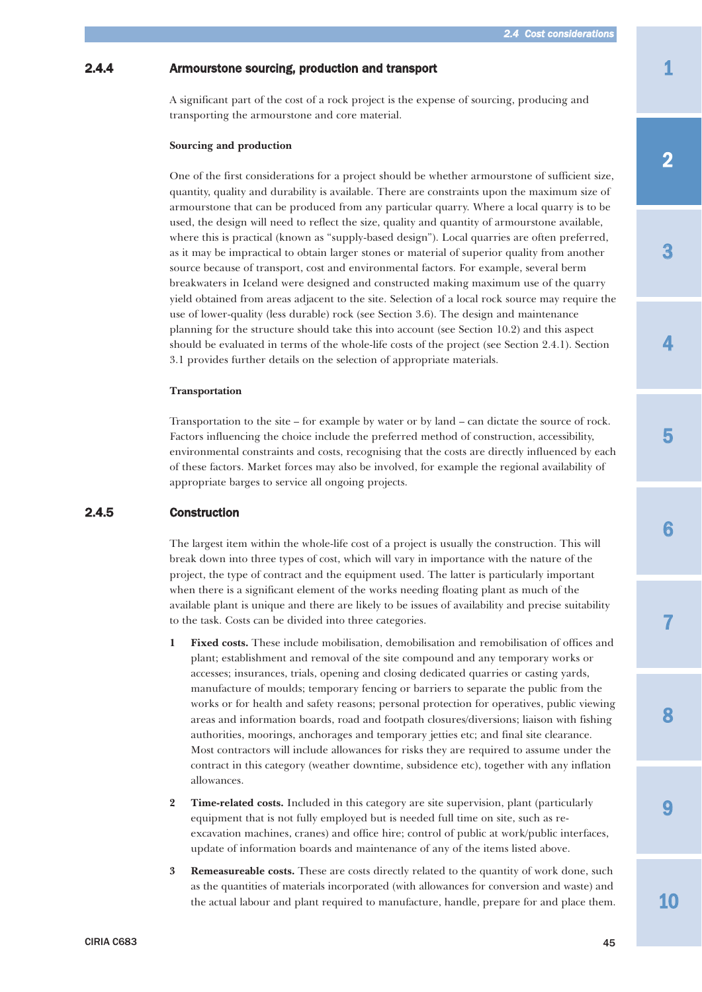# <span id="page-30-0"></span>2.4.4 Armourstone sourcing, production and transport

A significant part of the cost of a rock project is the expense of sourcing, producing and transporting the armourstone and core material.

#### **Sourcing and production**

One of the first considerations for a project should be whether armourstone of sufficient size, quantity, quality and durability is available. There are constraints upon the maximum size of armourstone that can be produced from any particular quarry. Where a local quarry is to be used, the design will need to reflect the size, quality and quantity of armourstone available, where this is practical (known as "supply-based design"). Local quarries are often preferred, as it may be impractical to obtain larger stones or material of superior quality from another source because of transport, cost and environmental factors. For example, several berm breakwaters in Iceland were designed and constructed making maximum use of the quarry yield obtained from areas adjacent to the site. Selection of a local rock source may require the use of lower-quality (less durable) rock (see Section 3.6). The design and maintenance planning for the structure should take this into account (see Section 10.2) and this aspect should be evaluated in terms of the whole-life costs of the project (see Section 2.4.1). Section 3.1 provides further details on the selection of appropriate materials.

#### **Transportation**

Transportation to the site – for example by water or by land – can dictate the source of rock. Factors influencing the choice include the preferred method of construction, accessibility, environmental constraints and costs, recognising that the costs are directly influenced by each of these factors. Market forces may also be involved, for example the regional availability of appropriate barges to service all ongoing projects.

# 2.4.5 Construction

The largest item within the whole-life cost of a project is usually the construction. This will break down into three types of cost, which will vary in importance with the nature of the project, the type of contract and the equipment used. The latter is particularly important when there is a significant element of the works needing floating plant as much of the available plant is unique and there are likely to be issues of availability and precise suitability to the task. Costs can be divided into three categories.

- **1 Fixed costs.** These include mobilisation, demobilisation and remobilisation of offices and plant; establishment and removal of the site compound and any temporary works or accesses; insurances, trials, opening and closing dedicated quarries or casting yards, manufacture of moulds; temporary fencing or barriers to separate the public from the works or for health and safety reasons; personal protection for operatives, public viewing areas and information boards, road and footpath closures/diversions; liaison with fishing authorities, moorings, anchorages and temporary jetties etc; and final site clearance. Most contractors will include allowances for risks they are required to assume under the contract in this category (weather downtime, subsidence etc), together with any inflation allowances.
- **2 Time-related costs.** Included in this category are site supervision, plant (particularly equipment that is not fully employed but is needed full time on site, such as reexcavation machines, cranes) and office hire; control of public at work/public interfaces, update of information boards and maintenance of any of the items listed above.
- **3 Remeasureable costs.** These are costs directly related to the quantity of work done, such as the quantities of materials incorporated (with allowances for conversion and waste) and the actual labour and plant required to manufacture, handle, prepare for and place them.

3

7

8

9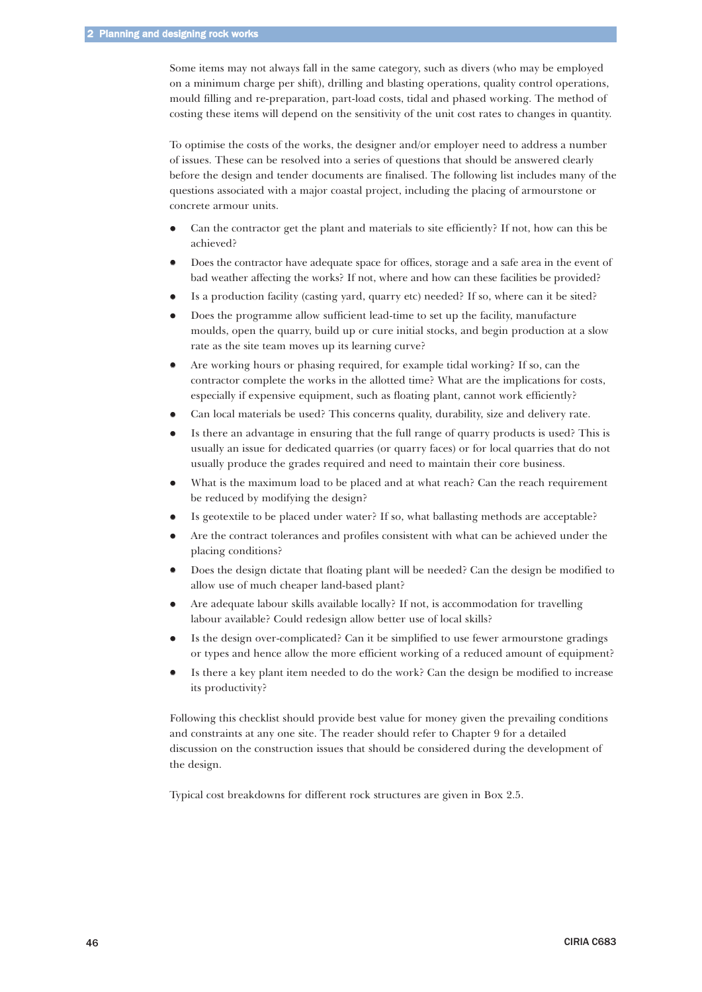Some items may not always fall in the same category, such as divers (who may be employed on a minimum charge per shift), drilling and blasting operations, quality control operations, mould filling and re-preparation, part-load costs, tidal and phased working. The method of costing these items will depend on the sensitivity of the unit cost rates to changes in quantity.

To optimise the costs of the works, the designer and/or employer need to address a number of issues. These can be resolved into a series of questions that should be answered clearly before the design and tender documents are finalised. The following list includes many of the questions associated with a major coastal project, including the placing of armourstone or concrete armour units.

- $\bullet$  Can the contractor get the plant and materials to site efficiently? If not, how can this be achieved?
- $\bullet$  Does the contractor have adequate space for offices, storage and a safe area in the event of bad weather affecting the works? If not, where and how can these facilities be provided?
- $\bullet$ Is a production facility (casting yard, quarry etc) needed? If so, where can it be sited?
- $\bullet$  Does the programme allow sufficient lead-time to set up the facility, manufacture moulds, open the quarry, build up or cure initial stocks, and begin production at a slow rate as the site team moves up its learning curve?
- $\bullet$  Are working hours or phasing required, for example tidal working? If so, can the contractor complete the works in the allotted time? What are the implications for costs, especially if expensive equipment, such as floating plant, cannot work efficiently?
- $\bullet$ Can local materials be used? This concerns quality, durability, size and delivery rate.
- $\bullet$  Is there an advantage in ensuring that the full range of quarry products is used? This is usually an issue for dedicated quarries (or quarry faces) or for local quarries that do not usually produce the grades required and need to maintain their core business.
- $\bullet$ What is the maximum load to be placed and at what reach? Can the reach requirement be reduced by modifying the design?
- $\bullet$ Is geotextile to be placed under water? If so, what ballasting methods are acceptable?
- $\bullet$  Are the contract tolerances and profiles consistent with what can be achieved under the placing conditions?
- $\bullet$  Does the design dictate that floating plant will be needed? Can the design be modified to allow use of much cheaper land-based plant?
- $\bullet$  Are adequate labour skills available locally? If not, is accommodation for travelling labour available? Could redesign allow better use of local skills?
- $\bullet$  Is the design over-complicated? Can it be simplified to use fewer armourstone gradings or types and hence allow the more efficient working of a reduced amount of equipment?
- $\bullet$  Is there a key plant item needed to do the work? Can the design be modified to increase its productivity?

Following this checklist should provide best value for money given the prevailing conditions and constraints at any one site. The reader should refer to Chapter 9 for a detailed discussion on the construction issues that should be considered during the development of the design.

Typical cost breakdowns for different rock structures are given in Box 2.5.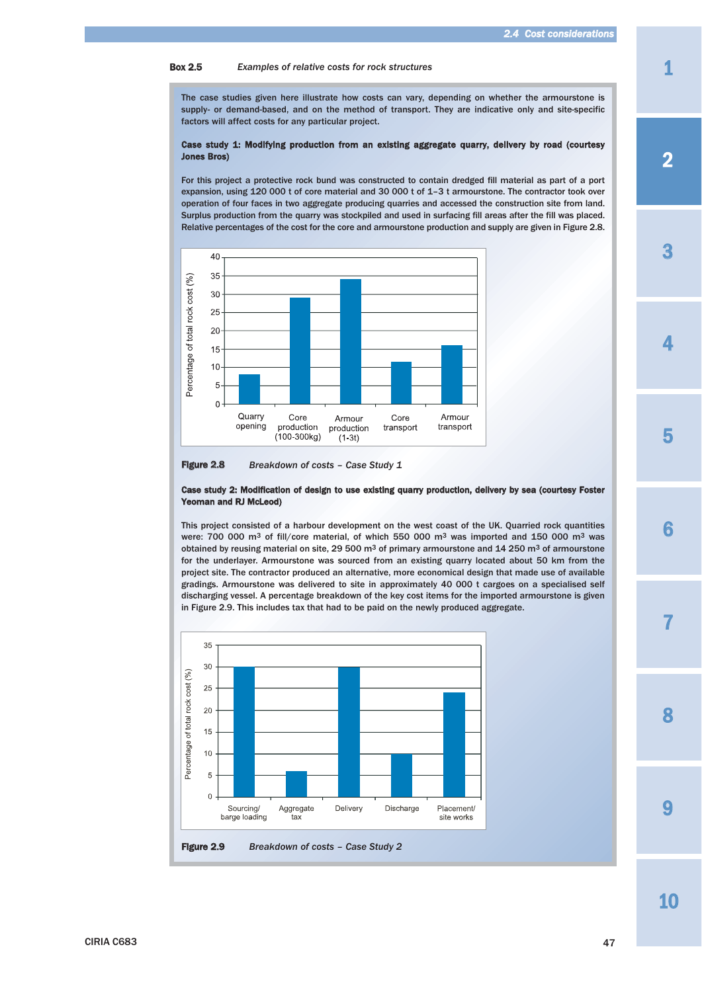#### Box 2.5 *Examples of relative costs for rock structures*

The case studies given here illustrate how costs can vary, depending on whether the armourstone is supply- or demand-based, and on the method of transport. They are indicative only and site-specific factors will affect costs for any particular project.

#### Case study 1: Modifying production from an existing aggregate quarry, delivery by road (courtesy Jones Bros)

For this project a protective rock bund was constructed to contain dredged fill material as part of a port expansion, using 120 000 t of core material and 30 000 t of 1–3 t armourstone. The contractor took over operation of four faces in two aggregate producing quarries and accessed the construction site from land. Surplus production from the quarry was stockpiled and used in surfacing fill areas after the fill was placed. Relative percentages of the cost for the core and armourstone production and supply are given in Figure 2.8.



Figure 2.8 *Breakdown of costs – Case Study 1*

#### Case study 2: Modification of design to use existing quarry production, delivery by sea (courtesy Foster Yeoman and RJ McLeod)

This project consisted of a harbour development on the west coast of the UK. Quarried rock quantities were: 700 000 m3 of fill/core material, of which 550 000 m3 was imported and 150 000 m3 was obtained by reusing material on site, 29 500 m<sup>3</sup> of primary armourstone and 14 250 m<sup>3</sup> of armourstone for the underlayer. Armourstone was sourced from an existing quarry located about 50 km from the project site. The contractor produced an alternative, more economical design that made use of available gradings. Armourstone was delivered to site in approximately 40 000 t cargoes on a specialised self discharging vessel. A percentage breakdown of the key cost items for the imported armourstone is given in Figure 2.9. This includes tax that had to be paid on the newly produced aggregate.



10

**Q** 

8

3

4

1

5

7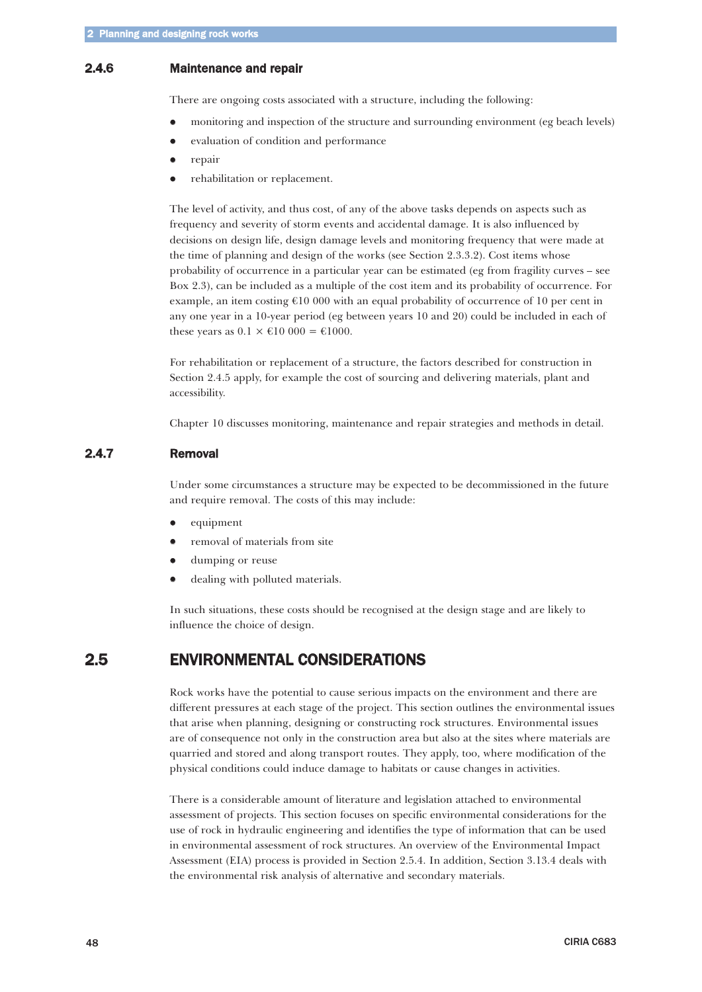### <span id="page-33-0"></span>2.4.6 Maintenance and repair

There are ongoing costs associated with a structure, including the following:

- $\bullet$ monitoring and inspection of the structure and surrounding environment (eg beach levels)
- $\bullet$ evaluation of condition and performance
- $\bullet$ repair
- $\bullet$ rehabilitation or replacement.

The level of activity, and thus cost, of any of the above tasks depends on aspects such as frequency and severity of storm events and accidental damage. It is also influenced by decisions on design life, design damage levels and monitoring frequency that were made at the time of planning and design of the works (see Section 2.3.3.2). Cost items whose probability of occurrence in a particular year can be estimated (eg from fragility curves – see Box 2.3), can be included as a multiple of the cost item and its probability of occurrence. For example, an item costing  $\epsilon$ 10 000 with an equal probability of occurrence of 10 per cent in any one year in a 10-year period (eg between years 10 and 20) could be included in each of these years as  $0.1 \times \text{\textsterling}10000 = \text{\textsterling}1000$ .

For rehabilitation or replacement of a structure, the factors described for construction in Section 2.4.5 apply, for example the cost of sourcing and delivering materials, plant and accessibility.

Chapter 10 discusses monitoring, maintenance and repair strategies and methods in detail.

### 2.4.7 Removal

Under some circumstances a structure may be expected to be decommissioned in the future and require removal. The costs of this may include:

- $\bullet$ equipment
- $\bullet$ removal of materials from site
- $\bullet$ dumping or reuse
- $\bullet$ dealing with polluted materials.

In such situations, these costs should be recognised at the design stage and are likely to influence the choice of design.

# 2.5 ENVIRONMENTAL CONSIDERATIONS

Rock works have the potential to cause serious impacts on the environment and there are different pressures at each stage of the project. This section outlines the environmental issues that arise when planning, designing or constructing rock structures. Environmental issues are of consequence not only in the construction area but also at the sites where materials are quarried and stored and along transport routes. They apply, too, where modification of the physical conditions could induce damage to habitats or cause changes in activities.

There is a considerable amount of literature and legislation attached to environmental assessment of projects. This section focuses on specific environmental considerations for the use of rock in hydraulic engineering and identifies the type of information that can be used in environmental assessment of rock structures. An overview of the Environmental Impact Assessment (EIA) process is provided in Section 2.5.4. In addition, Section 3.13.4 deals with the environmental risk analysis of alternative and secondary materials.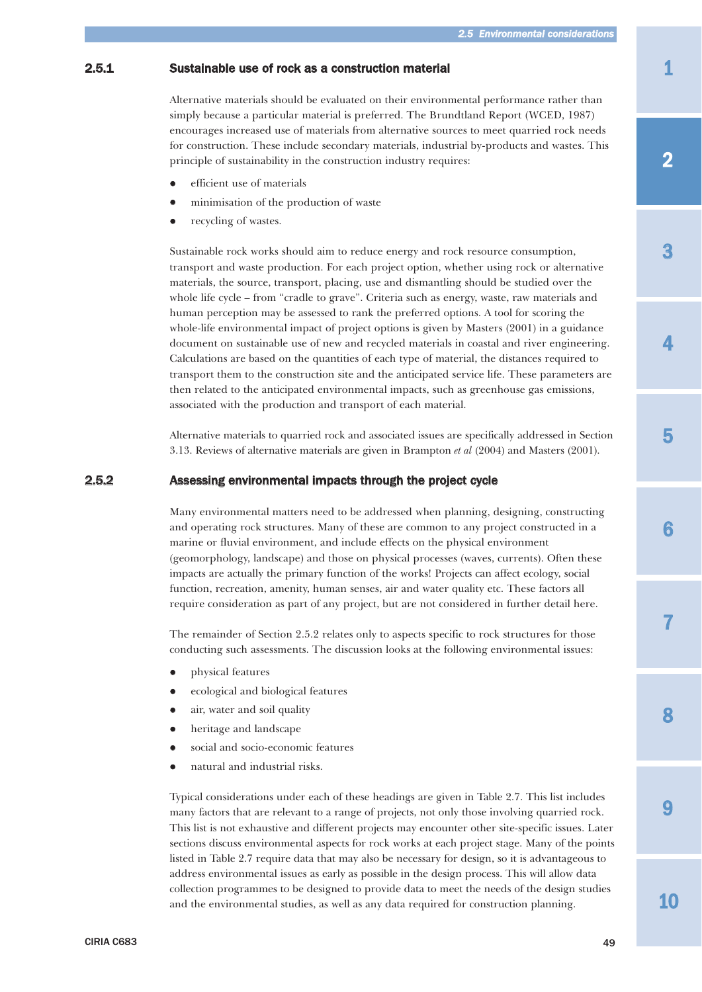# <span id="page-34-0"></span>2.5.1 Sustainable use of rock as a construction material

Alternative materials should be evaluated on their environmental performance rather than simply because a particular material is preferred. The Brundtland Report (WCED, 1987) encourages increased use of materials from alternative sources to meet quarried rock needs for construction. These include secondary materials, industrial by-products and wastes. This principle of sustainability in the construction industry requires:

- $\bullet$ efficient use of materials
- $\bullet$ minimisation of the production of waste
- $\bullet$ recycling of wastes.

Sustainable rock works should aim to reduce energy and rock resource consumption, transport and waste production. For each project option, whether using rock or alternative materials, the source, transport, placing, use and dismantling should be studied over the whole life cycle – from "cradle to grave". Criteria such as energy, waste, raw materials and human perception may be assessed to rank the preferred options. A tool for scoring the whole-life environmental impact of project options is given by Masters (2001) in a guidance document on sustainable use of new and recycled materials in coastal and river engineering. Calculations are based on the quantities of each type of material, the distances required to transport them to the construction site and the anticipated service life. These parameters are then related to the anticipated environmental impacts, such as greenhouse gas emissions, associated with the production and transport of each material.

Alternative materials to quarried rock and associated issues are specifically addressed in Section 3.13. Reviews of alternative materials are given in Brampton *et al* (2004) and Masters (2001).

# 2.5.2 Assessing environmental impacts through the project cycle

Many environmental matters need to be addressed when planning, designing, constructing and operating rock structures. Many of these are common to any project constructed in a marine or fluvial environment, and include effects on the physical environment (geomorphology, landscape) and those on physical processes (waves, currents). Often these impacts are actually the primary function of the works! Projects can affect ecology, social function, recreation, amenity, human senses, air and water quality etc. These factors all require consideration as part of any project, but are not considered in further detail here.

The remainder of Section 2.5.2 relates only to aspects specific to rock structures for those conducting such assessments. The discussion looks at the following environmental issues:

- $\bullet$ physical features
- $\bullet$ ecological and biological features
- $\bullet$ air, water and soil quality
- $\bullet$ heritage and landscape
- $\bullet$ social and socio-economic features
- $\bullet$ natural and industrial risks.

Typical considerations under each of these headings are given in Table 2.7. This list includes many factors that are relevant to a range of projects, not only those involving quarried rock. This list is not exhaustive and different projects may encounter other site-specific issues. Later sections discuss environmental aspects for rock works at each project stage. Many of the points listed in Table 2.7 require data that may also be necessary for design, so it is advantageous to address environmental issues as early as possible in the design process. This will allow data collection programmes to be designed to provide data to meet the needs of the design studies and the environmental studies, as well as any data required for construction planning.

1

4

3

6

7

8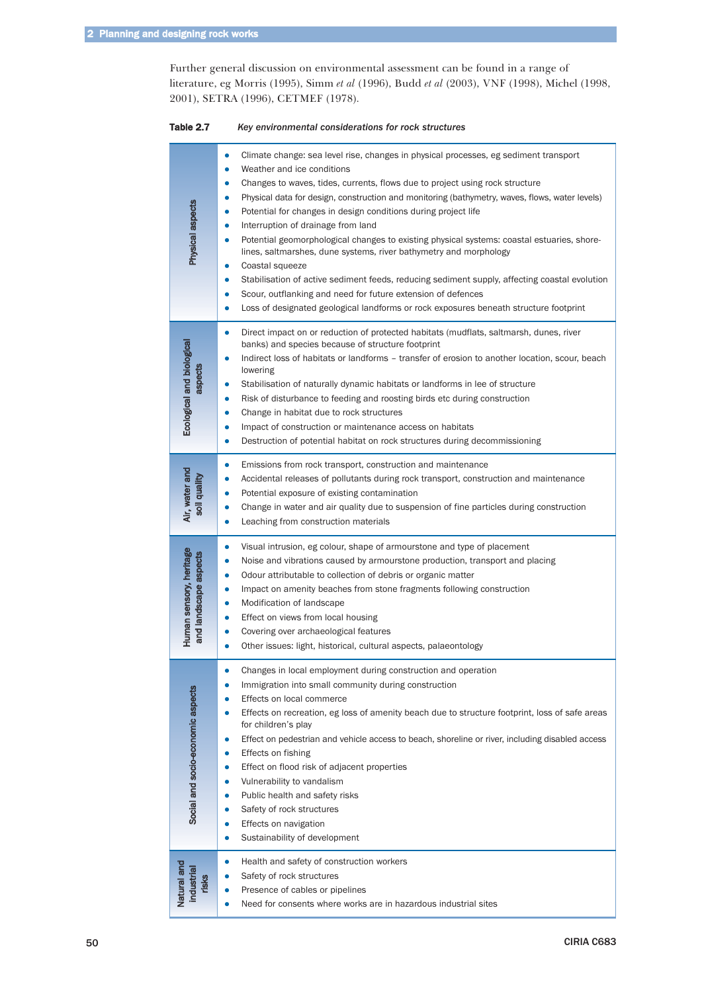Further general discussion on environmental assessment can be found in a range of literature, eg Morris (1995), Simm *et al* (1996), Budd *et al* (2003), VNF (1998), Michel (1998, 2001), SETRA (1996), CETMEF (1978).

| Table 2.7 | Key environmental considerations for rock structures |
|-----------|------------------------------------------------------|
|-----------|------------------------------------------------------|

| Physical aspects                                                  | Climate change: sea level rise, changes in physical processes, eg sediment transport<br>۰<br>Weather and ice conditions<br>$\bullet$<br>Changes to waves, tides, currents, flows due to project using rock structure<br>$\bullet$<br>Physical data for design, construction and monitoring (bathymetry, waves, flows, water levels)<br>۰<br>Potential for changes in design conditions during project life<br>۰<br>Interruption of drainage from land<br>$\bullet$<br>Potential geomorphological changes to existing physical systems: coastal estuaries, shore-<br>$\bullet$<br>lines, saltmarshes, dune systems, river bathymetry and morphology<br>Coastal squeeze<br>۰<br>Stabilisation of active sediment feeds, reducing sediment supply, affecting coastal evolution<br>۰<br>Scour, outflanking and need for future extension of defences<br>۰<br>Loss of designated geological landforms or rock exposures beneath structure footprint<br>$\bullet$ |
|-------------------------------------------------------------------|-------------------------------------------------------------------------------------------------------------------------------------------------------------------------------------------------------------------------------------------------------------------------------------------------------------------------------------------------------------------------------------------------------------------------------------------------------------------------------------------------------------------------------------------------------------------------------------------------------------------------------------------------------------------------------------------------------------------------------------------------------------------------------------------------------------------------------------------------------------------------------------------------------------------------------------------------------------|
| Ecological and biological<br>aspects                              | Direct impact on or reduction of protected habitats (mudflats, saltmarsh, dunes, river<br>۰<br>banks) and species because of structure footprint<br>Indirect loss of habitats or landforms - transfer of erosion to another location, scour, beach<br>0<br>lowering<br>Stabilisation of naturally dynamic habitats or landforms in lee of structure<br>$\bullet$<br>Risk of disturbance to feeding and roosting birds etc during construction<br>$\bullet$<br>Change in habitat due to rock structures<br>۰<br>Impact of construction or maintenance access on habitats<br>۰<br>Destruction of potential habitat on rock structures during decommissioning<br>$\bullet$                                                                                                                                                                                                                                                                                     |
| Air, water and<br>I quality<br>$\overline{\overline{\mathsf{g}}}$ | Emissions from rock transport, construction and maintenance<br>$\bullet$<br>Accidental releases of pollutants during rock transport, construction and maintenance<br>$\bullet$<br>Potential exposure of existing contamination<br>Change in water and air quality due to suspension of fine particles during construction<br>Leaching from construction materials                                                                                                                                                                                                                                                                                                                                                                                                                                                                                                                                                                                           |
| Human sensory, heritage<br>and landscape aspects                  | Visual intrusion, eg colour, shape of armourstone and type of placement<br>۰<br>Noise and vibrations caused by armourstone production, transport and placing<br>۰<br>Odour attributable to collection of debris or organic matter<br>۰<br>Impact on amenity beaches from stone fragments following construction<br>$\bullet$<br>Modification of landscape<br>$\bullet$<br>Effect on views from local housing<br>۰<br>Covering over archaeological features<br>$\bullet$<br>Other issues: light, historical, cultural aspects, palaeontology<br>۰                                                                                                                                                                                                                                                                                                                                                                                                            |
| Social and socio-economic aspects                                 | $\bullet$<br>Changes in local employment during construction and operation<br>Immigration into small community during construction<br>$\bullet$<br>Effects on local commerce<br>$\bullet$<br>Effects on recreation, eg loss of amenity beach due to structure footprint, loss of safe areas<br>$\bullet$<br>for children's play<br>Effect on pedestrian and vehicle access to beach, shoreline or river, including disabled access<br>۰<br>Effects on fishing<br>$\bullet$<br>Effect on flood risk of adjacent properties<br>$\bullet$<br>Vulnerability to vandalism<br>$\bullet$<br>Public health and safety risks<br>$\bullet$<br>Safety of rock structures<br>۰<br>Effects on navigation<br>$\bullet$<br>Sustainability of development<br>$\bullet$                                                                                                                                                                                                      |
| Natural and<br>industrial<br>risks                                | Health and safety of construction workers<br>$\bullet$<br>Safety of rock structures<br>$\bullet$<br>Presence of cables or pipelines<br>$\bullet$<br>Need for consents where works are in hazardous industrial sites<br>$\bullet$                                                                                                                                                                                                                                                                                                                                                                                                                                                                                                                                                                                                                                                                                                                            |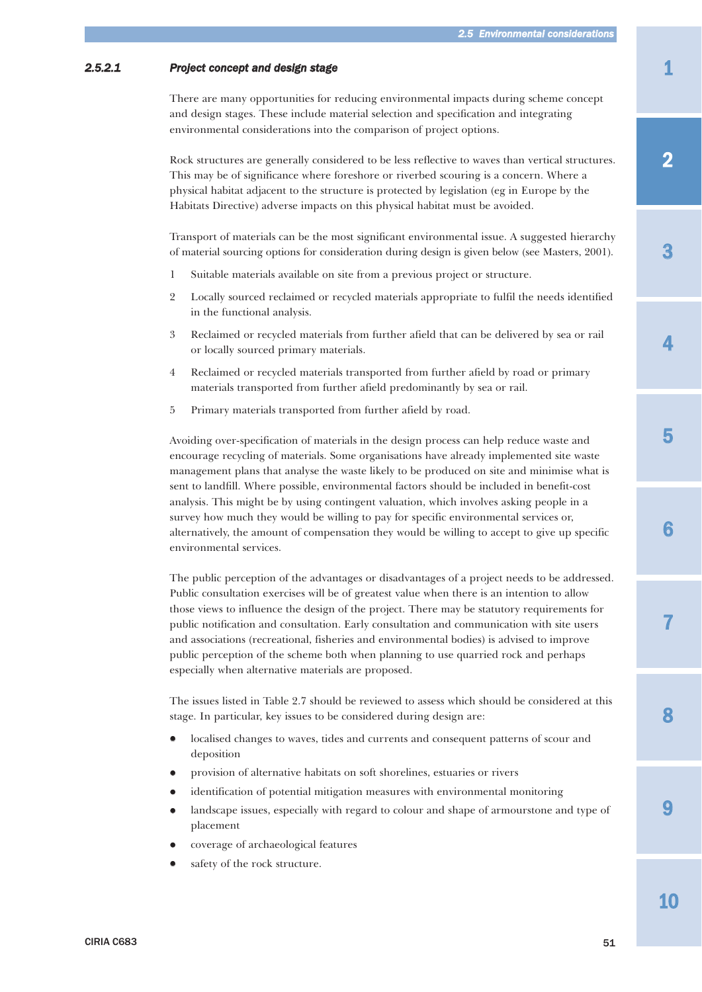# <span id="page-36-0"></span>*2.5.2.1 Project concept and design stage*

There are many opportunities for reducing environmental impacts during scheme concept and design stages. These include material selection and specification and integrating environmental considerations into the comparison of project options.

Rock structures are generally considered to be less reflective to waves than vertical structures. This may be of significance where foreshore or riverbed scouring is a concern. Where a physical habitat adjacent to the structure is protected by legislation (eg in Europe by the Habitats Directive) adverse impacts on this physical habitat must be avoided.

Transport of materials can be the most significant environmental issue. A suggested hierarchy of material sourcing options for consideration during design is given below (see Masters, 2001).

- 1 Suitable materials available on site from a previous project or structure.
- 2 Locally sourced reclaimed or recycled materials appropriate to fulfil the needs identified in the functional analysis.
- 3 Reclaimed or recycled materials from further afield that can be delivered by sea or rail or locally sourced primary materials.
- 4 Reclaimed or recycled materials transported from further afield by road or primary materials transported from further afield predominantly by sea or rail.
- 5 Primary materials transported from further afield by road.

Avoiding over-specification of materials in the design process can help reduce waste and encourage recycling of materials. Some organisations have already implemented site waste management plans that analyse the waste likely to be produced on site and minimise what is sent to landfill. Where possible, environmental factors should be included in benefit-cost analysis. This might be by using contingent valuation, which involves asking people in a survey how much they would be willing to pay for specific environmental services or, alternatively, the amount of compensation they would be willing to accept to give up specific environmental services.

The public perception of the advantages or disadvantages of a project needs to be addressed. Public consultation exercises will be of greatest value when there is an intention to allow those views to influence the design of the project. There may be statutory requirements for public notification and consultation. Early consultation and communication with site users and associations (recreational, fisheries and environmental bodies) is advised to improve public perception of the scheme both when planning to use quarried rock and perhaps especially when alternative materials are proposed.

The issues listed in Table 2.7 should be reviewed to assess which should be considered at this stage. In particular, key issues to be considered during design are:

- $\bullet$  localised changes to waves, tides and currents and consequent patterns of scour and deposition
- $\bullet$ provision of alternative habitats on soft shorelines, estuaries or rivers
- $\bullet$ identification of potential mitigation measures with environmental monitoring
- $\bullet$  landscape issues, especially with regard to colour and shape of armourstone and type of placement
- $\bullet$ coverage of archaeological features
- $\bullet$ safety of the rock structure.

CIRIA C683  $51$ 

10

9

8

7

6

1

2

4

5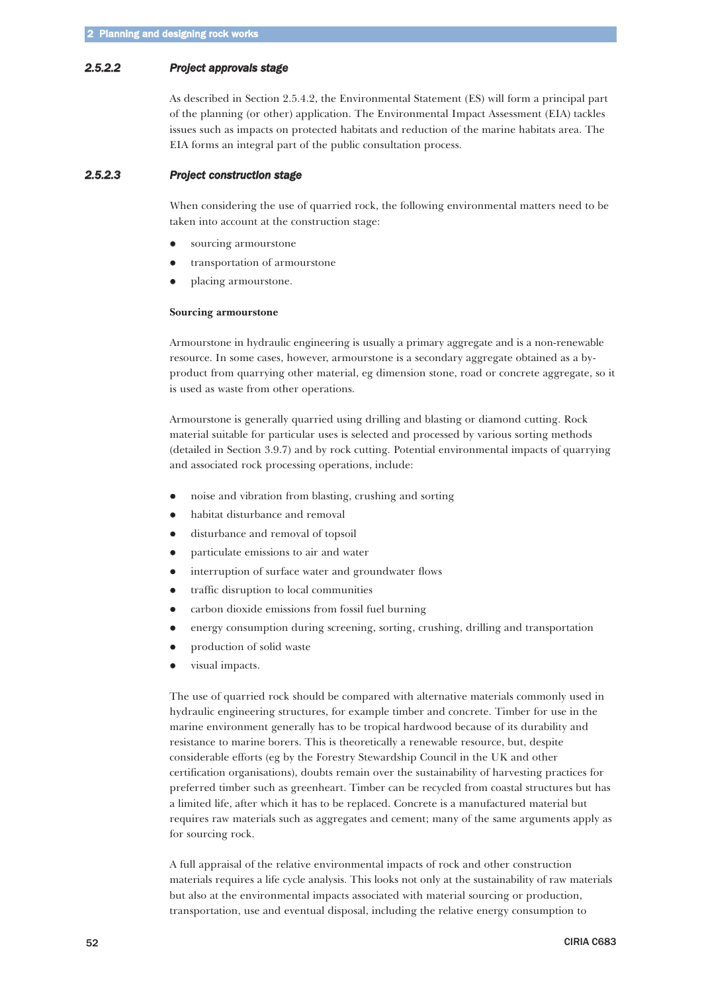### <span id="page-37-0"></span>*2.5.2.2 Project approvals stage*

As described in Section 2.5.4.2, the Environmental Statement (ES) will form a principal part of the planning (or other) application. The Environmental Impact Assessment (EIA) tackles issues such as impacts on protected habitats and reduction of the marine habitats area. The EIA forms an integral part of the public consultation process.

### *2.5.2.3 Project construction stage*

When considering the use of quarried rock, the following environmental matters need to be taken into account at the construction stage:

- $\bullet$ sourcing armourstone
- $\bullet$ transportation of armourstone
- $\bullet$ placing armourstone.

#### **Sourcing armourstone**

Armourstone in hydraulic engineering is usually a primary aggregate and is a non-renewable resource. In some cases, however, armourstone is a secondary aggregate obtained as a byproduct from quarrying other material, eg dimension stone, road or concrete aggregate, so it is used as waste from other operations.

Armourstone is generally quarried using drilling and blasting or diamond cutting. Rock material suitable for particular uses is selected and processed by various sorting methods (detailed in Section 3.9.7) and by rock cutting. Potential environmental impacts of quarrying and associated rock processing operations, include:

- $\bullet$ noise and vibration from blasting, crushing and sorting
- $\bullet$ habitat disturbance and removal
- $\bullet$ disturbance and removal of topsoil
- $\bullet$ particulate emissions to air and water
- $\bullet$ interruption of surface water and groundwater flows
- $\bullet$ traffic disruption to local communities
- $\bullet$ carbon dioxide emissions from fossil fuel burning
- $\bullet$ energy consumption during screening, sorting, crushing, drilling and transportation
- $\bullet$ production of solid waste
- $\bullet$ visual impacts.

The use of quarried rock should be compared with alternative materials commonly used in hydraulic engineering structures, for example timber and concrete. Timber for use in the marine environment generally has to be tropical hardwood because of its durability and resistance to marine borers. This is theoretically a renewable resource, but, despite considerable efforts (eg by the Forestry Stewardship Council in the UK and other certification organisations), doubts remain over the sustainability of harvesting practices for preferred timber such as greenheart. Timber can be recycled from coastal structures but has a limited life, after which it has to be replaced. Concrete is a manufactured material but requires raw materials such as aggregates and cement; many of the same arguments apply as for sourcing rock.

A full appraisal of the relative environmental impacts of rock and other construction materials requires a life cycle analysis. This looks not only at the sustainability of raw materials but also at the environmental impacts associated with material sourcing or production, transportation, use and eventual disposal, including the relative energy consumption to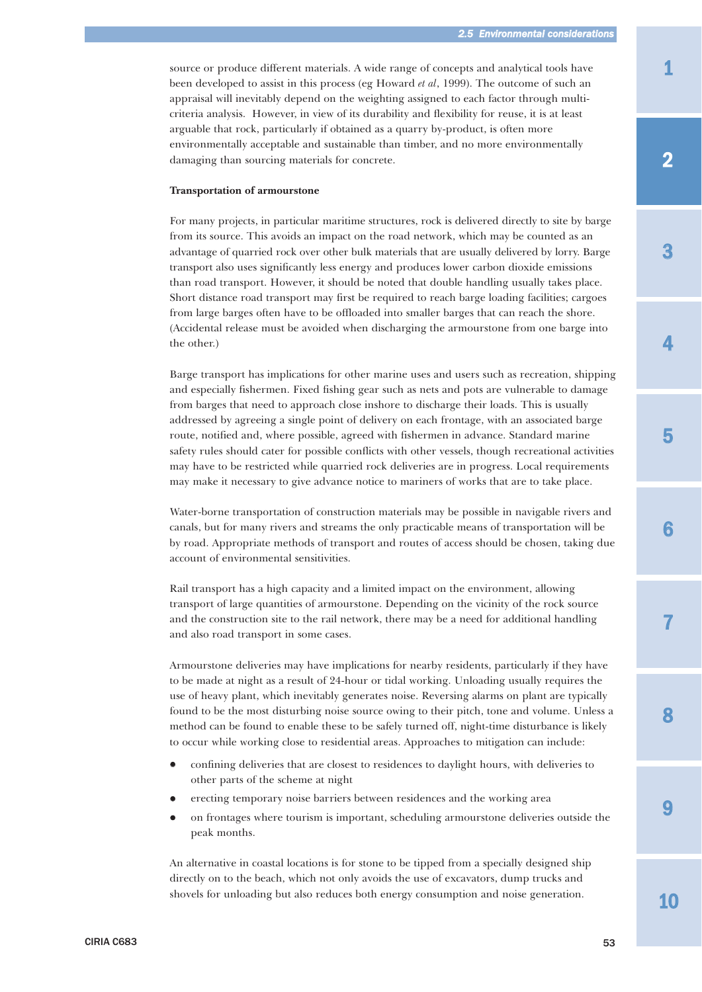source or produce different materials. A wide range of concepts and analytical tools have been developed to assist in this process (eg Howard *et al*, 1999). The outcome of such an appraisal will inevitably depend on the weighting assigned to each factor through multicriteria analysis. However, in view of its durability and flexibility for reuse, it is at least arguable that rock, particularly if obtained as a quarry by-product, is often more environmentally acceptable and sustainable than timber, and no more environmentally damaging than sourcing materials for concrete.

#### **Transportation of armourstone**

For many projects, in particular maritime structures, rock is delivered directly to site by barge from its source. This avoids an impact on the road network, which may be counted as an advantage of quarried rock over other bulk materials that are usually delivered by lorry. Barge transport also uses significantly less energy and produces lower carbon dioxide emissions than road transport. However, it should be noted that double handling usually takes place. Short distance road transport may first be required to reach barge loading facilities; cargoes from large barges often have to be offloaded into smaller barges that can reach the shore. (Accidental release must be avoided when discharging the armourstone from one barge into the other.)

Barge transport has implications for other marine uses and users such as recreation, shipping and especially fishermen. Fixed fishing gear such as nets and pots are vulnerable to damage from barges that need to approach close inshore to discharge their loads. This is usually addressed by agreeing a single point of delivery on each frontage, with an associated barge route, notified and, where possible, agreed with fishermen in advance. Standard marine safety rules should cater for possible conflicts with other vessels, though recreational activities may have to be restricted while quarried rock deliveries are in progress. Local requirements may make it necessary to give advance notice to mariners of works that are to take place.

Water-borne transportation of construction materials may be possible in navigable rivers and canals, but for many rivers and streams the only practicable means of transportation will be by road. Appropriate methods of transport and routes of access should be chosen, taking due account of environmental sensitivities.

Rail transport has a high capacity and a limited impact on the environment, allowing transport of large quantities of armourstone. Depending on the vicinity of the rock source and the construction site to the rail network, there may be a need for additional handling and also road transport in some cases.

Armourstone deliveries may have implications for nearby residents, particularly if they have to be made at night as a result of 24-hour or tidal working. Unloading usually requires the use of heavy plant, which inevitably generates noise. Reversing alarms on plant are typically found to be the most disturbing noise source owing to their pitch, tone and volume. Unless a method can be found to enable these to be safely turned off, night-time disturbance is likely to occur while working close to residential areas. Approaches to mitigation can include:

- $\bullet$  confining deliveries that are closest to residences to daylight hours, with deliveries to other parts of the scheme at night
- $\bullet$ erecting temporary noise barriers between residences and the working area
- $\bullet$  on frontages where tourism is important, scheduling armourstone deliveries outside the peak months.

An alternative in coastal locations is for stone to be tipped from a specially designed ship directly on to the beach, which not only avoids the use of excavators, dump trucks and shovels for unloading but also reduces both energy consumption and noise generation.

4

3

6

7

8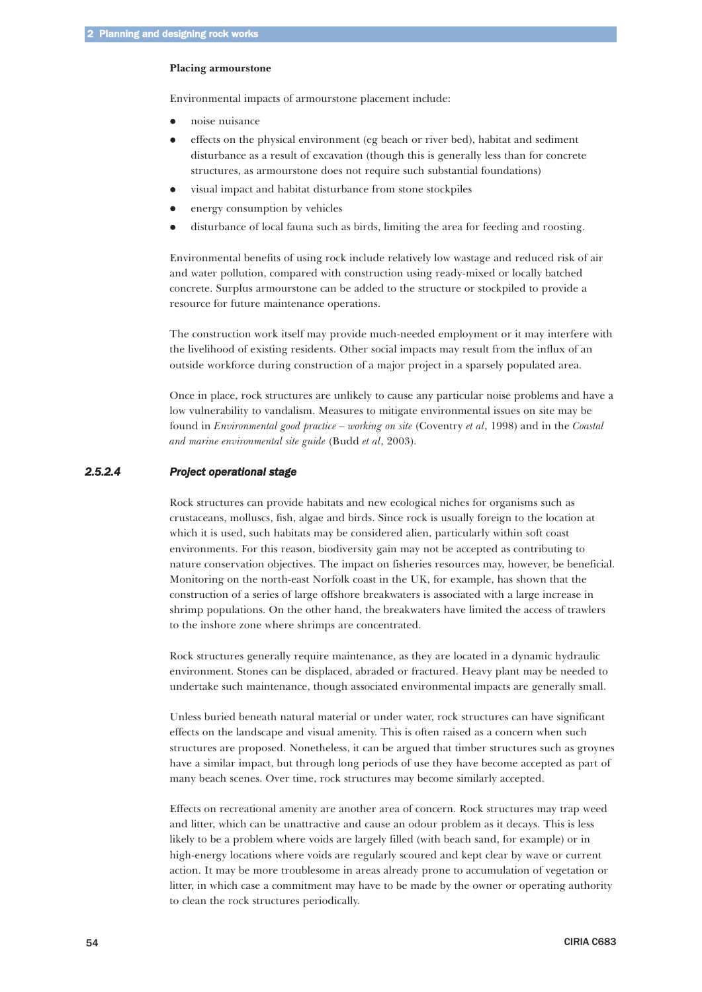#### <span id="page-39-0"></span>**Placing armourstone**

Environmental impacts of armourstone placement include:

- $\bullet$ noise nuisance
- $\bullet$  effects on the physical environment (eg beach or river bed), habitat and sediment disturbance as a result of excavation (though this is generally less than for concrete structures, as armourstone does not require such substantial foundations)
- $\bullet$ visual impact and habitat disturbance from stone stockpiles
- $\bullet$ energy consumption by vehicles
- $\bullet$ disturbance of local fauna such as birds, limiting the area for feeding and roosting.

Environmental benefits of using rock include relatively low wastage and reduced risk of air and water pollution, compared with construction using ready-mixed or locally batched concrete. Surplus armourstone can be added to the structure or stockpiled to provide a resource for future maintenance operations.

The construction work itself may provide much-needed employment or it may interfere with the livelihood of existing residents. Other social impacts may result from the influx of an outside workforce during construction of a major project in a sparsely populated area.

Once in place, rock structures are unlikely to cause any particular noise problems and have a low vulnerability to vandalism. Measures to mitigate environmental issues on site may be found in *Environmental good practice – working on site* (Coventry *et al*, 1998) and in the *Coastal and marine environmental site guide* (Budd *et al*, 2003).

# *2.5.2.4 Project operational stage*

Rock structures can provide habitats and new ecological niches for organisms such as crustaceans, molluscs, fish, algae and birds. Since rock is usually foreign to the location at which it is used, such habitats may be considered alien, particularly within soft coast environments. For this reason, biodiversity gain may not be accepted as contributing to nature conservation objectives. The impact on fisheries resources may, however, be beneficial. Monitoring on the north-east Norfolk coast in the UK, for example, has shown that the construction of a series of large offshore breakwaters is associated with a large increase in shrimp populations. On the other hand, the breakwaters have limited the access of trawlers to the inshore zone where shrimps are concentrated.

Rock structures generally require maintenance, as they are located in a dynamic hydraulic environment. Stones can be displaced, abraded or fractured. Heavy plant may be needed to undertake such maintenance, though associated environmental impacts are generally small.

Unless buried beneath natural material or under water, rock structures can have significant effects on the landscape and visual amenity. This is often raised as a concern when such structures are proposed. Nonetheless, it can be argued that timber structures such as groynes have a similar impact, but through long periods of use they have become accepted as part of many beach scenes. Over time, rock structures may become similarly accepted.

Effects on recreational amenity are another area of concern. Rock structures may trap weed and litter, which can be unattractive and cause an odour problem as it decays. This is less likely to be a problem where voids are largely filled (with beach sand, for example) or in high-energy locations where voids are regularly scoured and kept clear by wave or current action. It may be more troublesome in areas already prone to accumulation of vegetation or litter, in which case a commitment may have to be made by the owner or operating authority to clean the rock structures periodically.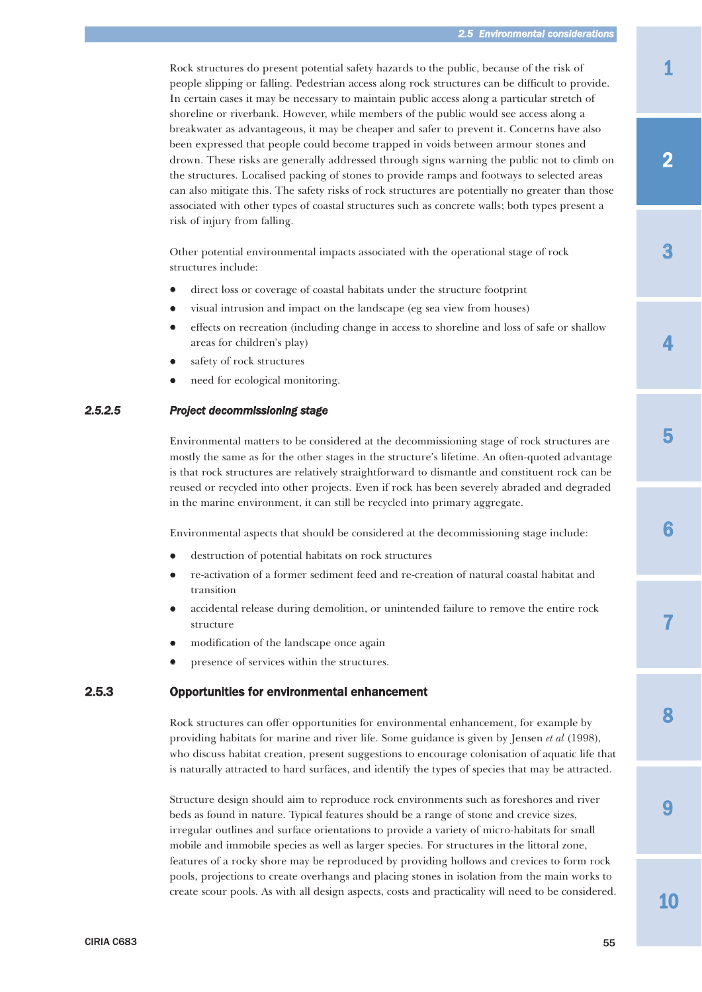<span id="page-40-0"></span>Rock structures do present potential safety hazards to the public, because of the risk of people slipping or falling. Pedestrian access along rock structures can be difficult to provide. In certain cases it may be necessary to maintain public access along a particular stretch of shoreline or riverbank. However, while members of the public would see access along a breakwater as advantageous, it may be cheaper and safer to prevent it. Concerns have also been expressed that people could become trapped in voids between armour stones and drown. These risks are generally addressed through signs warning the public not to climb on the structures. Localised packing of stones to provide ramps and footways to selected areas can also mitigate this. The safety risks of rock structures are potentially no greater than those associated with other types of coastal structures such as concrete walls; both types present a risk of injury from falling.

Other potential environmental impacts associated with the operational stage of rock structures include:

- $\bullet$ direct loss or coverage of coastal habitats under the structure footprint
- $\bullet$ visual intrusion and impact on the landscape (eg sea view from houses)
- $\bullet$  effects on recreation (including change in access to shoreline and loss of safe or shallow areas for children's play)
- $\bullet$ safety of rock structures
- $\bullet$ need for ecological monitoring.

# *2.5.2.5 Project decommissioning stage*

Environmental matters to be considered at the decommissioning stage of rock structures are mostly the same as for the other stages in the structure's lifetime. An often-quoted advantage is that rock structures are relatively straightforward to dismantle and constituent rock can be reused or recycled into other projects. Even if rock has been severely abraded and degraded in the marine environment, it can still be recycled into primary aggregate.

Environmental aspects that should be considered at the decommissioning stage include:

- $\bullet$ destruction of potential habitats on rock structures
- $\bullet$  re-activation of a former sediment feed and re-creation of natural coastal habitat and transition
- $\bullet$  accidental release during demolition, or unintended failure to remove the entire rock structure
- $\bullet$ modification of the landscape once again
- $\bullet$ presence of services within the structures.

# 2.5.3 Opportunities for environmental enhancement

Rock structures can offer opportunities for environmental enhancement, for example by providing habitats for marine and river life. Some guidance is given by Jensen *et al* (1998), who discuss habitat creation, present suggestions to encourage colonisation of aquatic life that is naturally attracted to hard surfaces, and identify the types of species that may be attracted.

Structure design should aim to reproduce rock environments such as foreshores and river beds as found in nature. Typical features should be a range of stone and crevice sizes, irregular outlines and surface orientations to provide a variety of micro-habitats for small mobile and immobile species as well as larger species. For structures in the littoral zone, features of a rocky shore may be reproduced by providing hollows and crevices to form rock pools, projections to create overhangs and placing stones in isolation from the main works to create scour pools. As with all design aspects, costs and practicality will need to be considered. 2

3

4



6

7

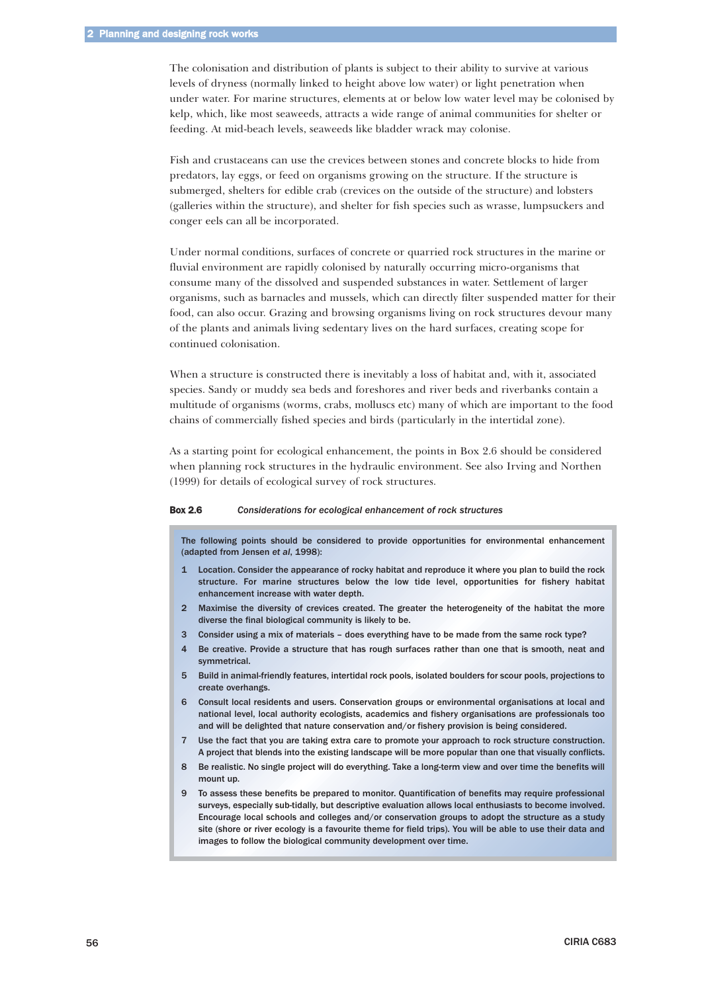The colonisation and distribution of plants is subject to their ability to survive at various levels of dryness (normally linked to height above low water) or light penetration when under water. For marine structures, elements at or below low water level may be colonised by kelp, which, like most seaweeds, attracts a wide range of animal communities for shelter or feeding. At mid-beach levels, seaweeds like bladder wrack may colonise.

Fish and crustaceans can use the crevices between stones and concrete blocks to hide from predators, lay eggs, or feed on organisms growing on the structure. If the structure is submerged, shelters for edible crab (crevices on the outside of the structure) and lobsters (galleries within the structure), and shelter for fish species such as wrasse, lumpsuckers and conger eels can all be incorporated.

Under normal conditions, surfaces of concrete or quarried rock structures in the marine or fluvial environment are rapidly colonised by naturally occurring micro-organisms that consume many of the dissolved and suspended substances in water. Settlement of larger organisms, such as barnacles and mussels, which can directly filter suspended matter for their food, can also occur. Grazing and browsing organisms living on rock structures devour many of the plants and animals living sedentary lives on the hard surfaces, creating scope for continued colonisation.

When a structure is constructed there is inevitably a loss of habitat and, with it, associated species. Sandy or muddy sea beds and foreshores and river beds and riverbanks contain a multitude of organisms (worms, crabs, molluscs etc) many of which are important to the food chains of commercially fished species and birds (particularly in the intertidal zone).

As a starting point for ecological enhancement, the points in Box 2.6 should be considered when planning rock structures in the hydraulic environment. See also Irving and Northen (1999) for details of ecological survey of rock structures.

#### Box 2.6 *Considerations for ecological enhancement of rock structures*

The following points should be considered to provide opportunities for environmental enhancement (adapted from Jensen *et al*, 1998):

- 1 Location. Consider the appearance of rocky habitat and reproduce it where you plan to build the rock structure. For marine structures below the low tide level, opportunities for fishery habitat enhancement increase with water depth.
- 2 Maximise the diversity of crevices created. The greater the heterogeneity of the habitat the more diverse the final biological community is likely to be.
- 3 Consider using a mix of materials does everything have to be made from the same rock type?
- 4 Be creative. Provide a structure that has rough surfaces rather than one that is smooth, neat and symmetrical.
- 5 Build in animal-friendly features, intertidal rock pools, isolated boulders for scour pools, projections to create overhangs.
- 6 Consult local residents and users. Conservation groups or environmental organisations at local and national level, local authority ecologists, academics and fishery organisations are professionals too and will be delighted that nature conservation and/or fishery provision is being considered.
- 7 Use the fact that you are taking extra care to promote your approach to rock structure construction. A project that blends into the existing landscape will be more popular than one that visually conflicts.
- 8 Be realistic. No single project will do everything. Take a long-term view and over time the benefits will mount up.
- 9 To assess these benefits be prepared to monitor. Quantification of benefits may require professional surveys, especially sub-tidally, but descriptive evaluation allows local enthusiasts to become involved. Encourage local schools and colleges and/or conservation groups to adopt the structure as a study site (shore or river ecology is a favourite theme for field trips). You will be able to use their data and images to follow the biological community development over time.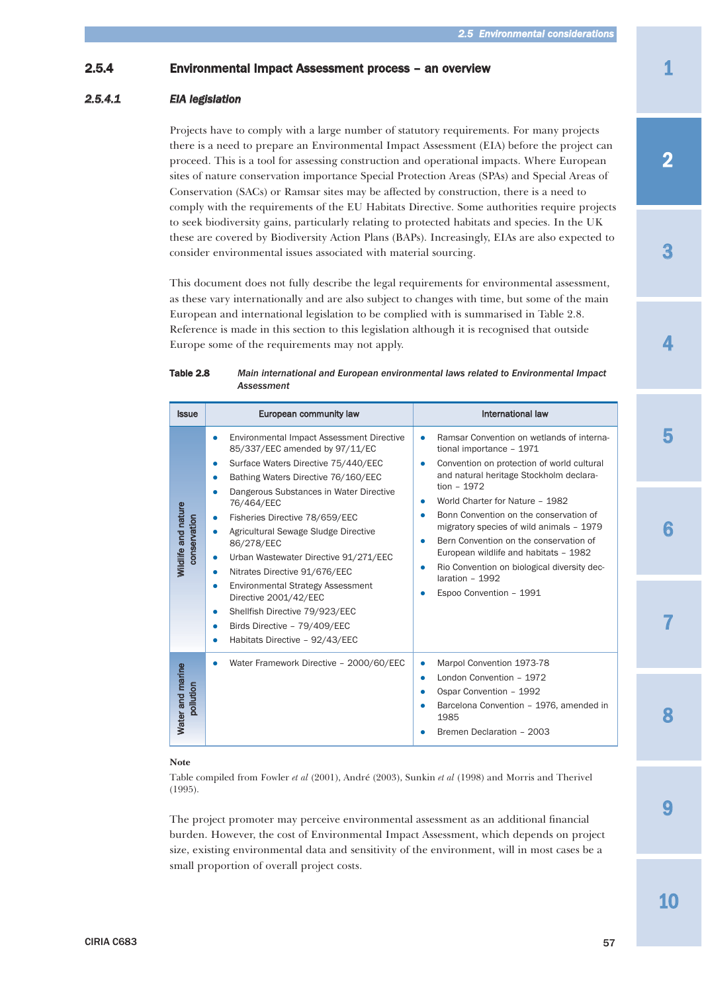# <span id="page-42-0"></span>2.5.4 Environmental Impact Assessment process – an overview

# *2.5.4.1 EIA legislation*

Projects have to comply with a large number of statutory requirements. For many projects there is a need to prepare an Environmental Impact Assessment (EIA) before the project can proceed. This is a tool for assessing construction and operational impacts. Where European sites of nature conservation importance Special Protection Areas (SPAs) and Special Areas of Conservation (SACs) or Ramsar sites may be affected by construction, there is a need to comply with the requirements of the EU Habitats Directive. Some authorities require projects to seek biodiversity gains, particularly relating to protected habitats and species. In the UK these are covered by Biodiversity Action Plans (BAPs). Increasingly, EIAs are also expected to consider environmental issues associated with material sourcing.

This document does not fully describe the legal requirements for environmental assessment, as these vary internationally and are also subject to changes with time, but some of the main European and international legislation to be complied with is summarised in Table 2.8. Reference is made in this section to this legislation although it is recognised that outside Europe some of the requirements may not apply.

| Table 2.8 | Main international and European environmental laws related to Environmental Impact |
|-----------|------------------------------------------------------------------------------------|
|           | Assessment                                                                         |

| <b>Issue</b>                        | European community law                                                                                                                                                                                                                                                                                                                                                                                                                                                                                                                                                                              | International law                                                                                                                                                                                                                                                                                                                                                                                                                                                                                 |
|-------------------------------------|-----------------------------------------------------------------------------------------------------------------------------------------------------------------------------------------------------------------------------------------------------------------------------------------------------------------------------------------------------------------------------------------------------------------------------------------------------------------------------------------------------------------------------------------------------------------------------------------------------|---------------------------------------------------------------------------------------------------------------------------------------------------------------------------------------------------------------------------------------------------------------------------------------------------------------------------------------------------------------------------------------------------------------------------------------------------------------------------------------------------|
| Wildlife and nature<br>conservation | Environmental Impact Assessment Directive<br>$\bullet$<br>85/337/EEC amended by 97/11/EC<br>Surface Waters Directive 75/440/EEC<br>Bathing Waters Directive 76/160/EEC<br>Dangerous Substances in Water Directive<br>76/464/EEC<br>Fisheries Directive 78/659/EEC<br>۰<br>Agricultural Sewage Sludge Directive<br>٠<br>86/278/EEC<br>Urban Wastewater Directive 91/271/EEC<br>۰<br>Nitrates Directive 91/676/EEC<br>٠<br><b>Environmental Strategy Assessment</b><br>۰<br>Directive 2001/42/EEC<br>Shellfish Directive 79/923/EEC<br>Birds Directive - 79/409/EEC<br>Habitats Directive - 92/43/EEC | Ramsar Convention on wetlands of interna-<br>۰<br>tional importance - 1971<br>Convention on protection of world cultural<br>and natural heritage Stockholm declara-<br>tion $-1972$<br>World Charter for Nature - 1982<br>Bonn Convention on the conservation of<br>migratory species of wild animals - 1979<br>Bern Convention on the conservation of<br>European wildlife and habitats - 1982<br>Rio Convention on biological diversity dec-<br>۰<br>laration - 1992<br>Espoo Convention - 1991 |
| Water and marine<br>pollution       | Water Framework Directive - 2000/60/EEC                                                                                                                                                                                                                                                                                                                                                                                                                                                                                                                                                             | Marpol Convention 1973-78<br>London Convention - 1972<br>٠<br>Ospar Convention - 1992<br>Barcelona Convention - 1976, amended in<br>1985<br>Bremen Declaration - 2003                                                                                                                                                                                                                                                                                                                             |

#### **Note**

Table compiled from Fowler *et al* (2001), André (2003), Sunkin *et al* (1998) and Morris and Therivel (1995).

The project promoter may perceive environmental assessment as an additional financial burden. However, the cost of Environmental Impact Assessment, which depends on project size, existing environmental data and sensitivity of the environment, will in most cases be a small proportion of overall project costs.

2

3

4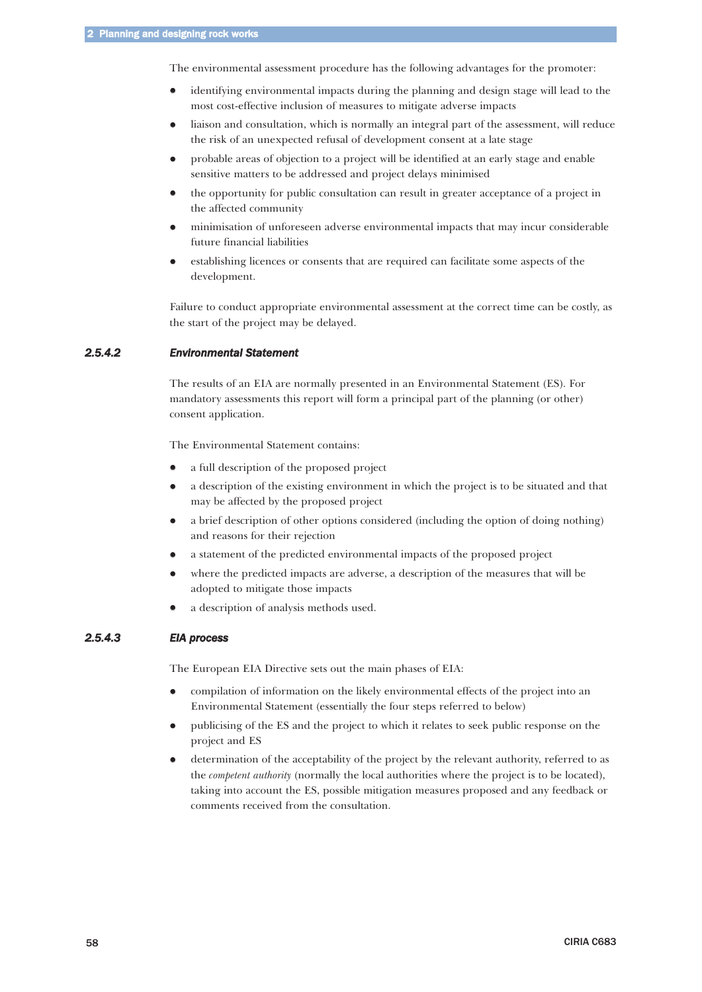<span id="page-43-0"></span>The environmental assessment procedure has the following advantages for the promoter:

- $\bullet$  identifying environmental impacts during the planning and design stage will lead to the most cost-effective inclusion of measures to mitigate adverse impacts
- $\bullet$  liaison and consultation, which is normally an integral part of the assessment, will reduce the risk of an unexpected refusal of development consent at a late stage
- $\bullet$  probable areas of objection to a project will be identified at an early stage and enable sensitive matters to be addressed and project delays minimised
- $\bullet$  the opportunity for public consultation can result in greater acceptance of a project in the affected community
- $\bullet$  minimisation of unforeseen adverse environmental impacts that may incur considerable future financial liabilities
- $\bullet$  establishing licences or consents that are required can facilitate some aspects of the development.

Failure to conduct appropriate environmental assessment at the correct time can be costly, as the start of the project may be delayed.

# *2.5.4.2 Environmental Statement*

The results of an EIA are normally presented in an Environmental Statement (ES). For mandatory assessments this report will form a principal part of the planning (or other) consent application.

The Environmental Statement contains:

- $\bullet$ a full description of the proposed project
- $\bullet$  a description of the existing environment in which the project is to be situated and that may be affected by the proposed project
- $\bullet$  a brief description of other options considered (including the option of doing nothing) and reasons for their rejection
- $\bullet$ a statement of the predicted environmental impacts of the proposed project
- $\bullet$  where the predicted impacts are adverse, a description of the measures that will be adopted to mitigate those impacts
- $\bullet$ a description of analysis methods used.

# *2.5.4.3 EIA process*

The European EIA Directive sets out the main phases of EIA:

- $\bullet$  compilation of information on the likely environmental effects of the project into an Environmental Statement (essentially the four steps referred to below)
- $\bullet$  publicising of the ES and the project to which it relates to seek public response on the project and ES
- $\bullet$  determination of the acceptability of the project by the relevant authority, referred to as the *competent authority* (normally the local authorities where the project is to be located), taking into account the ES, possible mitigation measures proposed and any feedback or comments received from the consultation.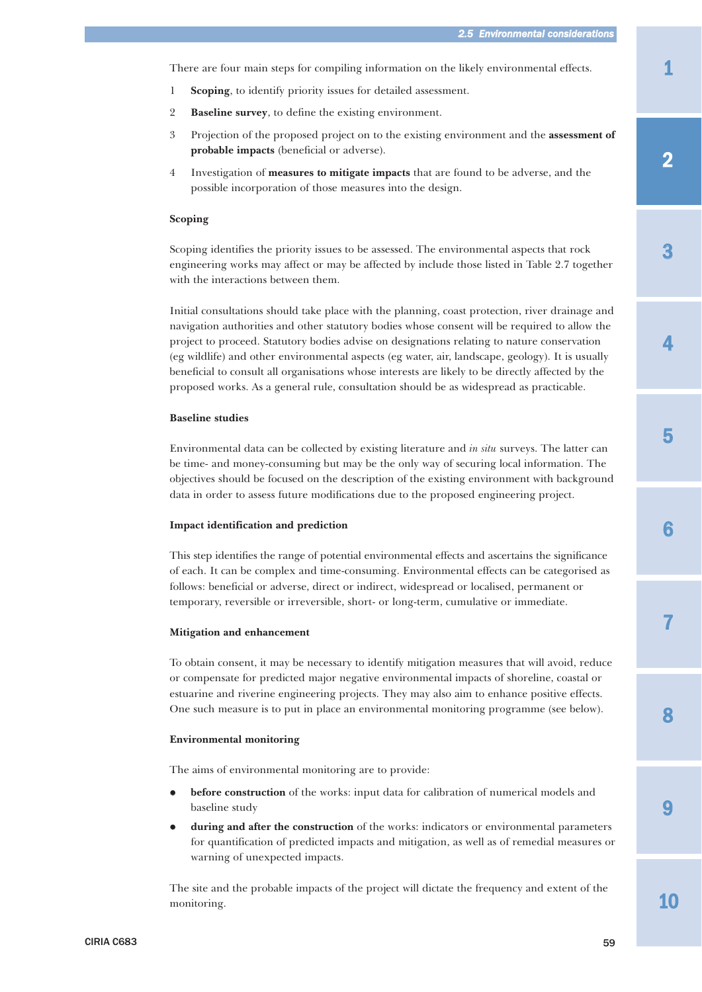1

3

2

4

5

There are four main steps for compiling information on the likely environmental effects.

- 1 **Scoping**, to identify priority issues for detailed assessment.
- 2 **Baseline survey**, to define the existing environment.
- 3 Projection of the proposed project on to the existing environment and the **assessment of probable impacts** (beneficial or adverse).
- 4 Investigation of **measures to mitigate impacts** that are found to be adverse, and the possible incorporation of those measures into the design.

#### **Scoping**

Scoping identifies the priority issues to be assessed. The environmental aspects that rock engineering works may affect or may be affected by include those listed in Table 2.7 together with the interactions between them.

Initial consultations should take place with the planning, coast protection, river drainage and navigation authorities and other statutory bodies whose consent will be required to allow the project to proceed. Statutory bodies advise on designations relating to nature conservation (eg wildlife) and other environmental aspects (eg water, air, landscape, geology). It is usually beneficial to consult all organisations whose interests are likely to be directly affected by the proposed works. As a general rule, consultation should be as widespread as practicable.

### **Baseline studies**

Environmental data can be collected by existing literature and *in situ* surveys. The latter can be time- and money-consuming but may be the only way of securing local information. The objectives should be focused on the description of the existing environment with background data in order to assess future modifications due to the proposed engineering project.

#### **Impact identification and prediction**

This step identifies the range of potential environmental effects and ascertains the significance of each. It can be complex and time-consuming. Environmental effects can be categorised as follows: beneficial or adverse, direct or indirect, widespread or localised, permanent or temporary, reversible or irreversible, short- or long-term, cumulative or immediate.

#### **Mitigation and enhancement**

To obtain consent, it may be necessary to identify mitigation measures that will avoid, reduce or compensate for predicted major negative environmental impacts of shoreline, coastal or estuarine and riverine engineering projects. They may also aim to enhance positive effects. One such measure is to put in place an environmental monitoring programme (see below).

#### **Environmental monitoring**

The aims of environmental monitoring are to provide:

- $\bullet$  **before construction** of the works: input data for calibration of numerical models and baseline study
- $\bullet$  **during and after the construction** of the works: indicators or environmental parameters for quantification of predicted impacts and mitigation, as well as of remedial measures or warning of unexpected impacts.

The site and the probable impacts of the project will dictate the frequency and extent of the monitoring.

10

9

8

7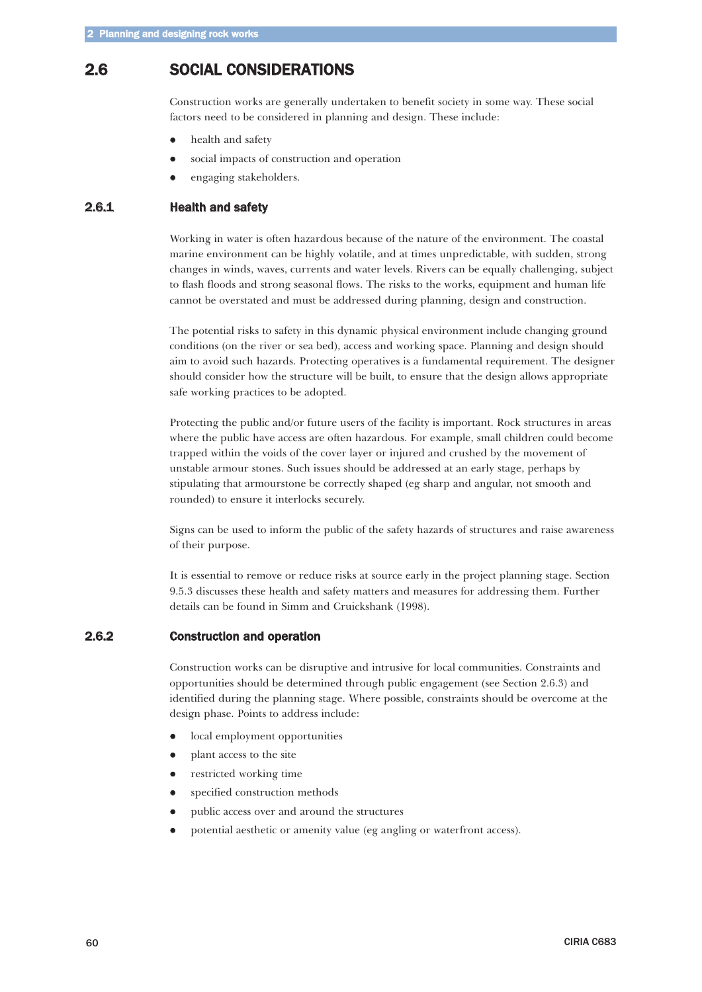# <span id="page-45-0"></span>2.6 SOCIAL CONSIDERATIONS

Construction works are generally undertaken to benefit society in some way. These social factors need to be considered in planning and design. These include:

- $\bullet$ health and safety
- $\bullet$ social impacts of construction and operation
- $\bullet$ engaging stakeholders.

# 2.6.1 Health and safety

Working in water is often hazardous because of the nature of the environment. The coastal marine environment can be highly volatile, and at times unpredictable, with sudden, strong changes in winds, waves, currents and water levels. Rivers can be equally challenging, subject to flash floods and strong seasonal flows. The risks to the works, equipment and human life cannot be overstated and must be addressed during planning, design and construction.

The potential risks to safety in this dynamic physical environment include changing ground conditions (on the river or sea bed), access and working space. Planning and design should aim to avoid such hazards. Protecting operatives is a fundamental requirement. The designer should consider how the structure will be built, to ensure that the design allows appropriate safe working practices to be adopted.

Protecting the public and/or future users of the facility is important. Rock structures in areas where the public have access are often hazardous. For example, small children could become trapped within the voids of the cover layer or injured and crushed by the movement of unstable armour stones. Such issues should be addressed at an early stage, perhaps by stipulating that armourstone be correctly shaped (eg sharp and angular, not smooth and rounded) to ensure it interlocks securely.

Signs can be used to inform the public of the safety hazards of structures and raise awareness of their purpose.

It is essential to remove or reduce risks at source early in the project planning stage. Section 9.5.3 discusses these health and safety matters and measures for addressing them. Further details can be found in Simm and Cruickshank (1998).

### 2.6.2 Construction and operation

Construction works can be disruptive and intrusive for local communities. Constraints and opportunities should be determined through public engagement (see Section 2.6.3) and identified during the planning stage. Where possible, constraints should be overcome at the design phase. Points to address include:

- $\bullet$ local employment opportunities
- $\bullet$ plant access to the site
- $\bullet$ restricted working time
- $\bullet$ specified construction methods
- $\bullet$ public access over and around the structures
- $\bullet$ potential aesthetic or amenity value (eg angling or waterfront access).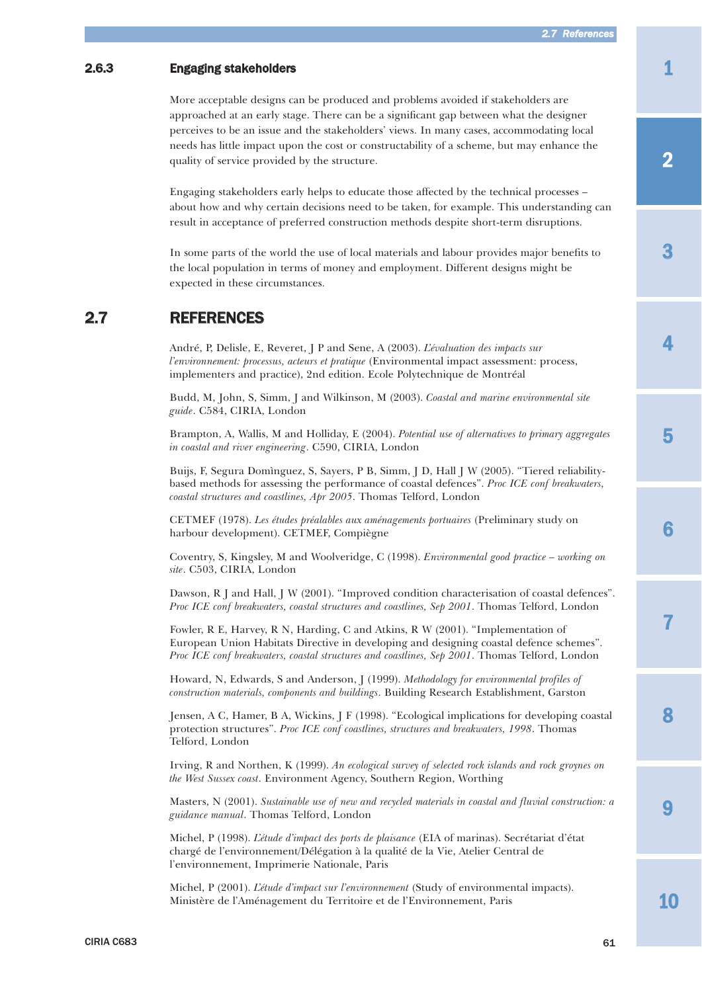# <span id="page-46-0"></span>2.6.3 Engaging stakeholders

More acceptable designs can be produced and problems avoided if stakeholders are approached at an early stage. There can be a significant gap between what the designer perceives to be an issue and the stakeholders' views. In many cases, accommodating local needs has little impact upon the cost or constructability of a scheme, but may enhance the quality of service provided by the structure.

Engaging stakeholders early helps to educate those affected by the technical processes – about how and why certain decisions need to be taken, for example. This understanding can result in acceptance of preferred construction methods despite short-term disruptions.

In some parts of the world the use of local materials and labour provides major benefits to the local population in terms of money and employment. Different designs might be expected in these circumstances.

# 2.7 REFERENCES

André, P, Delisle, E, Reveret, J P and Sene, A (2003). *L'évaluation des impacts sur l'environnement: processus, acteurs et pratique* (Environmental impact assessment: process, implementers and practice), 2nd edition. Ecole Polytechnique de Montréal

Budd, M, John, S, Simm, J and Wilkinson, M (2003). *Coastal and marine environmental site guide*. C584, CIRIA, London

Brampton, A, Wallis, M and Holliday, E (2004). *Potential use of alternatives to primary aggregates in coastal and river engineering*. C590, CIRIA, London

Buijs, F, Segura Domìnguez, S, Sayers, P B, Simm, J D, Hall J W (2005). "Tiered reliabilitybased methods for assessing the performance of coastal defences". *Proc ICE conf breakwaters, coastal structures and coastlines, Apr 2005*. Thomas Telford, London

CETMEF (1978). *Les études préalables aux aménagements portuaires* (Preliminary study on harbour development). CETMEF, Compiègne

Coventry, S, Kingsley, M and Woolveridge, C (1998). *Environmental good practice – working on site*. C503, CIRIA, London

Dawson, R J and Hall, J W (2001). "Improved condition characterisation of coastal defences". *Proc ICE conf breakwaters, coastal structures and coastlines, Sep 2001*. Thomas Telford, London

Fowler, R E, Harvey, R N, Harding, C and Atkins, R W (2001). "Implementation of European Union Habitats Directive in developing and designing coastal defence schemes". *Proc ICE conf breakwaters, coastal structures and coastlines, Sep 2001*. Thomas Telford, London

Howard, N, Edwards, S and Anderson, J (1999). *Methodology for environmental profiles of construction materials, components and buildings*. Building Research Establishment, Garston

Jensen, A C, Hamer, B A, Wickins, J F (1998). "Ecological implications for developing coastal protection structures". *Proc ICE conf coastlines, structures and breakwaters, 1998*. Thomas Telford, London

Irving, R and Northen, K (1999). *An ecological survey of selected rock islands and rock groynes on the West Sussex coast*. Environment Agency, Southern Region, Worthing

Masters, N (2001). *Sustainable use of new and recycled materials in coastal and fluvial construction: a guidance manual*. Thomas Telford, London

Michel, P (1998). *L'étude d'impact des ports de plaisance* (EIA of marinas). Secrétariat d'état chargé de l'environnement/Délégation à la qualité de la Vie, Atelier Central de l'environnement, Imprimerie Nationale, Paris

Michel, P (2001). *L'étude d'impact sur l'environnement* (Study of environmental impacts). Ministère de l'Aménagement du Territoire et de l'Environnement, Paris

10

**0** 

8

7